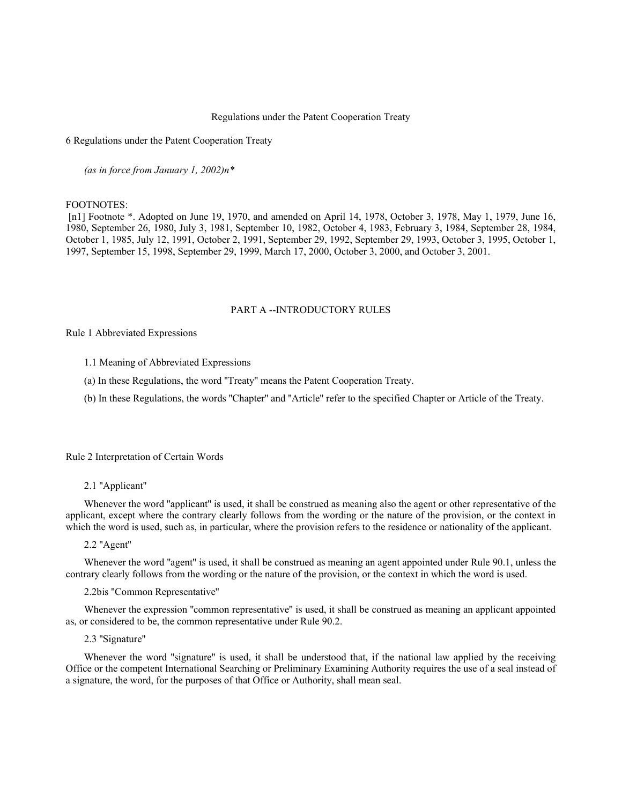### Regulations under the Patent Cooperation Treaty

6 Regulations under the Patent Cooperation Treaty

*(as in force from January 1, 2002)n\** 

## FOOTNOTES:

 [n1] Footnote \*. Adopted on June 19, 1970, and amended on April 14, 1978, October 3, 1978, May 1, 1979, June 16, 1980, September 26, 1980, July 3, 1981, September 10, 1982, October 4, 1983, February 3, 1984, September 28, 1984, October 1, 1985, July 12, 1991, October 2, 1991, September 29, 1992, September 29, 1993, October 3, 1995, October 1, 1997, September 15, 1998, September 29, 1999, March 17, 2000, October 3, 2000, and October 3, 2001.

## PART A --INTRODUCTORY RULES

Rule 1 Abbreviated Expressions

- 1.1 Meaning of Abbreviated Expressions
- (a) In these Regulations, the word ''Treaty'' means the Patent Cooperation Treaty.
- (b) In these Regulations, the words ''Chapter'' and ''Article'' refer to the specified Chapter or Article of the Treaty.

#### Rule 2 Interpretation of Certain Words

## 2.1 ''Applicant''

Whenever the word "applicant" is used, it shall be construed as meaning also the agent or other representative of the applicant, except where the contrary clearly follows from the wording or the nature of the provision, or the context in which the word is used, such as, in particular, where the provision refers to the residence or nationality of the applicant.

### 2.2 ''Agent''

Whenever the word "agent" is used, it shall be construed as meaning an agent appointed under Rule 90.1, unless the contrary clearly follows from the wording or the nature of the provision, or the context in which the word is used.

# 2.2bis ''Common Representative''

Whenever the expression "common representative" is used, it shall be construed as meaning an applicant appointed as, or considered to be, the common representative under Rule 90.2.

### 2.3 ''Signature''

Whenever the word "signature" is used, it shall be understood that, if the national law applied by the receiving Office or the competent International Searching or Preliminary Examining Authority requires the use of a seal instead of a signature, the word, for the purposes of that Office or Authority, shall mean seal.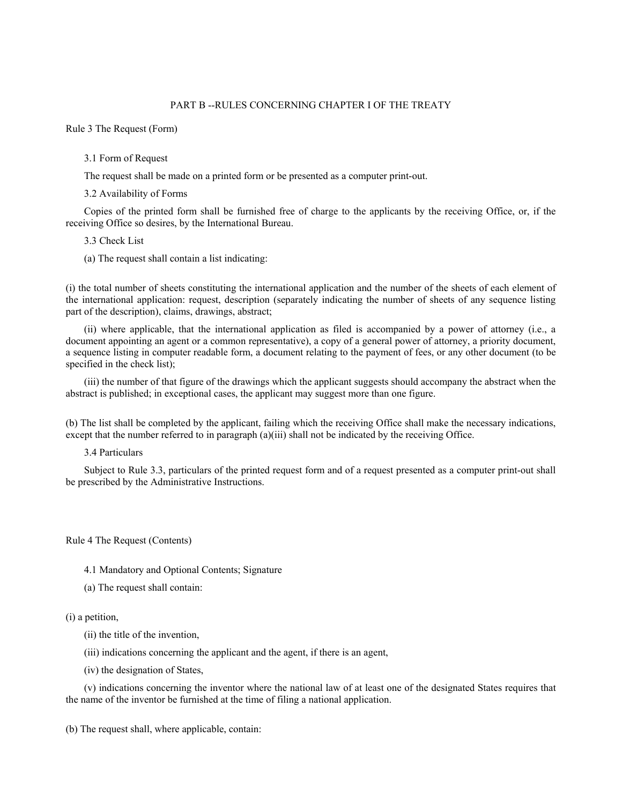## PART B --RULES CONCERNING CHAPTER I OF THE TREATY

Rule 3 The Request (Form)

3.1 Form of Request

The request shall be made on a printed form or be presented as a computer print-out.

3.2 Availability of Forms

Copies of the printed form shall be furnished free of charge to the applicants by the receiving Office, or, if the receiving Office so desires, by the International Bureau.

3.3 Check List

(a) The request shall contain a list indicating:

(i) the total number of sheets constituting the international application and the number of the sheets of each element of the international application: request, description (separately indicating the number of sheets of any sequence listing part of the description), claims, drawings, abstract;

(ii) where applicable, that the international application as filed is accompanied by a power of attorney (i.e., a document appointing an agent or a common representative), a copy of a general power of attorney, a priority document, a sequence listing in computer readable form, a document relating to the payment of fees, or any other document (to be specified in the check list);

(iii) the number of that figure of the drawings which the applicant suggests should accompany the abstract when the abstract is published; in exceptional cases, the applicant may suggest more than one figure.

(b) The list shall be completed by the applicant, failing which the receiving Office shall make the necessary indications, except that the number referred to in paragraph  $(a)(iii)$  shall not be indicated by the receiving Office.

3.4 Particulars

Subject to Rule 3.3, particulars of the printed request form and of a request presented as a computer print-out shall be prescribed by the Administrative Instructions.

Rule 4 The Request (Contents)

4.1 Mandatory and Optional Contents; Signature

(a) The request shall contain:

(i) a petition,

(ii) the title of the invention,

(iii) indications concerning the applicant and the agent, if there is an agent,

(iv) the designation of States,

(v) indications concerning the inventor where the national law of at least one of the designated States requires that the name of the inventor be furnished at the time of filing a national application.

(b) The request shall, where applicable, contain: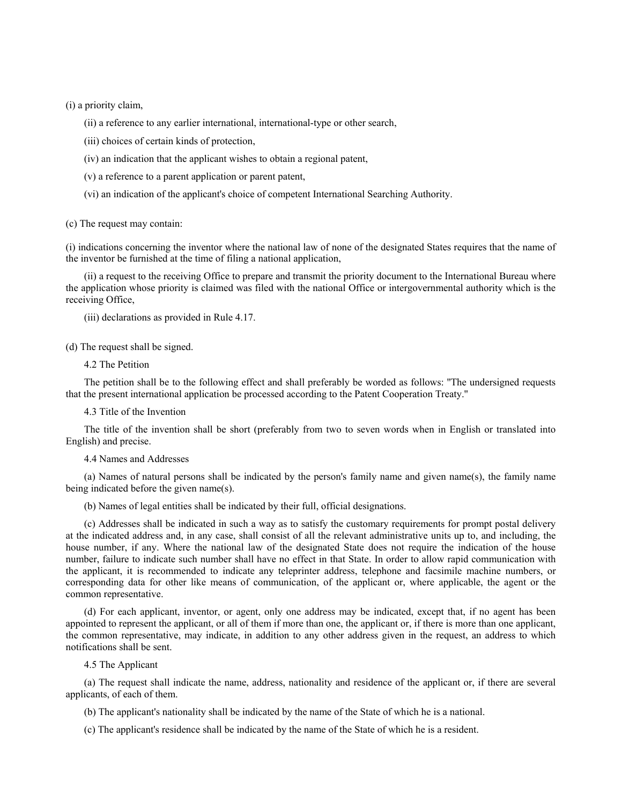(i) a priority claim,

(ii) a reference to any earlier international, international-type or other search,

(iii) choices of certain kinds of protection,

(iv) an indication that the applicant wishes to obtain a regional patent,

(v) a reference to a parent application or parent patent,

(vi) an indication of the applicant's choice of competent International Searching Authority.

(c) The request may contain:

(i) indications concerning the inventor where the national law of none of the designated States requires that the name of the inventor be furnished at the time of filing a national application,

(ii) a request to the receiving Office to prepare and transmit the priority document to the International Bureau where the application whose priority is claimed was filed with the national Office or intergovernmental authority which is the receiving Office,

(iii) declarations as provided in Rule 4.17.

(d) The request shall be signed.

4.2 The Petition

The petition shall be to the following effect and shall preferably be worded as follows: ''The undersigned requests that the present international application be processed according to the Patent Cooperation Treaty.''

4.3 Title of the Invention

The title of the invention shall be short (preferably from two to seven words when in English or translated into English) and precise.

4.4 Names and Addresses

(a) Names of natural persons shall be indicated by the person's family name and given name(s), the family name being indicated before the given name(s).

(b) Names of legal entities shall be indicated by their full, official designations.

(c) Addresses shall be indicated in such a way as to satisfy the customary requirements for prompt postal delivery at the indicated address and, in any case, shall consist of all the relevant administrative units up to, and including, the house number, if any. Where the national law of the designated State does not require the indication of the house number, failure to indicate such number shall have no effect in that State. In order to allow rapid communication with the applicant, it is recommended to indicate any teleprinter address, telephone and facsimile machine numbers, or corresponding data for other like means of communication, of the applicant or, where applicable, the agent or the common representative.

(d) For each applicant, inventor, or agent, only one address may be indicated, except that, if no agent has been appointed to represent the applicant, or all of them if more than one, the applicant or, if there is more than one applicant, the common representative, may indicate, in addition to any other address given in the request, an address to which notifications shall be sent.

4.5 The Applicant

(a) The request shall indicate the name, address, nationality and residence of the applicant or, if there are several applicants, of each of them.

(b) The applicant's nationality shall be indicated by the name of the State of which he is a national.

(c) The applicant's residence shall be indicated by the name of the State of which he is a resident.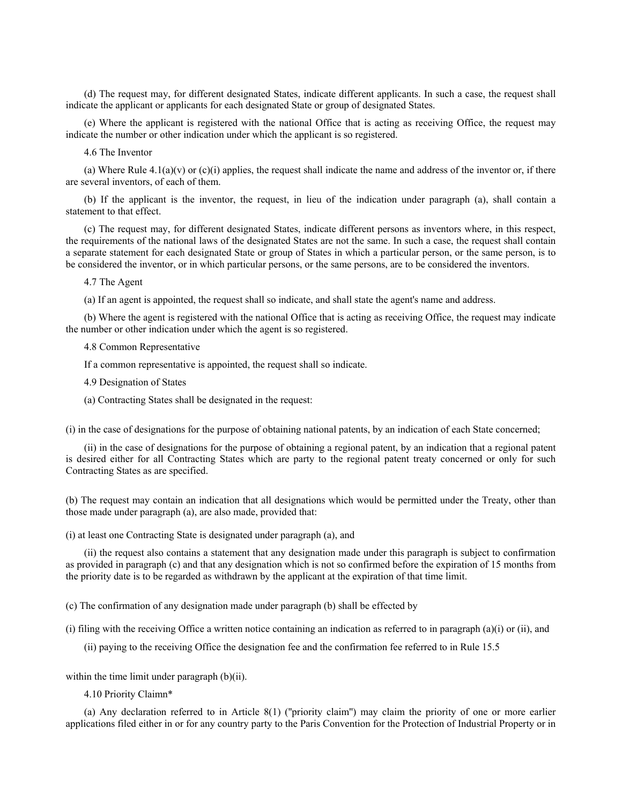(d) The request may, for different designated States, indicate different applicants. In such a case, the request shall indicate the applicant or applicants for each designated State or group of designated States.

(e) Where the applicant is registered with the national Office that is acting as receiving Office, the request may indicate the number or other indication under which the applicant is so registered.

4.6 The Inventor

(a) Where Rule  $4.1(a)(v)$  or (c)(i) applies, the request shall indicate the name and address of the inventor or, if there are several inventors, of each of them.

(b) If the applicant is the inventor, the request, in lieu of the indication under paragraph (a), shall contain a statement to that effect.

(c) The request may, for different designated States, indicate different persons as inventors where, in this respect, the requirements of the national laws of the designated States are not the same. In such a case, the request shall contain a separate statement for each designated State or group of States in which a particular person, or the same person, is to be considered the inventor, or in which particular persons, or the same persons, are to be considered the inventors.

4.7 The Agent

(a) If an agent is appointed, the request shall so indicate, and shall state the agent's name and address.

(b) Where the agent is registered with the national Office that is acting as receiving Office, the request may indicate the number or other indication under which the agent is so registered.

4.8 Common Representative

If a common representative is appointed, the request shall so indicate.

4.9 Designation of States

(a) Contracting States shall be designated in the request:

(i) in the case of designations for the purpose of obtaining national patents, by an indication of each State concerned;

(ii) in the case of designations for the purpose of obtaining a regional patent, by an indication that a regional patent is desired either for all Contracting States which are party to the regional patent treaty concerned or only for such Contracting States as are specified.

(b) The request may contain an indication that all designations which would be permitted under the Treaty, other than those made under paragraph (a), are also made, provided that:

(i) at least one Contracting State is designated under paragraph (a), and

(ii) the request also contains a statement that any designation made under this paragraph is subject to confirmation as provided in paragraph (c) and that any designation which is not so confirmed before the expiration of 15 months from the priority date is to be regarded as withdrawn by the applicant at the expiration of that time limit.

(c) The confirmation of any designation made under paragraph (b) shall be effected by

(i) filing with the receiving Office a written notice containing an indication as referred to in paragraph  $(a)(i)$  or (ii), and

(ii) paying to the receiving Office the designation fee and the confirmation fee referred to in Rule 15.5

within the time limit under paragraph (b)(ii).

4.10 Priority Claimn\*

(a) Any declaration referred to in Article 8(1) (''priority claim'') may claim the priority of one or more earlier applications filed either in or for any country party to the Paris Convention for the Protection of Industrial Property or in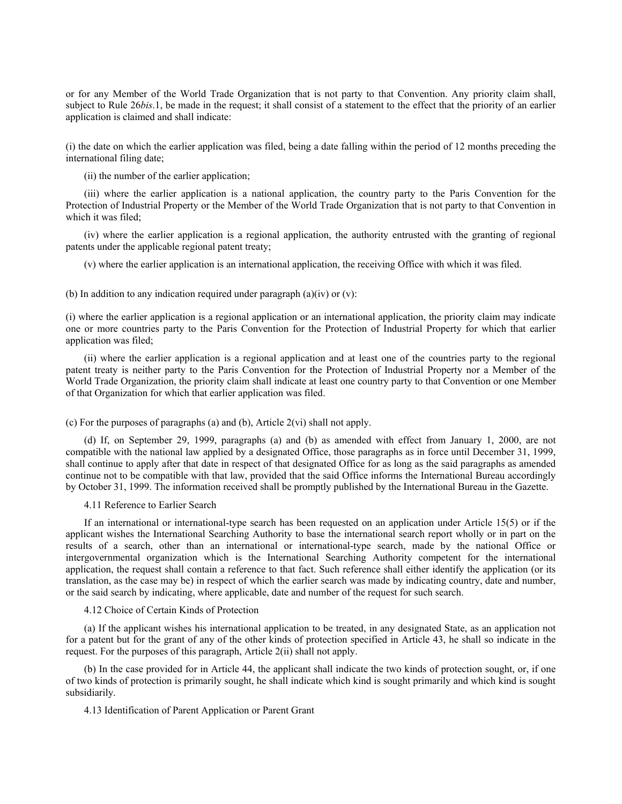or for any Member of the World Trade Organization that is not party to that Convention. Any priority claim shall, subject to Rule 26*bis*.1, be made in the request; it shall consist of a statement to the effect that the priority of an earlier application is claimed and shall indicate:

(i) the date on which the earlier application was filed, being a date falling within the period of 12 months preceding the international filing date;

(ii) the number of the earlier application;

(iii) where the earlier application is a national application, the country party to the Paris Convention for the Protection of Industrial Property or the Member of the World Trade Organization that is not party to that Convention in which it was filed;

(iv) where the earlier application is a regional application, the authority entrusted with the granting of regional patents under the applicable regional patent treaty;

(v) where the earlier application is an international application, the receiving Office with which it was filed.

(b) In addition to any indication required under paragraph (a)(iv) or (v):

(i) where the earlier application is a regional application or an international application, the priority claim may indicate one or more countries party to the Paris Convention for the Protection of Industrial Property for which that earlier application was filed;

(ii) where the earlier application is a regional application and at least one of the countries party to the regional patent treaty is neither party to the Paris Convention for the Protection of Industrial Property nor a Member of the World Trade Organization, the priority claim shall indicate at least one country party to that Convention or one Member of that Organization for which that earlier application was filed.

(c) For the purposes of paragraphs (a) and (b), Article 2(vi) shall not apply.

(d) If, on September 29, 1999, paragraphs (a) and (b) as amended with effect from January 1, 2000, are not compatible with the national law applied by a designated Office, those paragraphs as in force until December 31, 1999, shall continue to apply after that date in respect of that designated Office for as long as the said paragraphs as amended continue not to be compatible with that law, provided that the said Office informs the International Bureau accordingly by October 31, 1999. The information received shall be promptly published by the International Bureau in the Gazette.

4.11 Reference to Earlier Search

If an international or international-type search has been requested on an application under Article 15(5) or if the applicant wishes the International Searching Authority to base the international search report wholly or in part on the results of a search, other than an international or international-type search, made by the national Office or intergovernmental organization which is the International Searching Authority competent for the international application, the request shall contain a reference to that fact. Such reference shall either identify the application (or its translation, as the case may be) in respect of which the earlier search was made by indicating country, date and number, or the said search by indicating, where applicable, date and number of the request for such search.

4.12 Choice of Certain Kinds of Protection

(a) If the applicant wishes his international application to be treated, in any designated State, as an application not for a patent but for the grant of any of the other kinds of protection specified in Article 43, he shall so indicate in the request. For the purposes of this paragraph, Article 2(ii) shall not apply.

(b) In the case provided for in Article 44, the applicant shall indicate the two kinds of protection sought, or, if one of two kinds of protection is primarily sought, he shall indicate which kind is sought primarily and which kind is sought subsidiarily.

4.13 Identification of Parent Application or Parent Grant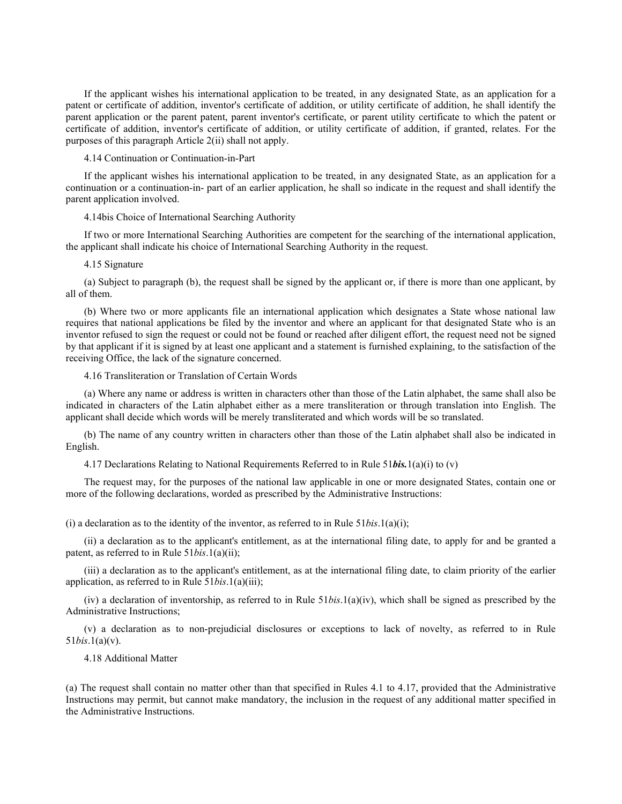If the applicant wishes his international application to be treated, in any designated State, as an application for a patent or certificate of addition, inventor's certificate of addition, or utility certificate of addition, he shall identify the parent application or the parent patent, parent inventor's certificate, or parent utility certificate to which the patent or certificate of addition, inventor's certificate of addition, or utility certificate of addition, if granted, relates. For the purposes of this paragraph Article 2(ii) shall not apply.

### 4.14 Continuation or Continuation-in-Part

If the applicant wishes his international application to be treated, in any designated State, as an application for a continuation or a continuation-in- part of an earlier application, he shall so indicate in the request and shall identify the parent application involved.

## 4.14bis Choice of International Searching Authority

If two or more International Searching Authorities are competent for the searching of the international application, the applicant shall indicate his choice of International Searching Authority in the request.

### 4.15 Signature

(a) Subject to paragraph (b), the request shall be signed by the applicant or, if there is more than one applicant, by all of them.

(b) Where two or more applicants file an international application which designates a State whose national law requires that national applications be filed by the inventor and where an applicant for that designated State who is an inventor refused to sign the request or could not be found or reached after diligent effort, the request need not be signed by that applicant if it is signed by at least one applicant and a statement is furnished explaining, to the satisfaction of the receiving Office, the lack of the signature concerned.

### 4.16 Transliteration or Translation of Certain Words

(a) Where any name or address is written in characters other than those of the Latin alphabet, the same shall also be indicated in characters of the Latin alphabet either as a mere transliteration or through translation into English. The applicant shall decide which words will be merely transliterated and which words will be so translated.

(b) The name of any country written in characters other than those of the Latin alphabet shall also be indicated in English.

4.17 Declarations Relating to National Requirements Referred to in Rule 51*bis.*1(a)(i) to (v)

The request may, for the purposes of the national law applicable in one or more designated States, contain one or more of the following declarations, worded as prescribed by the Administrative Instructions:

(i) a declaration as to the identity of the inventor, as referred to in Rule  $51bis.1(a)(i)$ ;

(ii) a declaration as to the applicant's entitlement, as at the international filing date, to apply for and be granted a patent, as referred to in Rule 51*bis*.1(a)(ii);

(iii) a declaration as to the applicant's entitlement, as at the international filing date, to claim priority of the earlier application, as referred to in Rule 51*bis*.1(a)(iii);

(iv) a declaration of inventorship, as referred to in Rule 51*bis*.1(a)(iv), which shall be signed as prescribed by the Administrative Instructions;

(v) a declaration as to non-prejudicial disclosures or exceptions to lack of novelty, as referred to in Rule 51*bis*.1(a)(v).

# 4.18 Additional Matter

(a) The request shall contain no matter other than that specified in Rules 4.1 to 4.17, provided that the Administrative Instructions may permit, but cannot make mandatory, the inclusion in the request of any additional matter specified in the Administrative Instructions.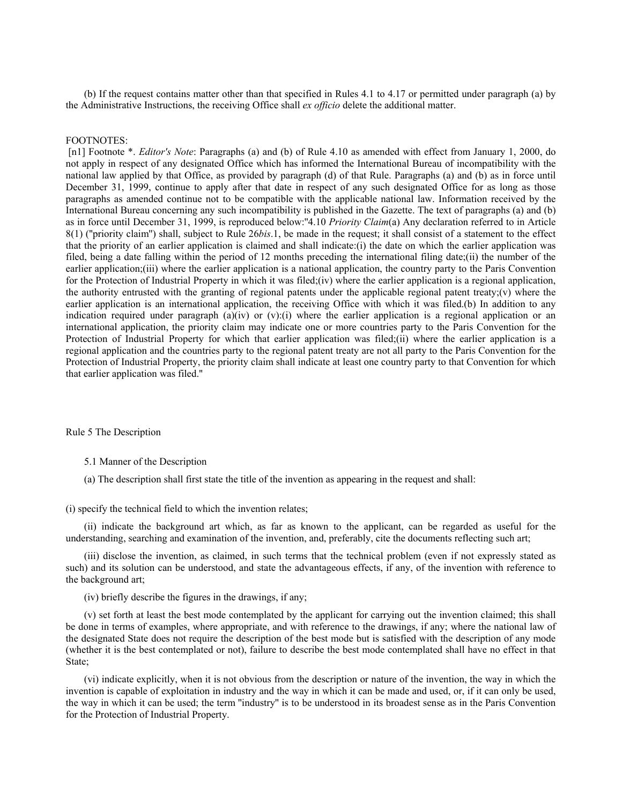(b) If the request contains matter other than that specified in Rules 4.1 to 4.17 or permitted under paragraph (a) by the Administrative Instructions, the receiving Office shall *ex officio* delete the additional matter.

## FOOTNOTES:

 [n1] Footnote \*. *Editor's Note*: Paragraphs (a) and (b) of Rule 4.10 as amended with effect from January 1, 2000, do not apply in respect of any designated Office which has informed the International Bureau of incompatibility with the national law applied by that Office, as provided by paragraph (d) of that Rule. Paragraphs (a) and (b) as in force until December 31, 1999, continue to apply after that date in respect of any such designated Office for as long as those paragraphs as amended continue not to be compatible with the applicable national law. Information received by the International Bureau concerning any such incompatibility is published in the Gazette. The text of paragraphs (a) and (b) as in force until December 31, 1999, is reproduced below:''4.10 *Priority Claim*(a) Any declaration referred to in Article 8(1) (''priority claim'') shall, subject to Rule 26*bis*.1, be made in the request; it shall consist of a statement to the effect that the priority of an earlier application is claimed and shall indicate:(i) the date on which the earlier application was filed, being a date falling within the period of 12 months preceding the international filing date;(ii) the number of the earlier application;(iii) where the earlier application is a national application, the country party to the Paris Convention for the Protection of Industrial Property in which it was filed;(iv) where the earlier application is a regional application, the authority entrusted with the granting of regional patents under the applicable regional patent treaty;(v) where the earlier application is an international application, the receiving Office with which it was filed.(b) In addition to any indication required under paragraph (a)(iv) or (v):(i) where the earlier application is a regional application or an international application, the priority claim may indicate one or more countries party to the Paris Convention for the Protection of Industrial Property for which that earlier application was filed;(ii) where the earlier application is a regional application and the countries party to the regional patent treaty are not all party to the Paris Convention for the Protection of Industrial Property, the priority claim shall indicate at least one country party to that Convention for which that earlier application was filed.''

#### Rule 5 The Description

5.1 Manner of the Description

(a) The description shall first state the title of the invention as appearing in the request and shall:

(i) specify the technical field to which the invention relates;

(ii) indicate the background art which, as far as known to the applicant, can be regarded as useful for the understanding, searching and examination of the invention, and, preferably, cite the documents reflecting such art;

(iii) disclose the invention, as claimed, in such terms that the technical problem (even if not expressly stated as such) and its solution can be understood, and state the advantageous effects, if any, of the invention with reference to the background art;

(iv) briefly describe the figures in the drawings, if any;

(v) set forth at least the best mode contemplated by the applicant for carrying out the invention claimed; this shall be done in terms of examples, where appropriate, and with reference to the drawings, if any; where the national law of the designated State does not require the description of the best mode but is satisfied with the description of any mode (whether it is the best contemplated or not), failure to describe the best mode contemplated shall have no effect in that State;

(vi) indicate explicitly, when it is not obvious from the description or nature of the invention, the way in which the invention is capable of exploitation in industry and the way in which it can be made and used, or, if it can only be used, the way in which it can be used; the term ''industry'' is to be understood in its broadest sense as in the Paris Convention for the Protection of Industrial Property.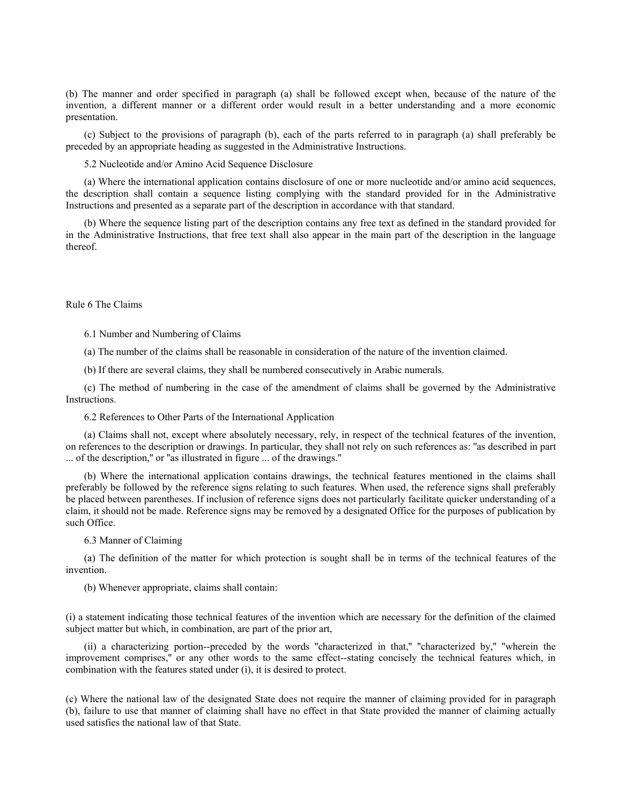(b) The manner and order specified in paragraph (a) shall be followed except when, because of the nature of the invention, a different manner or a different order would result in a better understanding and a more economic presentation.

(c) Subject to the provisions of paragraph (b), each of the parts referred to in paragraph (a) shall preferably be preceded by an appropriate heading as suggested in the Administrative Instructions.

5.2 Nucleotide and/or Amino Acid Sequence Disclosure

(a) Where the international application contains disclosure of one or more nucleotide and/or amino acid sequences, the description shall contain a sequence listing complying with the standard provided for in the Administrative Instructions and presented as a separate part of the description in accordance with that standard.

(b) Where the sequence listing part of the description contains any free text as defined in the standard provided for in the Administrative Instructions, that free text shall also appear in the main part of the description in the language thereof.

### Rule 6 The Claims

6.1 Number and Numbering of Claims

(a) The number of the claims shall be reasonable in consideration of the nature of the invention claimed.

(b) If there are several claims, they shall be numbered consecutively in Arabic numerals.

(c) The method of numbering in the case of the amendment of claims shall be governed by the Administrative Instructions.

6.2 References to Other Parts of the International Application

(a) Claims shall not, except where absolutely necessary, rely, in respect of the technical features of the invention, on references to the description or drawings. In particular, they shall not rely on such references as: ''as described in part ... of the description,'' or ''as illustrated in figure ... of the drawings.''

(b) Where the international application contains drawings, the technical features mentioned in the claims shall preferably be followed by the reference signs relating to such features. When used, the reference signs shall preferably be placed between parentheses. If inclusion of reference signs does not particularly facilitate quicker understanding of a claim, it should not be made. Reference signs may be removed by a designated Office for the purposes of publication by such Office.

## 6.3 Manner of Claiming

(a) The definition of the matter for which protection is sought shall be in terms of the technical features of the invention.

(b) Whenever appropriate, claims shall contain:

(i) a statement indicating those technical features of the invention which are necessary for the definition of the claimed subject matter but which, in combination, are part of the prior art,

(ii) a characterizing portion--preceded by the words ''characterized in that,'' ''characterized by,'' ''wherein the improvement comprises,'' or any other words to the same effect--stating concisely the technical features which, in combination with the features stated under (i), it is desired to protect.

(c) Where the national law of the designated State does not require the manner of claiming provided for in paragraph (b), failure to use that manner of claiming shall have no effect in that State provided the manner of claiming actually used satisfies the national law of that State.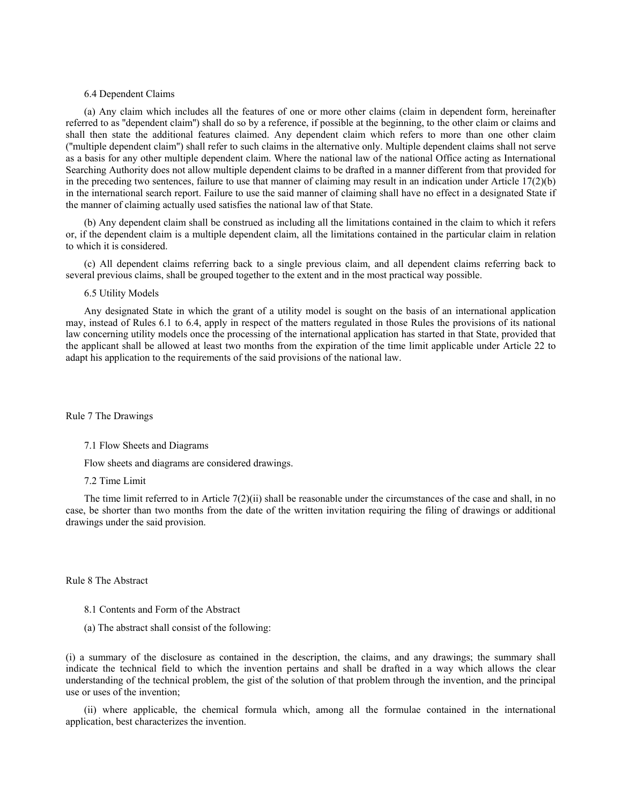### 6.4 Dependent Claims

(a) Any claim which includes all the features of one or more other claims (claim in dependent form, hereinafter referred to as ''dependent claim'') shall do so by a reference, if possible at the beginning, to the other claim or claims and shall then state the additional features claimed. Any dependent claim which refers to more than one other claim (''multiple dependent claim'') shall refer to such claims in the alternative only. Multiple dependent claims shall not serve as a basis for any other multiple dependent claim. Where the national law of the national Office acting as International Searching Authority does not allow multiple dependent claims to be drafted in a manner different from that provided for in the preceding two sentences, failure to use that manner of claiming may result in an indication under Article  $17(2)(b)$ in the international search report. Failure to use the said manner of claiming shall have no effect in a designated State if the manner of claiming actually used satisfies the national law of that State.

(b) Any dependent claim shall be construed as including all the limitations contained in the claim to which it refers or, if the dependent claim is a multiple dependent claim, all the limitations contained in the particular claim in relation to which it is considered.

(c) All dependent claims referring back to a single previous claim, and all dependent claims referring back to several previous claims, shall be grouped together to the extent and in the most practical way possible.

### 6.5 Utility Models

Any designated State in which the grant of a utility model is sought on the basis of an international application may, instead of Rules 6.1 to 6.4, apply in respect of the matters regulated in those Rules the provisions of its national law concerning utility models once the processing of the international application has started in that State, provided that the applicant shall be allowed at least two months from the expiration of the time limit applicable under Article 22 to adapt his application to the requirements of the said provisions of the national law.

Rule 7 The Drawings

## 7.1 Flow Sheets and Diagrams

Flow sheets and diagrams are considered drawings.

### 7.2 Time Limit

The time limit referred to in Article 7(2)(ii) shall be reasonable under the circumstances of the case and shall, in no case, be shorter than two months from the date of the written invitation requiring the filing of drawings or additional drawings under the said provision.

## Rule 8 The Abstract

- 8.1 Contents and Form of the Abstract
- (a) The abstract shall consist of the following:

(i) a summary of the disclosure as contained in the description, the claims, and any drawings; the summary shall indicate the technical field to which the invention pertains and shall be drafted in a way which allows the clear understanding of the technical problem, the gist of the solution of that problem through the invention, and the principal use or uses of the invention;

(ii) where applicable, the chemical formula which, among all the formulae contained in the international application, best characterizes the invention.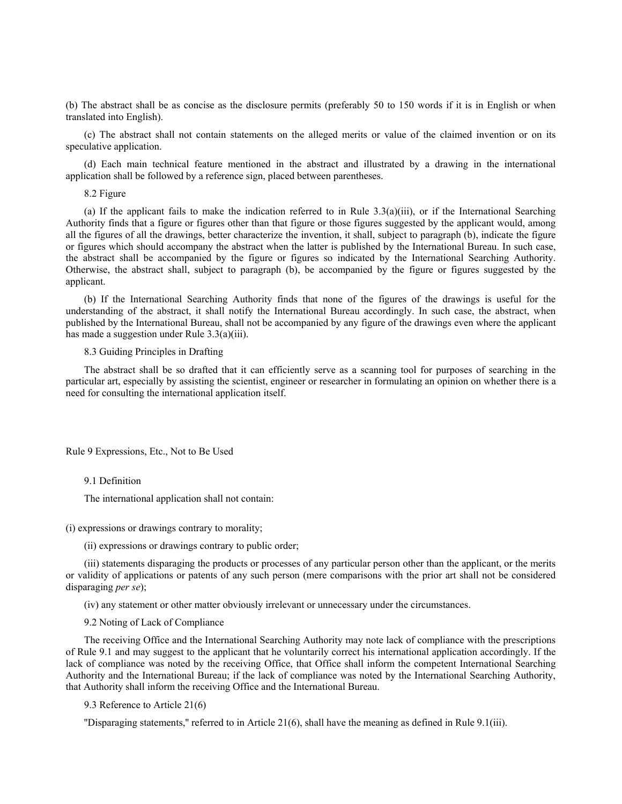(b) The abstract shall be as concise as the disclosure permits (preferably 50 to 150 words if it is in English or when translated into English).

(c) The abstract shall not contain statements on the alleged merits or value of the claimed invention or on its speculative application.

(d) Each main technical feature mentioned in the abstract and illustrated by a drawing in the international application shall be followed by a reference sign, placed between parentheses.

### 8.2 Figure

(a) If the applicant fails to make the indication referred to in Rule  $3.3(a)(iii)$ , or if the International Searching Authority finds that a figure or figures other than that figure or those figures suggested by the applicant would, among all the figures of all the drawings, better characterize the invention, it shall, subject to paragraph (b), indicate the figure or figures which should accompany the abstract when the latter is published by the International Bureau. In such case, the abstract shall be accompanied by the figure or figures so indicated by the International Searching Authority. Otherwise, the abstract shall, subject to paragraph (b), be accompanied by the figure or figures suggested by the applicant.

(b) If the International Searching Authority finds that none of the figures of the drawings is useful for the understanding of the abstract, it shall notify the International Bureau accordingly. In such case, the abstract, when published by the International Bureau, shall not be accompanied by any figure of the drawings even where the applicant has made a suggestion under Rule 3.3(a)(iii).

# 8.3 Guiding Principles in Drafting

The abstract shall be so drafted that it can efficiently serve as a scanning tool for purposes of searching in the particular art, especially by assisting the scientist, engineer or researcher in formulating an opinion on whether there is a need for consulting the international application itself.

# Rule 9 Expressions, Etc., Not to Be Used

## 9.1 Definition

The international application shall not contain:

(i) expressions or drawings contrary to morality;

(ii) expressions or drawings contrary to public order;

(iii) statements disparaging the products or processes of any particular person other than the applicant, or the merits or validity of applications or patents of any such person (mere comparisons with the prior art shall not be considered disparaging *per se*);

(iv) any statement or other matter obviously irrelevant or unnecessary under the circumstances.

9.2 Noting of Lack of Compliance

The receiving Office and the International Searching Authority may note lack of compliance with the prescriptions of Rule 9.1 and may suggest to the applicant that he voluntarily correct his international application accordingly. If the lack of compliance was noted by the receiving Office, that Office shall inform the competent International Searching Authority and the International Bureau; if the lack of compliance was noted by the International Searching Authority, that Authority shall inform the receiving Office and the International Bureau.

9.3 Reference to Article 21(6)

''Disparaging statements,'' referred to in Article 21(6), shall have the meaning as defined in Rule 9.1(iii).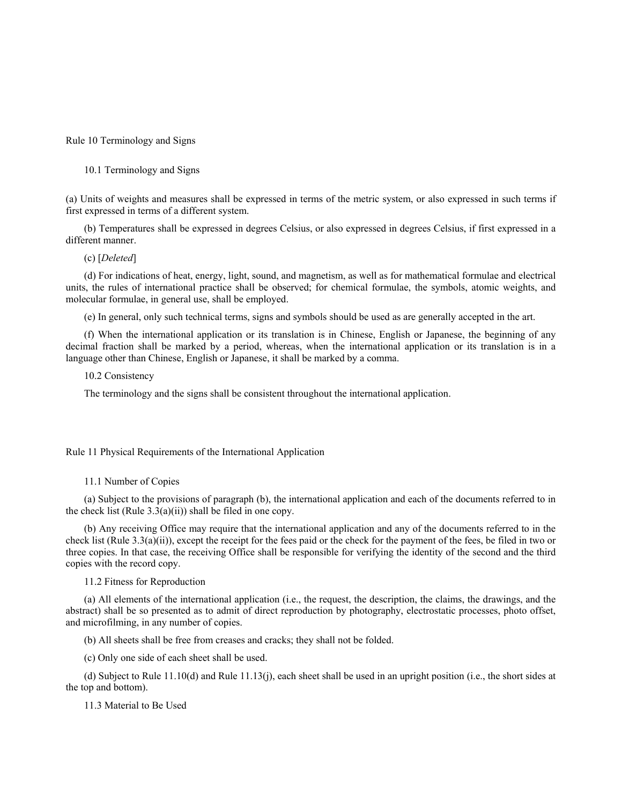Rule 10 Terminology and Signs

### 10.1 Terminology and Signs

(a) Units of weights and measures shall be expressed in terms of the metric system, or also expressed in such terms if first expressed in terms of a different system.

(b) Temperatures shall be expressed in degrees Celsius, or also expressed in degrees Celsius, if first expressed in a different manner.

## (c) [*Deleted*]

(d) For indications of heat, energy, light, sound, and magnetism, as well as for mathematical formulae and electrical units, the rules of international practice shall be observed; for chemical formulae, the symbols, atomic weights, and molecular formulae, in general use, shall be employed.

(e) In general, only such technical terms, signs and symbols should be used as are generally accepted in the art.

(f) When the international application or its translation is in Chinese, English or Japanese, the beginning of any decimal fraction shall be marked by a period, whereas, when the international application or its translation is in a language other than Chinese, English or Japanese, it shall be marked by a comma.

#### 10.2 Consistency

The terminology and the signs shall be consistent throughout the international application.

Rule 11 Physical Requirements of the International Application

### 11.1 Number of Copies

(a) Subject to the provisions of paragraph (b), the international application and each of the documents referred to in the check list (Rule  $3.3(a)(ii)$ ) shall be filed in one copy.

(b) Any receiving Office may require that the international application and any of the documents referred to in the check list (Rule 3.3(a)(ii)), except the receipt for the fees paid or the check for the payment of the fees, be filed in two or three copies. In that case, the receiving Office shall be responsible for verifying the identity of the second and the third copies with the record copy.

### 11.2 Fitness for Reproduction

(a) All elements of the international application (i.e., the request, the description, the claims, the drawings, and the abstract) shall be so presented as to admit of direct reproduction by photography, electrostatic processes, photo offset, and microfilming, in any number of copies.

(b) All sheets shall be free from creases and cracks; they shall not be folded.

(c) Only one side of each sheet shall be used.

(d) Subject to Rule 11.10(d) and Rule 11.13(j), each sheet shall be used in an upright position (i.e., the short sides at the top and bottom).

## 11.3 Material to Be Used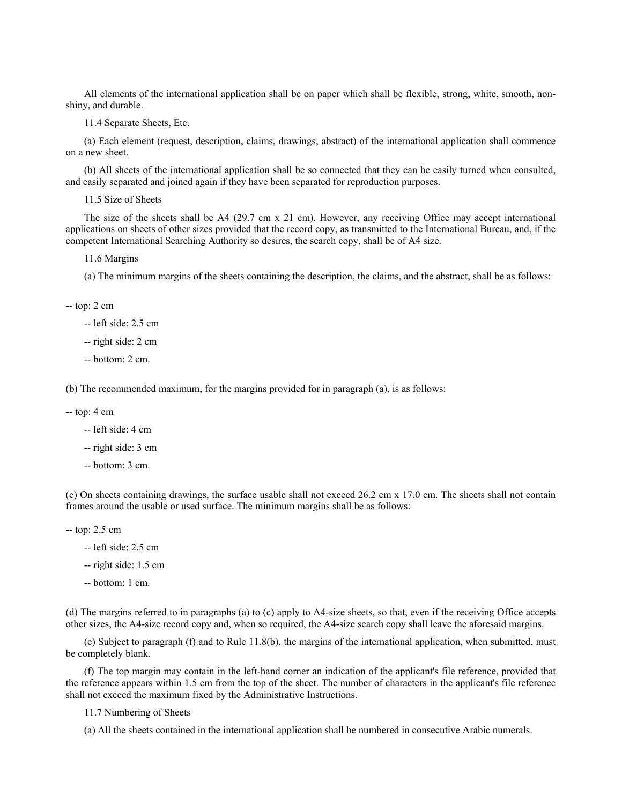All elements of the international application shall be on paper which shall be flexible, strong, white, smooth, nonshiny, and durable.

11.4 Separate Sheets, Etc.

(a) Each element (request, description, claims, drawings, abstract) of the international application shall commence on a new sheet.

(b) All sheets of the international application shall be so connected that they can be easily turned when consulted, and easily separated and joined again if they have been separated for reproduction purposes.

11.5 Size of Sheets

The size of the sheets shall be A4 (29.7 cm x 21 cm). However, any receiving Office may accept international applications on sheets of other sizes provided that the record copy, as transmitted to the International Bureau, and, if the competent International Searching Authority so desires, the search copy, shall be of A4 size.

11.6 Margins

(a) The minimum margins of the sheets containing the description, the claims, and the abstract, shall be as follows:

-- top: 2 cm

-- left side: 2.5 cm

-- right side: 2 cm

-- bottom: 2 cm.

(b) The recommended maximum, for the margins provided for in paragraph (a), is as follows:

-- top: 4 cm

-- left side: 4 cm

-- right side: 3 cm

-- bottom: 3 cm.

(c) On sheets containing drawings, the surface usable shall not exceed 26.2 cm x 17.0 cm. The sheets shall not contain frames around the usable or used surface. The minimum margins shall be as follows:

-- top: 2.5 cm

-- left side: 2.5 cm

-- right side: 1.5 cm

-- bottom: 1 cm.

(d) The margins referred to in paragraphs (a) to (c) apply to A4-size sheets, so that, even if the receiving Office accepts other sizes, the A4-size record copy and, when so required, the A4-size search copy shall leave the aforesaid margins.

(e) Subject to paragraph (f) and to Rule 11.8(b), the margins of the international application, when submitted, must be completely blank.

(f) The top margin may contain in the left-hand corner an indication of the applicant's file reference, provided that the reference appears within 1.5 cm from the top of the sheet. The number of characters in the applicant's file reference shall not exceed the maximum fixed by the Administrative Instructions.

11.7 Numbering of Sheets

(a) All the sheets contained in the international application shall be numbered in consecutive Arabic numerals.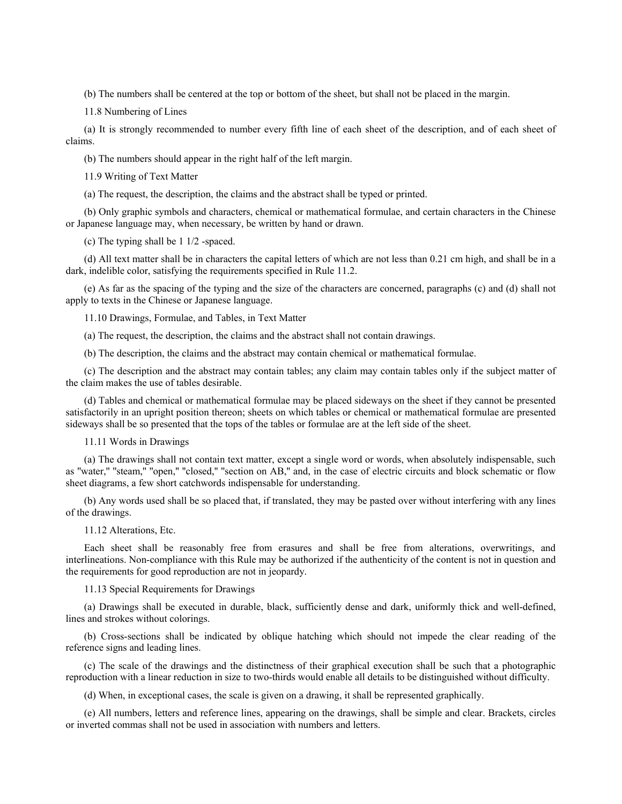(b) The numbers shall be centered at the top or bottom of the sheet, but shall not be placed in the margin.

11.8 Numbering of Lines

(a) It is strongly recommended to number every fifth line of each sheet of the description, and of each sheet of claims.

(b) The numbers should appear in the right half of the left margin.

11.9 Writing of Text Matter

(a) The request, the description, the claims and the abstract shall be typed or printed.

(b) Only graphic symbols and characters, chemical or mathematical formulae, and certain characters in the Chinese or Japanese language may, when necessary, be written by hand or drawn.

(c) The typing shall be 1 1/2 -spaced.

(d) All text matter shall be in characters the capital letters of which are not less than 0.21 cm high, and shall be in a dark, indelible color, satisfying the requirements specified in Rule 11.2.

(e) As far as the spacing of the typing and the size of the characters are concerned, paragraphs (c) and (d) shall not apply to texts in the Chinese or Japanese language.

11.10 Drawings, Formulae, and Tables, in Text Matter

(a) The request, the description, the claims and the abstract shall not contain drawings.

(b) The description, the claims and the abstract may contain chemical or mathematical formulae.

(c) The description and the abstract may contain tables; any claim may contain tables only if the subject matter of the claim makes the use of tables desirable.

(d) Tables and chemical or mathematical formulae may be placed sideways on the sheet if they cannot be presented satisfactorily in an upright position thereon; sheets on which tables or chemical or mathematical formulae are presented sideways shall be so presented that the tops of the tables or formulae are at the left side of the sheet.

# 11.11 Words in Drawings

(a) The drawings shall not contain text matter, except a single word or words, when absolutely indispensable, such as "water," "steam," "open," "closed," "section on AB," and, in the case of electric circuits and block schematic or flow sheet diagrams, a few short catchwords indispensable for understanding.

(b) Any words used shall be so placed that, if translated, they may be pasted over without interfering with any lines of the drawings.

11.12 Alterations, Etc.

Each sheet shall be reasonably free from erasures and shall be free from alterations, overwritings, and interlineations. Non-compliance with this Rule may be authorized if the authenticity of the content is not in question and the requirements for good reproduction are not in jeopardy.

11.13 Special Requirements for Drawings

(a) Drawings shall be executed in durable, black, sufficiently dense and dark, uniformly thick and well-defined, lines and strokes without colorings.

(b) Cross-sections shall be indicated by oblique hatching which should not impede the clear reading of the reference signs and leading lines.

(c) The scale of the drawings and the distinctness of their graphical execution shall be such that a photographic reproduction with a linear reduction in size to two-thirds would enable all details to be distinguished without difficulty.

(d) When, in exceptional cases, the scale is given on a drawing, it shall be represented graphically.

(e) All numbers, letters and reference lines, appearing on the drawings, shall be simple and clear. Brackets, circles or inverted commas shall not be used in association with numbers and letters.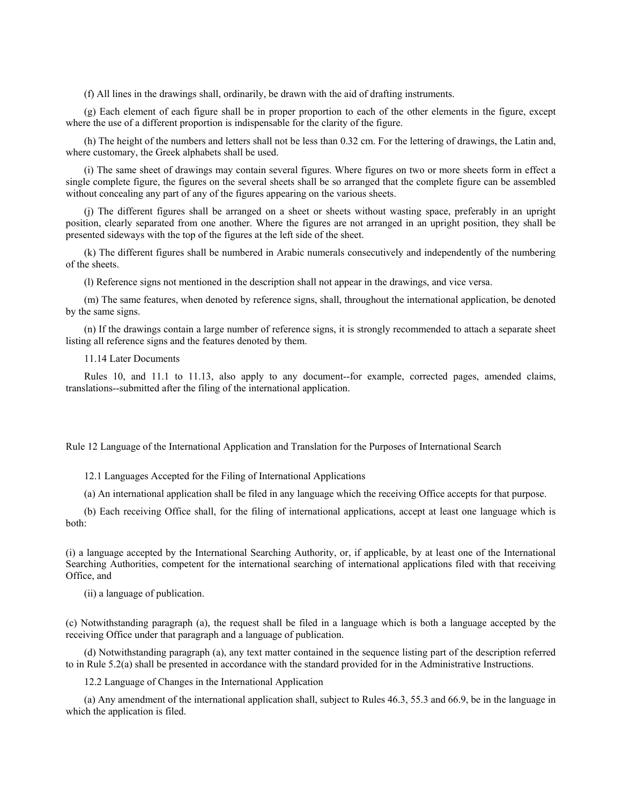(f) All lines in the drawings shall, ordinarily, be drawn with the aid of drafting instruments.

(g) Each element of each figure shall be in proper proportion to each of the other elements in the figure, except where the use of a different proportion is indispensable for the clarity of the figure.

(h) The height of the numbers and letters shall not be less than 0.32 cm. For the lettering of drawings, the Latin and, where customary, the Greek alphabets shall be used.

(i) The same sheet of drawings may contain several figures. Where figures on two or more sheets form in effect a single complete figure, the figures on the several sheets shall be so arranged that the complete figure can be assembled without concealing any part of any of the figures appearing on the various sheets.

(j) The different figures shall be arranged on a sheet or sheets without wasting space, preferably in an upright position, clearly separated from one another. Where the figures are not arranged in an upright position, they shall be presented sideways with the top of the figures at the left side of the sheet.

(k) The different figures shall be numbered in Arabic numerals consecutively and independently of the numbering of the sheets.

(l) Reference signs not mentioned in the description shall not appear in the drawings, and vice versa.

(m) The same features, when denoted by reference signs, shall, throughout the international application, be denoted by the same signs.

(n) If the drawings contain a large number of reference signs, it is strongly recommended to attach a separate sheet listing all reference signs and the features denoted by them.

11.14 Later Documents

Rules 10, and 11.1 to 11.13, also apply to any document--for example, corrected pages, amended claims, translations--submitted after the filing of the international application.

Rule 12 Language of the International Application and Translation for the Purposes of International Search

12.1 Languages Accepted for the Filing of International Applications

(a) An international application shall be filed in any language which the receiving Office accepts for that purpose.

(b) Each receiving Office shall, for the filing of international applications, accept at least one language which is both:

(i) a language accepted by the International Searching Authority, or, if applicable, by at least one of the International Searching Authorities, competent for the international searching of international applications filed with that receiving Office, and

(ii) a language of publication.

(c) Notwithstanding paragraph (a), the request shall be filed in a language which is both a language accepted by the receiving Office under that paragraph and a language of publication.

(d) Notwithstanding paragraph (a), any text matter contained in the sequence listing part of the description referred to in Rule 5.2(a) shall be presented in accordance with the standard provided for in the Administrative Instructions.

12.2 Language of Changes in the International Application

(a) Any amendment of the international application shall, subject to Rules 46.3, 55.3 and 66.9, be in the language in which the application is filed.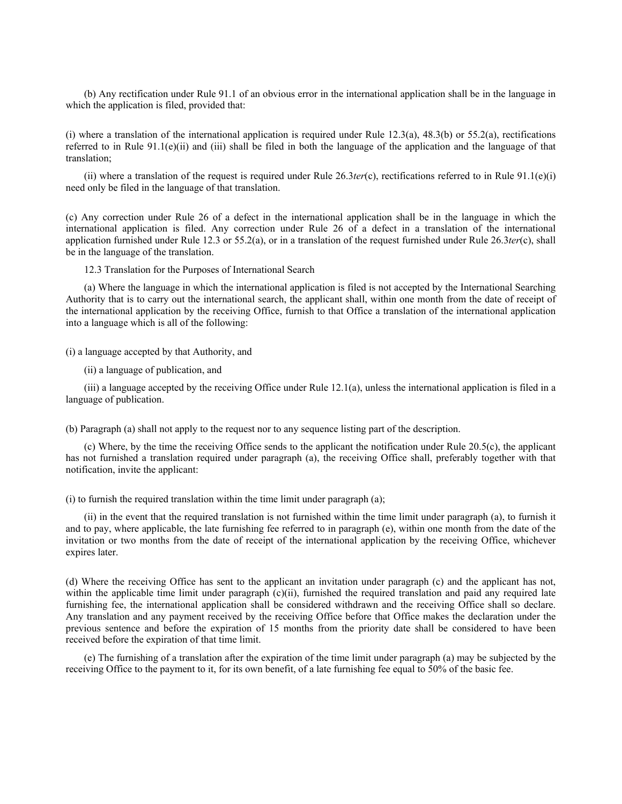(b) Any rectification under Rule 91.1 of an obvious error in the international application shall be in the language in which the application is filed, provided that:

(i) where a translation of the international application is required under Rule 12.3(a), 48.3(b) or 55.2(a), rectifications referred to in Rule 91.1(e)(ii) and (iii) shall be filed in both the language of the application and the language of that translation;

(ii) where a translation of the request is required under Rule  $26.3$ ter(c), rectifications referred to in Rule  $91.1(e)(i)$ need only be filed in the language of that translation.

(c) Any correction under Rule 26 of a defect in the international application shall be in the language in which the international application is filed. Any correction under Rule 26 of a defect in a translation of the international application furnished under Rule 12.3 or 55.2(a), or in a translation of the request furnished under Rule 26.3*ter*(c), shall be in the language of the translation.

12.3 Translation for the Purposes of International Search

(a) Where the language in which the international application is filed is not accepted by the International Searching Authority that is to carry out the international search, the applicant shall, within one month from the date of receipt of the international application by the receiving Office, furnish to that Office a translation of the international application into a language which is all of the following:

(i) a language accepted by that Authority, and

(ii) a language of publication, and

 $(iii)$  a language accepted by the receiving Office under Rule 12.1(a), unless the international application is filed in a language of publication.

(b) Paragraph (a) shall not apply to the request nor to any sequence listing part of the description.

(c) Where, by the time the receiving Office sends to the applicant the notification under Rule  $20.5(c)$ , the applicant has not furnished a translation required under paragraph (a), the receiving Office shall, preferably together with that notification, invite the applicant:

(i) to furnish the required translation within the time limit under paragraph (a);

(ii) in the event that the required translation is not furnished within the time limit under paragraph (a), to furnish it and to pay, where applicable, the late furnishing fee referred to in paragraph (e), within one month from the date of the invitation or two months from the date of receipt of the international application by the receiving Office, whichever expires later.

(d) Where the receiving Office has sent to the applicant an invitation under paragraph (c) and the applicant has not, within the applicable time limit under paragraph  $(c)(ii)$ , furnished the required translation and paid any required late furnishing fee, the international application shall be considered withdrawn and the receiving Office shall so declare. Any translation and any payment received by the receiving Office before that Office makes the declaration under the previous sentence and before the expiration of 15 months from the priority date shall be considered to have been received before the expiration of that time limit.

(e) The furnishing of a translation after the expiration of the time limit under paragraph (a) may be subjected by the receiving Office to the payment to it, for its own benefit, of a late furnishing fee equal to 50% of the basic fee.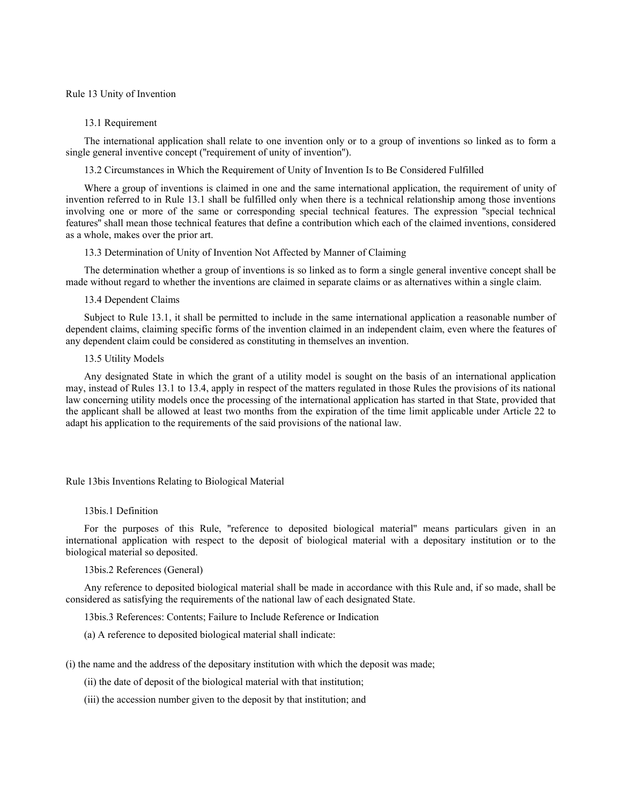### Rule 13 Unity of Invention

### 13.1 Requirement

The international application shall relate to one invention only or to a group of inventions so linked as to form a single general inventive concept (''requirement of unity of invention'').

13.2 Circumstances in Which the Requirement of Unity of Invention Is to Be Considered Fulfilled

Where a group of inventions is claimed in one and the same international application, the requirement of unity of invention referred to in Rule 13.1 shall be fulfilled only when there is a technical relationship among those inventions involving one or more of the same or corresponding special technical features. The expression ''special technical features'' shall mean those technical features that define a contribution which each of the claimed inventions, considered as a whole, makes over the prior art.

13.3 Determination of Unity of Invention Not Affected by Manner of Claiming

The determination whether a group of inventions is so linked as to form a single general inventive concept shall be made without regard to whether the inventions are claimed in separate claims or as alternatives within a single claim.

### 13.4 Dependent Claims

Subject to Rule 13.1, it shall be permitted to include in the same international application a reasonable number of dependent claims, claiming specific forms of the invention claimed in an independent claim, even where the features of any dependent claim could be considered as constituting in themselves an invention.

#### 13.5 Utility Models

Any designated State in which the grant of a utility model is sought on the basis of an international application may, instead of Rules 13.1 to 13.4, apply in respect of the matters regulated in those Rules the provisions of its national law concerning utility models once the processing of the international application has started in that State, provided that the applicant shall be allowed at least two months from the expiration of the time limit applicable under Article 22 to adapt his application to the requirements of the said provisions of the national law.

Rule 13bis Inventions Relating to Biological Material

## 13bis.1 Definition

For the purposes of this Rule, "reference to deposited biological material" means particulars given in an international application with respect to the deposit of biological material with a depositary institution or to the biological material so deposited.

## 13bis.2 References (General)

Any reference to deposited biological material shall be made in accordance with this Rule and, if so made, shall be considered as satisfying the requirements of the national law of each designated State.

13bis.3 References: Contents; Failure to Include Reference or Indication

(a) A reference to deposited biological material shall indicate:

(i) the name and the address of the depositary institution with which the deposit was made;

(ii) the date of deposit of the biological material with that institution;

(iii) the accession number given to the deposit by that institution; and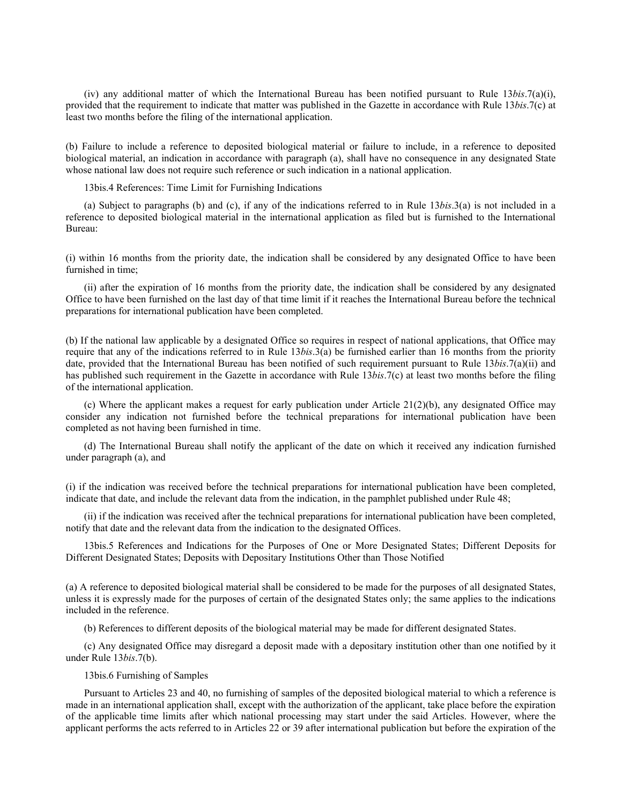(iv) any additional matter of which the International Bureau has been notified pursuant to Rule 13*bis*.7(a)(i), provided that the requirement to indicate that matter was published in the Gazette in accordance with Rule 13*bis*.7(c) at least two months before the filing of the international application.

(b) Failure to include a reference to deposited biological material or failure to include, in a reference to deposited biological material, an indication in accordance with paragraph (a), shall have no consequence in any designated State whose national law does not require such reference or such indication in a national application.

13bis.4 References: Time Limit for Furnishing Indications

(a) Subject to paragraphs (b) and (c), if any of the indications referred to in Rule 13*bis*.3(a) is not included in a reference to deposited biological material in the international application as filed but is furnished to the International Bureau:

(i) within 16 months from the priority date, the indication shall be considered by any designated Office to have been furnished in time;

(ii) after the expiration of 16 months from the priority date, the indication shall be considered by any designated Office to have been furnished on the last day of that time limit if it reaches the International Bureau before the technical preparations for international publication have been completed.

(b) If the national law applicable by a designated Office so requires in respect of national applications, that Office may require that any of the indications referred to in Rule 13*bis*.3(a) be furnished earlier than 16 months from the priority date, provided that the International Bureau has been notified of such requirement pursuant to Rule 13*bis*.7(a)(ii) and has published such requirement in the Gazette in accordance with Rule 13*bis*.7(c) at least two months before the filing of the international application.

(c) Where the applicant makes a request for early publication under Article  $21(2)(b)$ , any designated Office may consider any indication not furnished before the technical preparations for international publication have been completed as not having been furnished in time.

(d) The International Bureau shall notify the applicant of the date on which it received any indication furnished under paragraph (a), and

(i) if the indication was received before the technical preparations for international publication have been completed, indicate that date, and include the relevant data from the indication, in the pamphlet published under Rule 48;

(ii) if the indication was received after the technical preparations for international publication have been completed, notify that date and the relevant data from the indication to the designated Offices.

13bis.5 References and Indications for the Purposes of One or More Designated States; Different Deposits for Different Designated States; Deposits with Depositary Institutions Other than Those Notified

(a) A reference to deposited biological material shall be considered to be made for the purposes of all designated States, unless it is expressly made for the purposes of certain of the designated States only; the same applies to the indications included in the reference.

(b) References to different deposits of the biological material may be made for different designated States.

(c) Any designated Office may disregard a deposit made with a depositary institution other than one notified by it under Rule 13*bis*.7(b).

13bis.6 Furnishing of Samples

Pursuant to Articles 23 and 40, no furnishing of samples of the deposited biological material to which a reference is made in an international application shall, except with the authorization of the applicant, take place before the expiration of the applicable time limits after which national processing may start under the said Articles. However, where the applicant performs the acts referred to in Articles 22 or 39 after international publication but before the expiration of the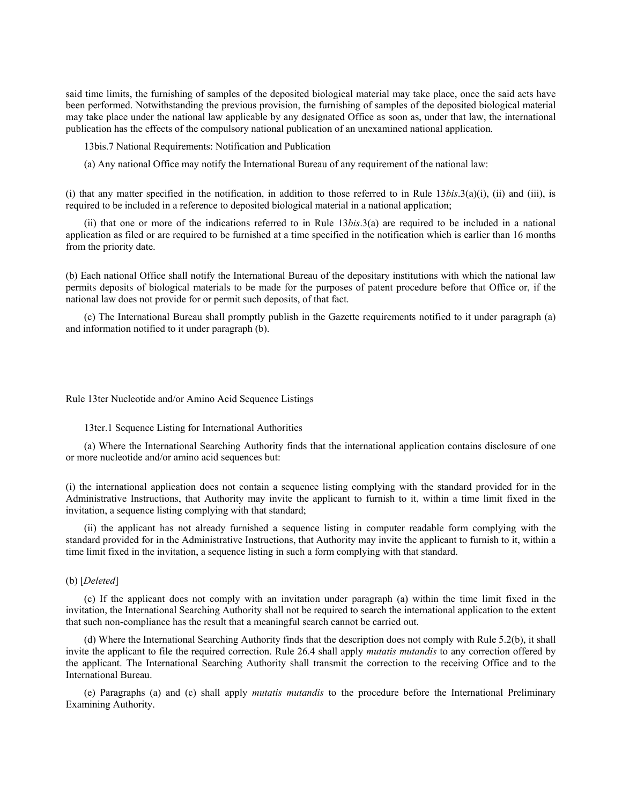said time limits, the furnishing of samples of the deposited biological material may take place, once the said acts have been performed. Notwithstanding the previous provision, the furnishing of samples of the deposited biological material may take place under the national law applicable by any designated Office as soon as, under that law, the international publication has the effects of the compulsory national publication of an unexamined national application.

13bis.7 National Requirements: Notification and Publication

(a) Any national Office may notify the International Bureau of any requirement of the national law:

(i) that any matter specified in the notification, in addition to those referred to in Rule  $13*bis*.3(a)(i)$ , (ii) and (iii), is required to be included in a reference to deposited biological material in a national application;

(ii) that one or more of the indications referred to in Rule 13*bis*.3(a) are required to be included in a national application as filed or are required to be furnished at a time specified in the notification which is earlier than 16 months from the priority date.

(b) Each national Office shall notify the International Bureau of the depositary institutions with which the national law permits deposits of biological materials to be made for the purposes of patent procedure before that Office or, if the national law does not provide for or permit such deposits, of that fact.

(c) The International Bureau shall promptly publish in the Gazette requirements notified to it under paragraph (a) and information notified to it under paragraph (b).

Rule 13ter Nucleotide and/or Amino Acid Sequence Listings

### 13ter.1 Sequence Listing for International Authorities

(a) Where the International Searching Authority finds that the international application contains disclosure of one or more nucleotide and/or amino acid sequences but:

(i) the international application does not contain a sequence listing complying with the standard provided for in the Administrative Instructions, that Authority may invite the applicant to furnish to it, within a time limit fixed in the invitation, a sequence listing complying with that standard;

(ii) the applicant has not already furnished a sequence listing in computer readable form complying with the standard provided for in the Administrative Instructions, that Authority may invite the applicant to furnish to it, within a time limit fixed in the invitation, a sequence listing in such a form complying with that standard.

### (b) [*Deleted*]

(c) If the applicant does not comply with an invitation under paragraph (a) within the time limit fixed in the invitation, the International Searching Authority shall not be required to search the international application to the extent that such non-compliance has the result that a meaningful search cannot be carried out.

(d) Where the International Searching Authority finds that the description does not comply with Rule 5.2(b), it shall invite the applicant to file the required correction. Rule 26.4 shall apply *mutatis mutandis* to any correction offered by the applicant. The International Searching Authority shall transmit the correction to the receiving Office and to the International Bureau.

(e) Paragraphs (a) and (c) shall apply *mutatis mutandis* to the procedure before the International Preliminary Examining Authority.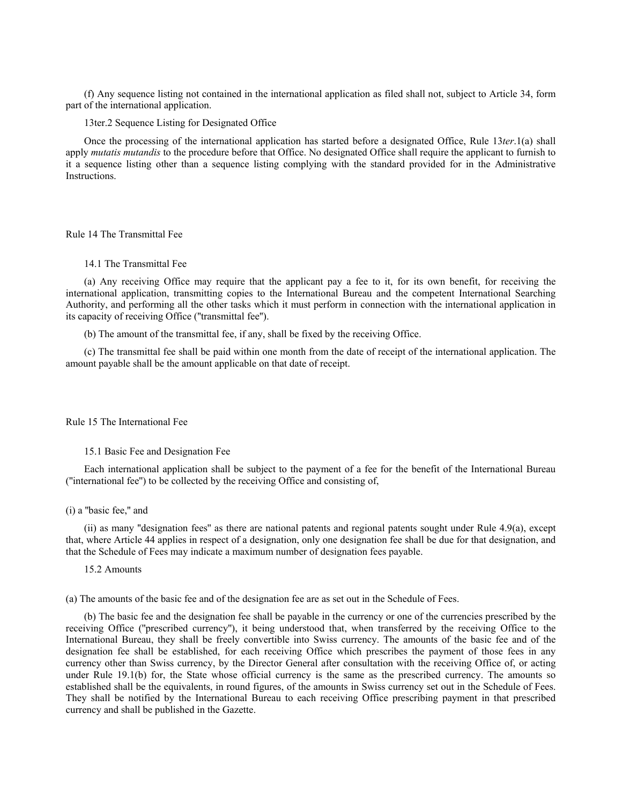(f) Any sequence listing not contained in the international application as filed shall not, subject to Article 34, form part of the international application.

### 13ter.2 Sequence Listing for Designated Office

Once the processing of the international application has started before a designated Office, Rule 13*ter*.1(a) shall apply *mutatis mutandis* to the procedure before that Office. No designated Office shall require the applicant to furnish to it a sequence listing other than a sequence listing complying with the standard provided for in the Administrative **Instructions** 

## Rule 14 The Transmittal Fee

# 14.1 The Transmittal Fee

(a) Any receiving Office may require that the applicant pay a fee to it, for its own benefit, for receiving the international application, transmitting copies to the International Bureau and the competent International Searching Authority, and performing all the other tasks which it must perform in connection with the international application in its capacity of receiving Office (''transmittal fee'').

(b) The amount of the transmittal fee, if any, shall be fixed by the receiving Office.

(c) The transmittal fee shall be paid within one month from the date of receipt of the international application. The amount payable shall be the amount applicable on that date of receipt.

#### Rule 15 The International Fee

# 15.1 Basic Fee and Designation Fee

Each international application shall be subject to the payment of a fee for the benefit of the International Bureau (''international fee'') to be collected by the receiving Office and consisting of,

#### (i) a ''basic fee,'' and

(ii) as many ''designation fees'' as there are national patents and regional patents sought under Rule 4.9(a), except that, where Article 44 applies in respect of a designation, only one designation fee shall be due for that designation, and that the Schedule of Fees may indicate a maximum number of designation fees payable.

### 15.2 Amounts

(a) The amounts of the basic fee and of the designation fee are as set out in the Schedule of Fees.

(b) The basic fee and the designation fee shall be payable in the currency or one of the currencies prescribed by the receiving Office (''prescribed currency''), it being understood that, when transferred by the receiving Office to the International Bureau, they shall be freely convertible into Swiss currency. The amounts of the basic fee and of the designation fee shall be established, for each receiving Office which prescribes the payment of those fees in any currency other than Swiss currency, by the Director General after consultation with the receiving Office of, or acting under Rule 19.1(b) for, the State whose official currency is the same as the prescribed currency. The amounts so established shall be the equivalents, in round figures, of the amounts in Swiss currency set out in the Schedule of Fees. They shall be notified by the International Bureau to each receiving Office prescribing payment in that prescribed currency and shall be published in the Gazette.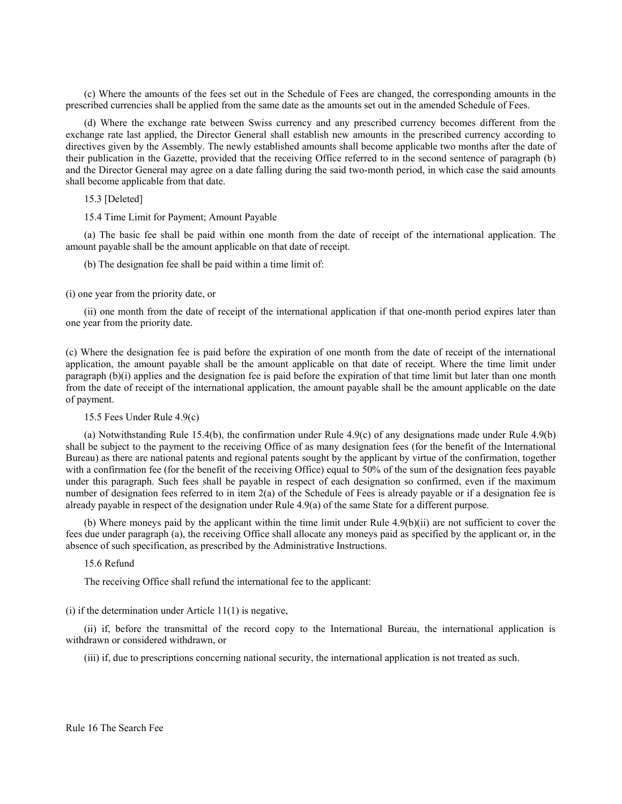(c) Where the amounts of the fees set out in the Schedule of Fees are changed, the corresponding amounts in the prescribed currencies shall be applied from the same date as the amounts set out in the amended Schedule of Fees.

(d) Where the exchange rate between Swiss currency and any prescribed currency becomes different from the exchange rate last applied, the Director General shall establish new amounts in the prescribed currency according to directives given by the Assembly. The newly established amounts shall become applicable two months after the date of their publication in the Gazette, provided that the receiving Office referred to in the second sentence of paragraph (b) and the Director General may agree on a date falling during the said two-month period, in which case the said amounts shall become applicable from that date.

## 15.3 [Deleted]

15.4 Time Limit for Payment; Amount Payable

(a) The basic fee shall be paid within one month from the date of receipt of the international application. The amount payable shall be the amount applicable on that date of receipt.

(b) The designation fee shall be paid within a time limit of:

(i) one year from the priority date, or

(ii) one month from the date of receipt of the international application if that one-month period expires later than one year from the priority date.

(c) Where the designation fee is paid before the expiration of one month from the date of receipt of the international application, the amount payable shall be the amount applicable on that date of receipt. Where the time limit under paragraph (b)(i) applies and the designation fee is paid before the expiration of that time limit but later than one month from the date of receipt of the international application, the amount payable shall be the amount applicable on the date of payment.

#### 15.5 Fees Under Rule 4.9(c)

(a) Notwithstanding Rule 15.4(b), the confirmation under Rule 4.9(c) of any designations made under Rule 4.9(b) shall be subject to the payment to the receiving Office of as many designation fees (for the benefit of the International Bureau) as there are national patents and regional patents sought by the applicant by virtue of the confirmation, together with a confirmation fee (for the benefit of the receiving Office) equal to 50% of the sum of the designation fees payable under this paragraph. Such fees shall be payable in respect of each designation so confirmed, even if the maximum number of designation fees referred to in item 2(a) of the Schedule of Fees is already payable or if a designation fee is already payable in respect of the designation under Rule 4.9(a) of the same State for a different purpose.

(b) Where moneys paid by the applicant within the time limit under Rule 4.9(b)(ii) are not sufficient to cover the fees due under paragraph (a), the receiving Office shall allocate any moneys paid as specified by the applicant or, in the absence of such specification, as prescribed by the Administrative Instructions.

## 15.6 Refund

The receiving Office shall refund the international fee to the applicant:

#### $(i)$  if the determination under Article 11(1) is negative,

(ii) if, before the transmittal of the record copy to the International Bureau, the international application is withdrawn or considered withdrawn, or

(iii) if, due to prescriptions concerning national security, the international application is not treated as such.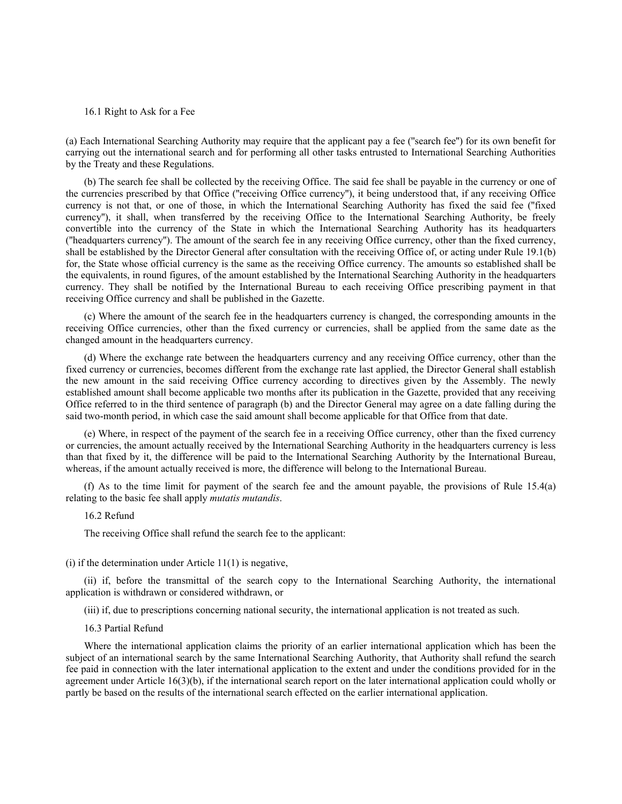## 16.1 Right to Ask for a Fee

(a) Each International Searching Authority may require that the applicant pay a fee (''search fee'') for its own benefit for carrying out the international search and for performing all other tasks entrusted to International Searching Authorities by the Treaty and these Regulations.

(b) The search fee shall be collected by the receiving Office. The said fee shall be payable in the currency or one of the currencies prescribed by that Office (''receiving Office currency''), it being understood that, if any receiving Office currency is not that, or one of those, in which the International Searching Authority has fixed the said fee (''fixed currency''), it shall, when transferred by the receiving Office to the International Searching Authority, be freely convertible into the currency of the State in which the International Searching Authority has its headquarters (''headquarters currency''). The amount of the search fee in any receiving Office currency, other than the fixed currency, shall be established by the Director General after consultation with the receiving Office of, or acting under Rule 19.1(b) for, the State whose official currency is the same as the receiving Office currency. The amounts so established shall be the equivalents, in round figures, of the amount established by the International Searching Authority in the headquarters currency. They shall be notified by the International Bureau to each receiving Office prescribing payment in that receiving Office currency and shall be published in the Gazette.

(c) Where the amount of the search fee in the headquarters currency is changed, the corresponding amounts in the receiving Office currencies, other than the fixed currency or currencies, shall be applied from the same date as the changed amount in the headquarters currency.

(d) Where the exchange rate between the headquarters currency and any receiving Office currency, other than the fixed currency or currencies, becomes different from the exchange rate last applied, the Director General shall establish the new amount in the said receiving Office currency according to directives given by the Assembly. The newly established amount shall become applicable two months after its publication in the Gazette, provided that any receiving Office referred to in the third sentence of paragraph (b) and the Director General may agree on a date falling during the said two-month period, in which case the said amount shall become applicable for that Office from that date.

(e) Where, in respect of the payment of the search fee in a receiving Office currency, other than the fixed currency or currencies, the amount actually received by the International Searching Authority in the headquarters currency is less than that fixed by it, the difference will be paid to the International Searching Authority by the International Bureau, whereas, if the amount actually received is more, the difference will belong to the International Bureau.

(f) As to the time limit for payment of the search fee and the amount payable, the provisions of Rule 15.4(a) relating to the basic fee shall apply *mutatis mutandis*.

#### 16.2 Refund

The receiving Office shall refund the search fee to the applicant:

## $(i)$  if the determination under Article 11(1) is negative,

(ii) if, before the transmittal of the search copy to the International Searching Authority, the international application is withdrawn or considered withdrawn, or

(iii) if, due to prescriptions concerning national security, the international application is not treated as such.

16.3 Partial Refund

Where the international application claims the priority of an earlier international application which has been the subject of an international search by the same International Searching Authority, that Authority shall refund the search fee paid in connection with the later international application to the extent and under the conditions provided for in the agreement under Article 16(3)(b), if the international search report on the later international application could wholly or partly be based on the results of the international search effected on the earlier international application.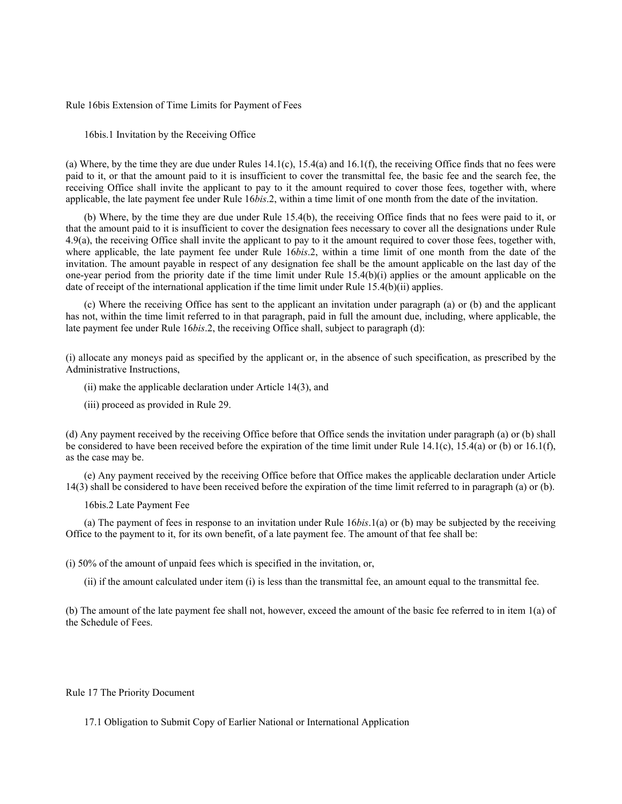Rule 16bis Extension of Time Limits for Payment of Fees

16bis.1 Invitation by the Receiving Office

(a) Where, by the time they are due under Rules 14.1(c), 15.4(a) and 16.1(f), the receiving Office finds that no fees were paid to it, or that the amount paid to it is insufficient to cover the transmittal fee, the basic fee and the search fee, the receiving Office shall invite the applicant to pay to it the amount required to cover those fees, together with, where applicable, the late payment fee under Rule 16*bis*.2, within a time limit of one month from the date of the invitation.

(b) Where, by the time they are due under Rule 15.4(b), the receiving Office finds that no fees were paid to it, or that the amount paid to it is insufficient to cover the designation fees necessary to cover all the designations under Rule 4.9(a), the receiving Office shall invite the applicant to pay to it the amount required to cover those fees, together with, where applicable, the late payment fee under Rule 16*bis*.2, within a time limit of one month from the date of the invitation. The amount payable in respect of any designation fee shall be the amount applicable on the last day of the one-year period from the priority date if the time limit under Rule 15.4(b)(i) applies or the amount applicable on the date of receipt of the international application if the time limit under Rule 15.4(b)(ii) applies.

(c) Where the receiving Office has sent to the applicant an invitation under paragraph (a) or (b) and the applicant has not, within the time limit referred to in that paragraph, paid in full the amount due, including, where applicable, the late payment fee under Rule 16*bis*.2, the receiving Office shall, subject to paragraph (d):

(i) allocate any moneys paid as specified by the applicant or, in the absence of such specification, as prescribed by the Administrative Instructions,

- (ii) make the applicable declaration under Article 14(3), and
- (iii) proceed as provided in Rule 29.

(d) Any payment received by the receiving Office before that Office sends the invitation under paragraph (a) or (b) shall be considered to have been received before the expiration of the time limit under Rule 14.1(c), 15.4(a) or (b) or 16.1(f), as the case may be.

(e) Any payment received by the receiving Office before that Office makes the applicable declaration under Article 14(3) shall be considered to have been received before the expiration of the time limit referred to in paragraph (a) or (b).

16bis.2 Late Payment Fee

(a) The payment of fees in response to an invitation under Rule 16*bis*.1(a) or (b) may be subjected by the receiving Office to the payment to it, for its own benefit, of a late payment fee. The amount of that fee shall be:

(i) 50% of the amount of unpaid fees which is specified in the invitation, or,

(ii) if the amount calculated under item (i) is less than the transmittal fee, an amount equal to the transmittal fee.

(b) The amount of the late payment fee shall not, however, exceed the amount of the basic fee referred to in item 1(a) of the Schedule of Fees.

Rule 17 The Priority Document

17.1 Obligation to Submit Copy of Earlier National or International Application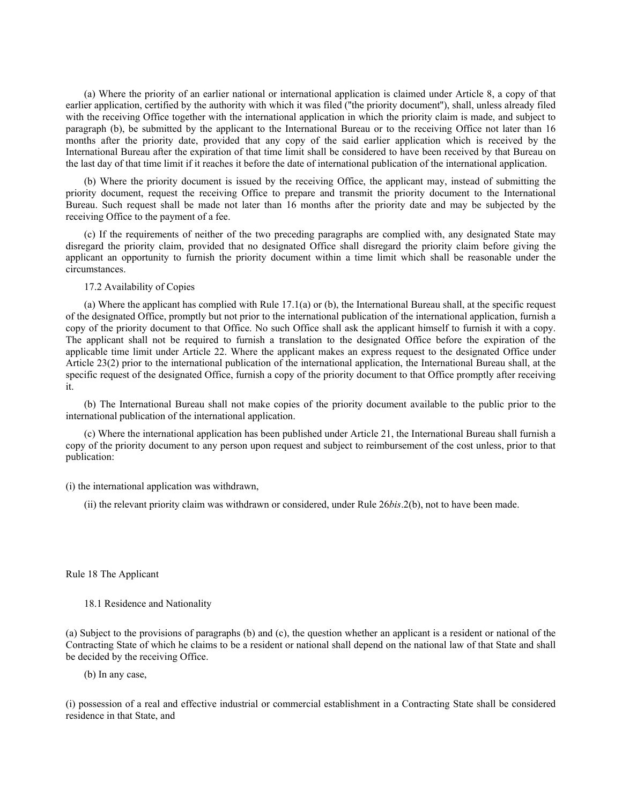(a) Where the priority of an earlier national or international application is claimed under Article 8, a copy of that earlier application, certified by the authority with which it was filed (''the priority document''), shall, unless already filed with the receiving Office together with the international application in which the priority claim is made, and subject to paragraph (b), be submitted by the applicant to the International Bureau or to the receiving Office not later than 16 months after the priority date, provided that any copy of the said earlier application which is received by the International Bureau after the expiration of that time limit shall be considered to have been received by that Bureau on the last day of that time limit if it reaches it before the date of international publication of the international application.

(b) Where the priority document is issued by the receiving Office, the applicant may, instead of submitting the priority document, request the receiving Office to prepare and transmit the priority document to the International Bureau. Such request shall be made not later than 16 months after the priority date and may be subjected by the receiving Office to the payment of a fee.

(c) If the requirements of neither of the two preceding paragraphs are complied with, any designated State may disregard the priority claim, provided that no designated Office shall disregard the priority claim before giving the applicant an opportunity to furnish the priority document within a time limit which shall be reasonable under the circumstances.

## 17.2 Availability of Copies

(a) Where the applicant has complied with Rule 17.1(a) or (b), the International Bureau shall, at the specific request of the designated Office, promptly but not prior to the international publication of the international application, furnish a copy of the priority document to that Office. No such Office shall ask the applicant himself to furnish it with a copy. The applicant shall not be required to furnish a translation to the designated Office before the expiration of the applicable time limit under Article 22. Where the applicant makes an express request to the designated Office under Article 23(2) prior to the international publication of the international application, the International Bureau shall, at the specific request of the designated Office, furnish a copy of the priority document to that Office promptly after receiving it.

(b) The International Bureau shall not make copies of the priority document available to the public prior to the international publication of the international application.

(c) Where the international application has been published under Article 21, the International Bureau shall furnish a copy of the priority document to any person upon request and subject to reimbursement of the cost unless, prior to that publication:

## (i) the international application was withdrawn,

(ii) the relevant priority claim was withdrawn or considered, under Rule 26*bis*.2(b), not to have been made.

## Rule 18 The Applicant

18.1 Residence and Nationality

(a) Subject to the provisions of paragraphs (b) and (c), the question whether an applicant is a resident or national of the Contracting State of which he claims to be a resident or national shall depend on the national law of that State and shall be decided by the receiving Office.

(b) In any case,

(i) possession of a real and effective industrial or commercial establishment in a Contracting State shall be considered residence in that State, and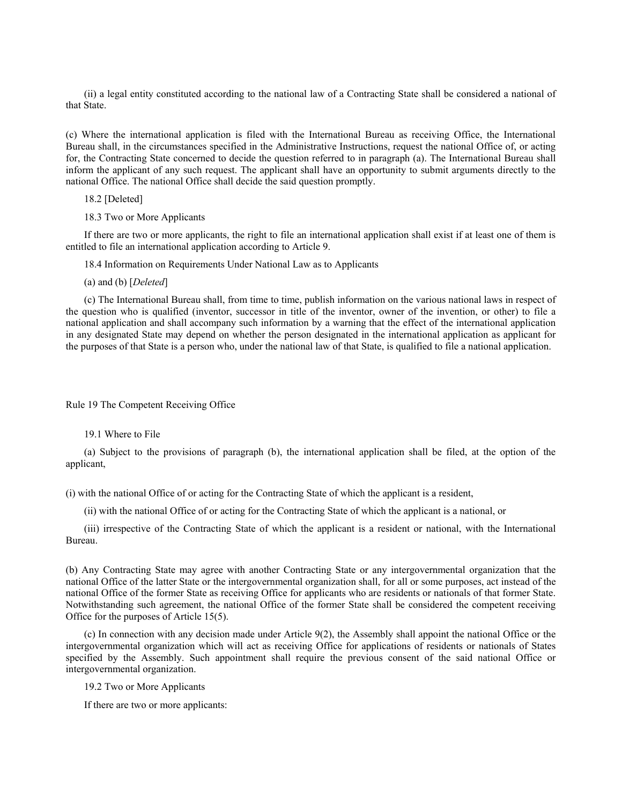(ii) a legal entity constituted according to the national law of a Contracting State shall be considered a national of that State.

(c) Where the international application is filed with the International Bureau as receiving Office, the International Bureau shall, in the circumstances specified in the Administrative Instructions, request the national Office of, or acting for, the Contracting State concerned to decide the question referred to in paragraph (a). The International Bureau shall inform the applicant of any such request. The applicant shall have an opportunity to submit arguments directly to the national Office. The national Office shall decide the said question promptly.

18.2 [Deleted]

18.3 Two or More Applicants

If there are two or more applicants, the right to file an international application shall exist if at least one of them is entitled to file an international application according to Article 9.

18.4 Information on Requirements Under National Law as to Applicants

(a) and (b) [*Deleted*]

(c) The International Bureau shall, from time to time, publish information on the various national laws in respect of the question who is qualified (inventor, successor in title of the inventor, owner of the invention, or other) to file a national application and shall accompany such information by a warning that the effect of the international application in any designated State may depend on whether the person designated in the international application as applicant for the purposes of that State is a person who, under the national law of that State, is qualified to file a national application.

Rule 19 The Competent Receiving Office

19.1 Where to File

(a) Subject to the provisions of paragraph (b), the international application shall be filed, at the option of the applicant,

(i) with the national Office of or acting for the Contracting State of which the applicant is a resident,

(ii) with the national Office of or acting for the Contracting State of which the applicant is a national, or

(iii) irrespective of the Contracting State of which the applicant is a resident or national, with the International Bureau.

(b) Any Contracting State may agree with another Contracting State or any intergovernmental organization that the national Office of the latter State or the intergovernmental organization shall, for all or some purposes, act instead of the national Office of the former State as receiving Office for applicants who are residents or nationals of that former State. Notwithstanding such agreement, the national Office of the former State shall be considered the competent receiving Office for the purposes of Article 15(5).

(c) In connection with any decision made under Article 9(2), the Assembly shall appoint the national Office or the intergovernmental organization which will act as receiving Office for applications of residents or nationals of States specified by the Assembly. Such appointment shall require the previous consent of the said national Office or intergovernmental organization.

19.2 Two or More Applicants

If there are two or more applicants: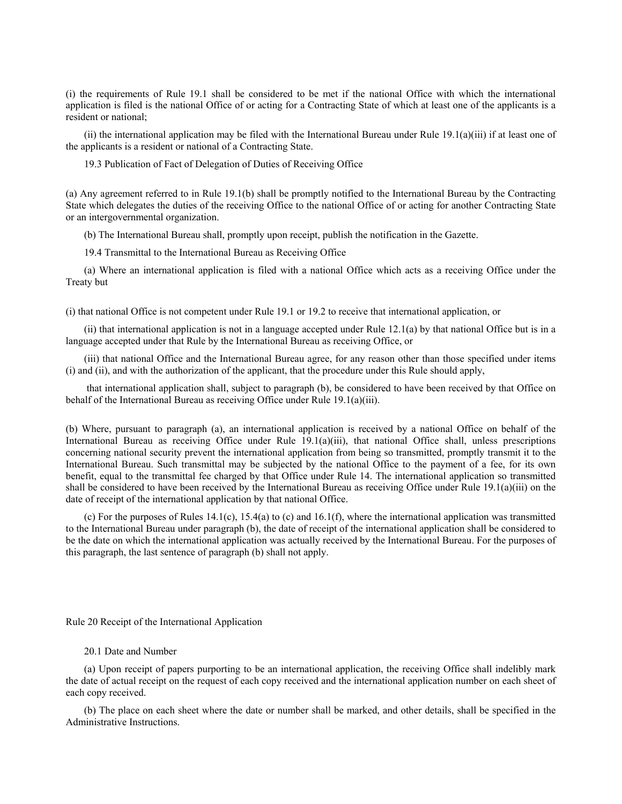(i) the requirements of Rule 19.1 shall be considered to be met if the national Office with which the international application is filed is the national Office of or acting for a Contracting State of which at least one of the applicants is a resident or national;

(ii) the international application may be filed with the International Bureau under Rule  $19.1(a)(iii)$  if at least one of the applicants is a resident or national of a Contracting State.

19.3 Publication of Fact of Delegation of Duties of Receiving Office

(a) Any agreement referred to in Rule 19.1(b) shall be promptly notified to the International Bureau by the Contracting State which delegates the duties of the receiving Office to the national Office of or acting for another Contracting State or an intergovernmental organization.

(b) The International Bureau shall, promptly upon receipt, publish the notification in the Gazette.

19.4 Transmittal to the International Bureau as Receiving Office

(a) Where an international application is filed with a national Office which acts as a receiving Office under the Treaty but

(i) that national Office is not competent under Rule 19.1 or 19.2 to receive that international application, or

(ii) that international application is not in a language accepted under Rule 12.1(a) by that national Office but is in a language accepted under that Rule by the International Bureau as receiving Office, or

(iii) that national Office and the International Bureau agree, for any reason other than those specified under items (i) and (ii), and with the authorization of the applicant, that the procedure under this Rule should apply,

 that international application shall, subject to paragraph (b), be considered to have been received by that Office on behalf of the International Bureau as receiving Office under Rule 19.1(a)(iii).

(b) Where, pursuant to paragraph (a), an international application is received by a national Office on behalf of the International Bureau as receiving Office under Rule  $19.1(a)(iii)$ , that national Office shall, unless prescriptions concerning national security prevent the international application from being so transmitted, promptly transmit it to the International Bureau. Such transmittal may be subjected by the national Office to the payment of a fee, for its own benefit, equal to the transmittal fee charged by that Office under Rule 14. The international application so transmitted shall be considered to have been received by the International Bureau as receiving Office under Rule 19.1(a)(iii) on the date of receipt of the international application by that national Office.

(c) For the purposes of Rules  $14.1(c)$ ,  $15.4(a)$  to (c) and  $16.1(f)$ , where the international application was transmitted to the International Bureau under paragraph (b), the date of receipt of the international application shall be considered to be the date on which the international application was actually received by the International Bureau. For the purposes of this paragraph, the last sentence of paragraph (b) shall not apply.

Rule 20 Receipt of the International Application

20.1 Date and Number

(a) Upon receipt of papers purporting to be an international application, the receiving Office shall indelibly mark the date of actual receipt on the request of each copy received and the international application number on each sheet of each copy received.

(b) The place on each sheet where the date or number shall be marked, and other details, shall be specified in the Administrative Instructions.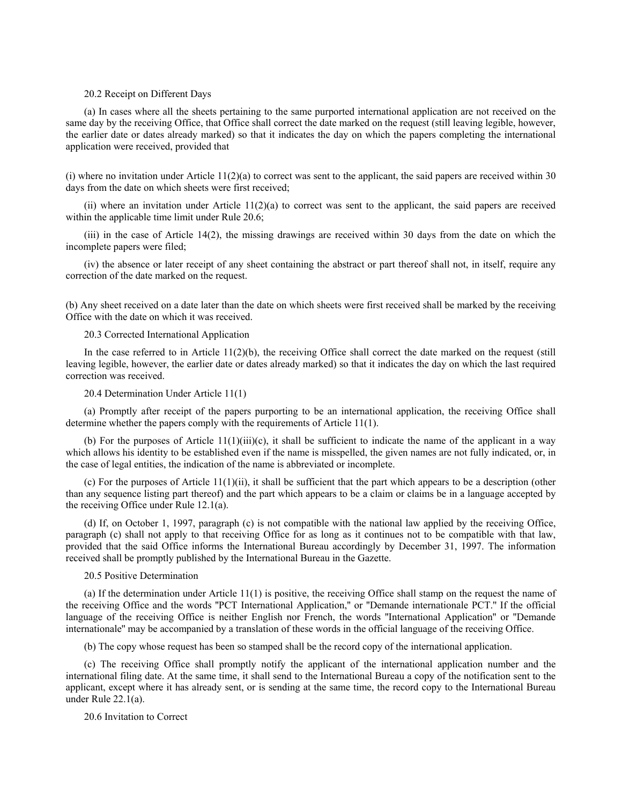### 20.2 Receipt on Different Days

(a) In cases where all the sheets pertaining to the same purported international application are not received on the same day by the receiving Office, that Office shall correct the date marked on the request (still leaving legible, however, the earlier date or dates already marked) so that it indicates the day on which the papers completing the international application were received, provided that

(i) where no invitation under Article  $11(2)(a)$  to correct was sent to the applicant, the said papers are received within 30 days from the date on which sheets were first received;

(ii) where an invitation under Article  $11(2)(a)$  to correct was sent to the applicant, the said papers are received within the applicable time limit under Rule 20.6;

(iii) in the case of Article 14(2), the missing drawings are received within 30 days from the date on which the incomplete papers were filed;

(iv) the absence or later receipt of any sheet containing the abstract or part thereof shall not, in itself, require any correction of the date marked on the request.

(b) Any sheet received on a date later than the date on which sheets were first received shall be marked by the receiving Office with the date on which it was received.

## 20.3 Corrected International Application

In the case referred to in Article  $11(2)(b)$ , the receiving Office shall correct the date marked on the request (still leaving legible, however, the earlier date or dates already marked) so that it indicates the day on which the last required correction was received.

## 20.4 Determination Under Article 11(1)

(a) Promptly after receipt of the papers purporting to be an international application, the receiving Office shall determine whether the papers comply with the requirements of Article 11(1).

(b) For the purposes of Article  $11(1)(iii)(c)$ , it shall be sufficient to indicate the name of the applicant in a way which allows his identity to be established even if the name is misspelled, the given names are not fully indicated, or, in the case of legal entities, the indication of the name is abbreviated or incomplete.

(c) For the purposes of Article  $11(1)(ii)$ , it shall be sufficient that the part which appears to be a description (other than any sequence listing part thereof) and the part which appears to be a claim or claims be in a language accepted by the receiving Office under Rule 12.1(a).

(d) If, on October 1, 1997, paragraph (c) is not compatible with the national law applied by the receiving Office, paragraph (c) shall not apply to that receiving Office for as long as it continues not to be compatible with that law, provided that the said Office informs the International Bureau accordingly by December 31, 1997. The information received shall be promptly published by the International Bureau in the Gazette.

#### 20.5 Positive Determination

(a) If the determination under Article 11(1) is positive, the receiving Office shall stamp on the request the name of the receiving Office and the words ''PCT International Application,'' or ''Demande internationale PCT.'' If the official language of the receiving Office is neither English nor French, the words ''International Application'' or ''Demande internationale'' may be accompanied by a translation of these words in the official language of the receiving Office.

(b) The copy whose request has been so stamped shall be the record copy of the international application.

(c) The receiving Office shall promptly notify the applicant of the international application number and the international filing date. At the same time, it shall send to the International Bureau a copy of the notification sent to the applicant, except where it has already sent, or is sending at the same time, the record copy to the International Bureau under Rule 22.1(a).

20.6 Invitation to Correct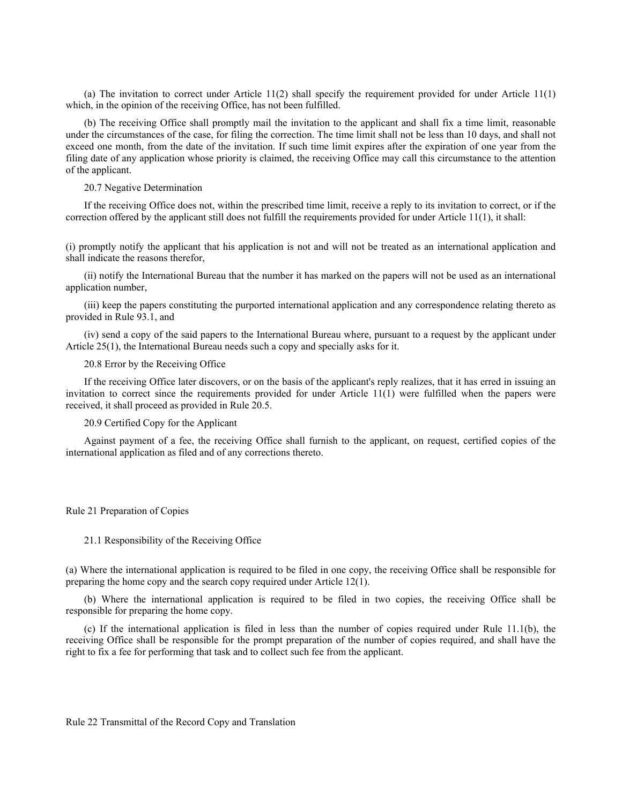(a) The invitation to correct under Article 11(2) shall specify the requirement provided for under Article 11(1) which, in the opinion of the receiving Office, has not been fulfilled.

(b) The receiving Office shall promptly mail the invitation to the applicant and shall fix a time limit, reasonable under the circumstances of the case, for filing the correction. The time limit shall not be less than 10 days, and shall not exceed one month, from the date of the invitation. If such time limit expires after the expiration of one year from the filing date of any application whose priority is claimed, the receiving Office may call this circumstance to the attention of the applicant.

### 20.7 Negative Determination

If the receiving Office does not, within the prescribed time limit, receive a reply to its invitation to correct, or if the correction offered by the applicant still does not fulfill the requirements provided for under Article 11(1), it shall:

(i) promptly notify the applicant that his application is not and will not be treated as an international application and shall indicate the reasons therefor,

(ii) notify the International Bureau that the number it has marked on the papers will not be used as an international application number,

(iii) keep the papers constituting the purported international application and any correspondence relating thereto as provided in Rule 93.1, and

(iv) send a copy of the said papers to the International Bureau where, pursuant to a request by the applicant under Article 25(1), the International Bureau needs such a copy and specially asks for it.

### 20.8 Error by the Receiving Office

If the receiving Office later discovers, or on the basis of the applicant's reply realizes, that it has erred in issuing an invitation to correct since the requirements provided for under Article 11(1) were fulfilled when the papers were received, it shall proceed as provided in Rule 20.5.

20.9 Certified Copy for the Applicant

Against payment of a fee, the receiving Office shall furnish to the applicant, on request, certified copies of the international application as filed and of any corrections thereto.

#### Rule 21 Preparation of Copies

#### 21.1 Responsibility of the Receiving Office

(a) Where the international application is required to be filed in one copy, the receiving Office shall be responsible for preparing the home copy and the search copy required under Article 12(1).

(b) Where the international application is required to be filed in two copies, the receiving Office shall be responsible for preparing the home copy.

(c) If the international application is filed in less than the number of copies required under Rule 11.1(b), the receiving Office shall be responsible for the prompt preparation of the number of copies required, and shall have the right to fix a fee for performing that task and to collect such fee from the applicant.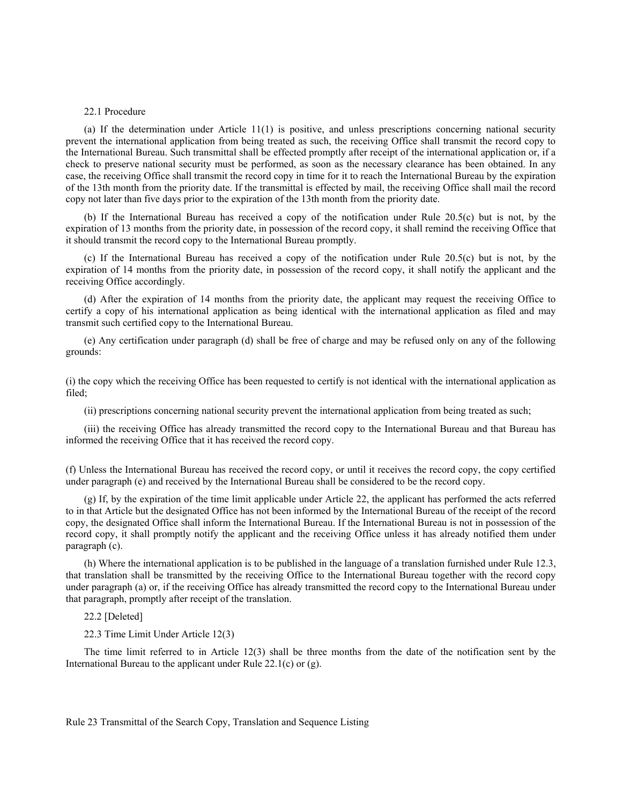### 22.1 Procedure

(a) If the determination under Article 11(1) is positive, and unless prescriptions concerning national security prevent the international application from being treated as such, the receiving Office shall transmit the record copy to the International Bureau. Such transmittal shall be effected promptly after receipt of the international application or, if a check to preserve national security must be performed, as soon as the necessary clearance has been obtained. In any case, the receiving Office shall transmit the record copy in time for it to reach the International Bureau by the expiration of the 13th month from the priority date. If the transmittal is effected by mail, the receiving Office shall mail the record copy not later than five days prior to the expiration of the 13th month from the priority date.

(b) If the International Bureau has received a copy of the notification under Rule 20.5(c) but is not, by the expiration of 13 months from the priority date, in possession of the record copy, it shall remind the receiving Office that it should transmit the record copy to the International Bureau promptly.

(c) If the International Bureau has received a copy of the notification under Rule 20.5(c) but is not, by the expiration of 14 months from the priority date, in possession of the record copy, it shall notify the applicant and the receiving Office accordingly.

(d) After the expiration of 14 months from the priority date, the applicant may request the receiving Office to certify a copy of his international application as being identical with the international application as filed and may transmit such certified copy to the International Bureau.

(e) Any certification under paragraph (d) shall be free of charge and may be refused only on any of the following grounds:

(i) the copy which the receiving Office has been requested to certify is not identical with the international application as filed;

(ii) prescriptions concerning national security prevent the international application from being treated as such;

(iii) the receiving Office has already transmitted the record copy to the International Bureau and that Bureau has informed the receiving Office that it has received the record copy.

(f) Unless the International Bureau has received the record copy, or until it receives the record copy, the copy certified under paragraph (e) and received by the International Bureau shall be considered to be the record copy.

(g) If, by the expiration of the time limit applicable under Article 22, the applicant has performed the acts referred to in that Article but the designated Office has not been informed by the International Bureau of the receipt of the record copy, the designated Office shall inform the International Bureau. If the International Bureau is not in possession of the record copy, it shall promptly notify the applicant and the receiving Office unless it has already notified them under paragraph (c).

(h) Where the international application is to be published in the language of a translation furnished under Rule 12.3, that translation shall be transmitted by the receiving Office to the International Bureau together with the record copy under paragraph (a) or, if the receiving Office has already transmitted the record copy to the International Bureau under that paragraph, promptly after receipt of the translation.

22.2 [Deleted]

22.3 Time Limit Under Article 12(3)

The time limit referred to in Article 12(3) shall be three months from the date of the notification sent by the International Bureau to the applicant under Rule 22.1(c) or (g).

Rule 23 Transmittal of the Search Copy, Translation and Sequence Listing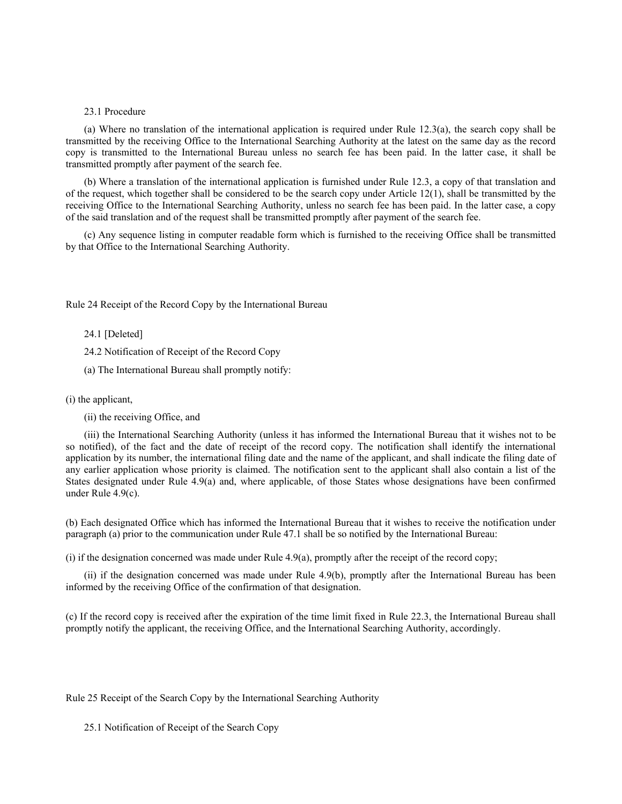### 23.1 Procedure

(a) Where no translation of the international application is required under Rule 12.3(a), the search copy shall be transmitted by the receiving Office to the International Searching Authority at the latest on the same day as the record copy is transmitted to the International Bureau unless no search fee has been paid. In the latter case, it shall be transmitted promptly after payment of the search fee.

(b) Where a translation of the international application is furnished under Rule 12.3, a copy of that translation and of the request, which together shall be considered to be the search copy under Article 12(1), shall be transmitted by the receiving Office to the International Searching Authority, unless no search fee has been paid. In the latter case, a copy of the said translation and of the request shall be transmitted promptly after payment of the search fee.

(c) Any sequence listing in computer readable form which is furnished to the receiving Office shall be transmitted by that Office to the International Searching Authority.

Rule 24 Receipt of the Record Copy by the International Bureau

# 24.1 [Deleted]

24.2 Notification of Receipt of the Record Copy

(a) The International Bureau shall promptly notify:

### (i) the applicant,

(ii) the receiving Office, and

(iii) the International Searching Authority (unless it has informed the International Bureau that it wishes not to be so notified), of the fact and the date of receipt of the record copy. The notification shall identify the international application by its number, the international filing date and the name of the applicant, and shall indicate the filing date of any earlier application whose priority is claimed. The notification sent to the applicant shall also contain a list of the States designated under Rule 4.9(a) and, where applicable, of those States whose designations have been confirmed under Rule 4.9(c).

(b) Each designated Office which has informed the International Bureau that it wishes to receive the notification under paragraph (a) prior to the communication under Rule 47.1 shall be so notified by the International Bureau:

(i) if the designation concerned was made under Rule 4.9(a), promptly after the receipt of the record copy;

(ii) if the designation concerned was made under Rule 4.9(b), promptly after the International Bureau has been informed by the receiving Office of the confirmation of that designation.

(c) If the record copy is received after the expiration of the time limit fixed in Rule 22.3, the International Bureau shall promptly notify the applicant, the receiving Office, and the International Searching Authority, accordingly.

Rule 25 Receipt of the Search Copy by the International Searching Authority

25.1 Notification of Receipt of the Search Copy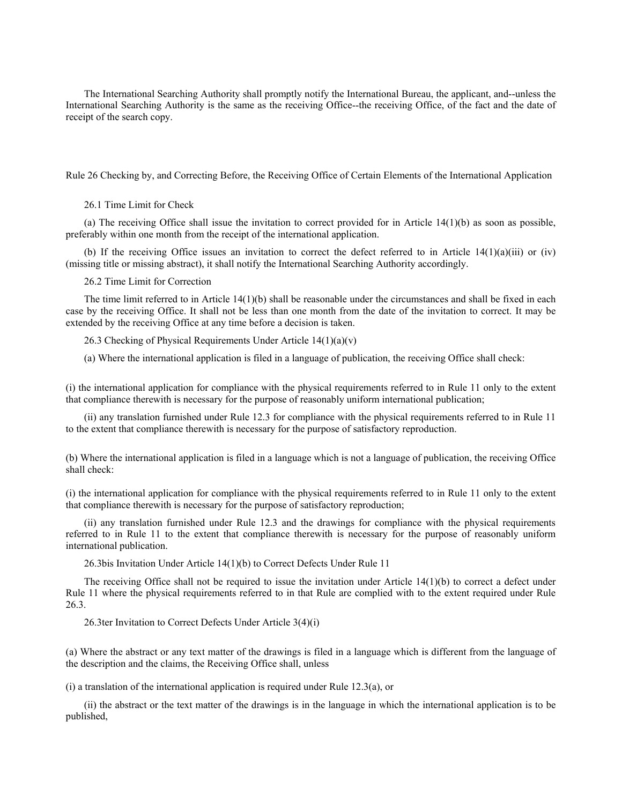The International Searching Authority shall promptly notify the International Bureau, the applicant, and--unless the International Searching Authority is the same as the receiving Office--the receiving Office, of the fact and the date of receipt of the search copy.

Rule 26 Checking by, and Correcting Before, the Receiving Office of Certain Elements of the International Application

26.1 Time Limit for Check

(a) The receiving Office shall issue the invitation to correct provided for in Article 14(1)(b) as soon as possible, preferably within one month from the receipt of the international application.

(b) If the receiving Office issues an invitation to correct the defect referred to in Article  $14(1)(a)(iii)$  or (iv) (missing title or missing abstract), it shall notify the International Searching Authority accordingly.

26.2 Time Limit for Correction

The time limit referred to in Article  $14(1)(b)$  shall be reasonable under the circumstances and shall be fixed in each case by the receiving Office. It shall not be less than one month from the date of the invitation to correct. It may be extended by the receiving Office at any time before a decision is taken.

26.3 Checking of Physical Requirements Under Article 14(1)(a)(v)

(a) Where the international application is filed in a language of publication, the receiving Office shall check:

(i) the international application for compliance with the physical requirements referred to in Rule 11 only to the extent that compliance therewith is necessary for the purpose of reasonably uniform international publication;

(ii) any translation furnished under Rule 12.3 for compliance with the physical requirements referred to in Rule 11 to the extent that compliance therewith is necessary for the purpose of satisfactory reproduction.

(b) Where the international application is filed in a language which is not a language of publication, the receiving Office shall check:

(i) the international application for compliance with the physical requirements referred to in Rule 11 only to the extent that compliance therewith is necessary for the purpose of satisfactory reproduction;

(ii) any translation furnished under Rule 12.3 and the drawings for compliance with the physical requirements referred to in Rule 11 to the extent that compliance therewith is necessary for the purpose of reasonably uniform international publication.

26.3bis Invitation Under Article 14(1)(b) to Correct Defects Under Rule 11

The receiving Office shall not be required to issue the invitation under Article  $14(1)(b)$  to correct a defect under Rule 11 where the physical requirements referred to in that Rule are complied with to the extent required under Rule 26.3.

26.3ter Invitation to Correct Defects Under Article 3(4)(i)

(a) Where the abstract or any text matter of the drawings is filed in a language which is different from the language of the description and the claims, the Receiving Office shall, unless

(i) a translation of the international application is required under Rule 12.3(a), or

(ii) the abstract or the text matter of the drawings is in the language in which the international application is to be published,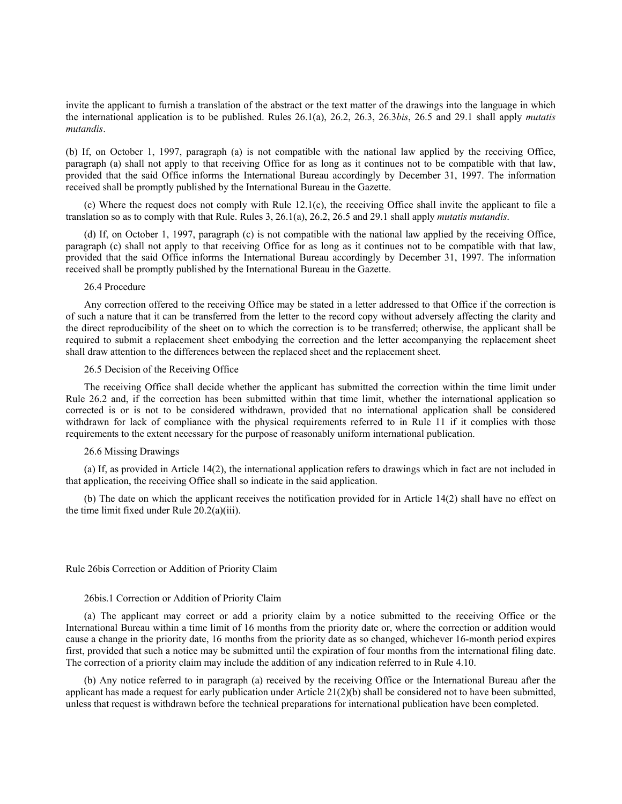invite the applicant to furnish a translation of the abstract or the text matter of the drawings into the language in which the international application is to be published. Rules 26.1(a), 26.2, 26.3, 26.3*bis*, 26.5 and 29.1 shall apply *mutatis mutandis*.

(b) If, on October 1, 1997, paragraph (a) is not compatible with the national law applied by the receiving Office, paragraph (a) shall not apply to that receiving Office for as long as it continues not to be compatible with that law, provided that the said Office informs the International Bureau accordingly by December 31, 1997. The information received shall be promptly published by the International Bureau in the Gazette.

(c) Where the request does not comply with Rule 12.1(c), the receiving Office shall invite the applicant to file a translation so as to comply with that Rule. Rules 3, 26.1(a), 26.2, 26.5 and 29.1 shall apply *mutatis mutandis*.

(d) If, on October 1, 1997, paragraph (c) is not compatible with the national law applied by the receiving Office, paragraph (c) shall not apply to that receiving Office for as long as it continues not to be compatible with that law, provided that the said Office informs the International Bureau accordingly by December 31, 1997. The information received shall be promptly published by the International Bureau in the Gazette.

### 26.4 Procedure

Any correction offered to the receiving Office may be stated in a letter addressed to that Office if the correction is of such a nature that it can be transferred from the letter to the record copy without adversely affecting the clarity and the direct reproducibility of the sheet on to which the correction is to be transferred; otherwise, the applicant shall be required to submit a replacement sheet embodying the correction and the letter accompanying the replacement sheet shall draw attention to the differences between the replaced sheet and the replacement sheet.

# 26.5 Decision of the Receiving Office

The receiving Office shall decide whether the applicant has submitted the correction within the time limit under Rule 26.2 and, if the correction has been submitted within that time limit, whether the international application so corrected is or is not to be considered withdrawn, provided that no international application shall be considered withdrawn for lack of compliance with the physical requirements referred to in Rule 11 if it complies with those requirements to the extent necessary for the purpose of reasonably uniform international publication.

## 26.6 Missing Drawings

(a) If, as provided in Article 14(2), the international application refers to drawings which in fact are not included in that application, the receiving Office shall so indicate in the said application.

(b) The date on which the applicant receives the notification provided for in Article 14(2) shall have no effect on the time limit fixed under Rule 20.2(a)(iii).

## Rule 26bis Correction or Addition of Priority Claim

## 26bis.1 Correction or Addition of Priority Claim

(a) The applicant may correct or add a priority claim by a notice submitted to the receiving Office or the International Bureau within a time limit of 16 months from the priority date or, where the correction or addition would cause a change in the priority date, 16 months from the priority date as so changed, whichever 16-month period expires first, provided that such a notice may be submitted until the expiration of four months from the international filing date. The correction of a priority claim may include the addition of any indication referred to in Rule 4.10.

(b) Any notice referred to in paragraph (a) received by the receiving Office or the International Bureau after the applicant has made a request for early publication under Article  $21(2)(b)$  shall be considered not to have been submitted, unless that request is withdrawn before the technical preparations for international publication have been completed.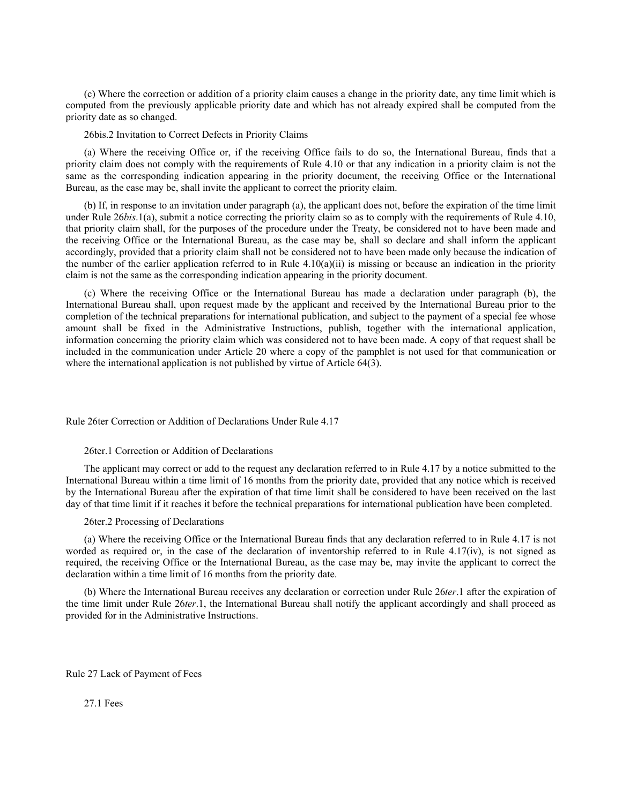(c) Where the correction or addition of a priority claim causes a change in the priority date, any time limit which is computed from the previously applicable priority date and which has not already expired shall be computed from the priority date as so changed.

26bis.2 Invitation to Correct Defects in Priority Claims

(a) Where the receiving Office or, if the receiving Office fails to do so, the International Bureau, finds that a priority claim does not comply with the requirements of Rule 4.10 or that any indication in a priority claim is not the same as the corresponding indication appearing in the priority document, the receiving Office or the International Bureau, as the case may be, shall invite the applicant to correct the priority claim.

(b) If, in response to an invitation under paragraph (a), the applicant does not, before the expiration of the time limit under Rule 26*bis*.1(a), submit a notice correcting the priority claim so as to comply with the requirements of Rule 4.10, that priority claim shall, for the purposes of the procedure under the Treaty, be considered not to have been made and the receiving Office or the International Bureau, as the case may be, shall so declare and shall inform the applicant accordingly, provided that a priority claim shall not be considered not to have been made only because the indication of the number of the earlier application referred to in Rule  $4.10(a)(ii)$  is missing or because an indication in the priority claim is not the same as the corresponding indication appearing in the priority document.

(c) Where the receiving Office or the International Bureau has made a declaration under paragraph (b), the International Bureau shall, upon request made by the applicant and received by the International Bureau prior to the completion of the technical preparations for international publication, and subject to the payment of a special fee whose amount shall be fixed in the Administrative Instructions, publish, together with the international application, information concerning the priority claim which was considered not to have been made. A copy of that request shall be included in the communication under Article 20 where a copy of the pamphlet is not used for that communication or where the international application is not published by virtue of Article 64(3).

Rule 26ter Correction or Addition of Declarations Under Rule 4.17

26ter.1 Correction or Addition of Declarations

The applicant may correct or add to the request any declaration referred to in Rule 4.17 by a notice submitted to the International Bureau within a time limit of 16 months from the priority date, provided that any notice which is received by the International Bureau after the expiration of that time limit shall be considered to have been received on the last day of that time limit if it reaches it before the technical preparations for international publication have been completed.

26ter.2 Processing of Declarations

(a) Where the receiving Office or the International Bureau finds that any declaration referred to in Rule 4.17 is not worded as required or, in the case of the declaration of inventorship referred to in Rule 4.17(iv), is not signed as required, the receiving Office or the International Bureau, as the case may be, may invite the applicant to correct the declaration within a time limit of 16 months from the priority date.

(b) Where the International Bureau receives any declaration or correction under Rule 26*ter*.1 after the expiration of the time limit under Rule 26*ter*.1, the International Bureau shall notify the applicant accordingly and shall proceed as provided for in the Administrative Instructions.

Rule 27 Lack of Payment of Fees

27.1 Fees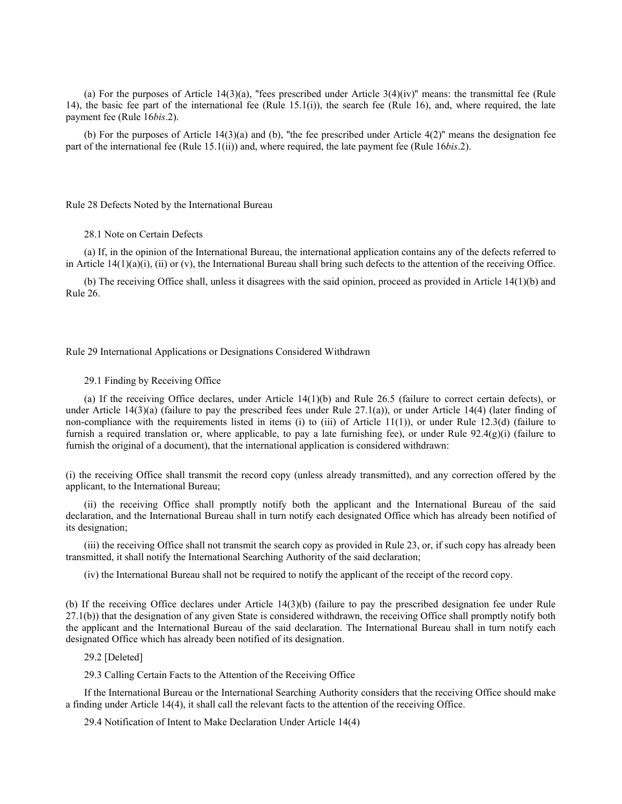(a) For the purposes of Article 14(3)(a), "fees prescribed under Article  $3(4)(iv)$ " means: the transmittal fee (Rule 14), the basic fee part of the international fee (Rule  $15.1(i)$ ), the search fee (Rule 16), and, where required, the late payment fee (Rule 16*bis*.2).

(b) For the purposes of Article 14(3)(a) and (b), "the fee prescribed under Article  $4(2)$ " means the designation fee part of the international fee (Rule 15.1(ii)) and, where required, the late payment fee (Rule 16*bis*.2).

Rule 28 Defects Noted by the International Bureau

28.1 Note on Certain Defects

(a) If, in the opinion of the International Bureau, the international application contains any of the defects referred to in Article  $14(1)(a)(i)$ , (ii) or (v), the International Bureau shall bring such defects to the attention of the receiving Office.

(b) The receiving Office shall, unless it disagrees with the said opinion, proceed as provided in Article 14(1)(b) and Rule 26.

# Rule 29 International Applications or Designations Considered Withdrawn

## 29.1 Finding by Receiving Office

(a) If the receiving Office declares, under Article 14(1)(b) and Rule 26.5 (failure to correct certain defects), or under Article 14(3)(a) (failure to pay the prescribed fees under Rule 27.1(a)), or under Article 14(4) (later finding of non-compliance with the requirements listed in items (i) to (iii) of Article 11(1)), or under Rule 12.3(d) (failure to furnish a required translation or, where applicable, to pay a late furnishing fee), or under Rule  $92.4(g)(i)$  (failure to furnish the original of a document), that the international application is considered withdrawn:

(i) the receiving Office shall transmit the record copy (unless already transmitted), and any correction offered by the applicant, to the International Bureau;

(ii) the receiving Office shall promptly notify both the applicant and the International Bureau of the said declaration, and the International Bureau shall in turn notify each designated Office which has already been notified of its designation;

(iii) the receiving Office shall not transmit the search copy as provided in Rule 23, or, if such copy has already been transmitted, it shall notify the International Searching Authority of the said declaration;

(iv) the International Bureau shall not be required to notify the applicant of the receipt of the record copy.

(b) If the receiving Office declares under Article 14(3)(b) (failure to pay the prescribed designation fee under Rule 27.1(b)) that the designation of any given State is considered withdrawn, the receiving Office shall promptly notify both the applicant and the International Bureau of the said declaration. The International Bureau shall in turn notify each designated Office which has already been notified of its designation.

29.2 [Deleted]

29.3 Calling Certain Facts to the Attention of the Receiving Office

If the International Bureau or the International Searching Authority considers that the receiving Office should make a finding under Article 14(4), it shall call the relevant facts to the attention of the receiving Office.

29.4 Notification of Intent to Make Declaration Under Article 14(4)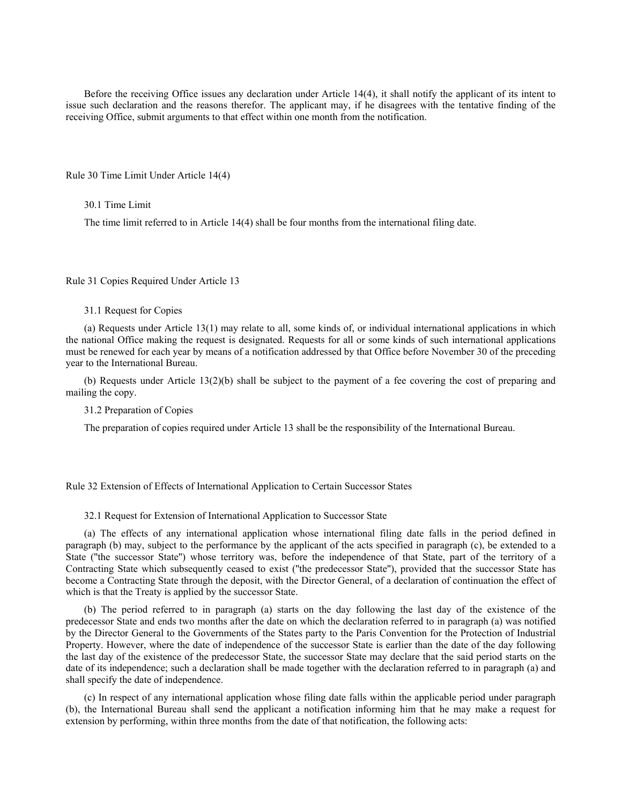Before the receiving Office issues any declaration under Article 14(4), it shall notify the applicant of its intent to issue such declaration and the reasons therefor. The applicant may, if he disagrees with the tentative finding of the receiving Office, submit arguments to that effect within one month from the notification.

Rule 30 Time Limit Under Article 14(4)

30.1 Time Limit

The time limit referred to in Article 14(4) shall be four months from the international filing date.

Rule 31 Copies Required Under Article 13

31.1 Request for Copies

(a) Requests under Article 13(1) may relate to all, some kinds of, or individual international applications in which the national Office making the request is designated. Requests for all or some kinds of such international applications must be renewed for each year by means of a notification addressed by that Office before November 30 of the preceding year to the International Bureau.

(b) Requests under Article 13(2)(b) shall be subject to the payment of a fee covering the cost of preparing and mailing the copy.

31.2 Preparation of Copies

The preparation of copies required under Article 13 shall be the responsibility of the International Bureau.

Rule 32 Extension of Effects of International Application to Certain Successor States

32.1 Request for Extension of International Application to Successor State

(a) The effects of any international application whose international filing date falls in the period defined in paragraph (b) may, subject to the performance by the applicant of the acts specified in paragraph (c), be extended to a State (''the successor State'') whose territory was, before the independence of that State, part of the territory of a Contracting State which subsequently ceased to exist (''the predecessor State''), provided that the successor State has become a Contracting State through the deposit, with the Director General, of a declaration of continuation the effect of which is that the Treaty is applied by the successor State.

(b) The period referred to in paragraph (a) starts on the day following the last day of the existence of the predecessor State and ends two months after the date on which the declaration referred to in paragraph (a) was notified by the Director General to the Governments of the States party to the Paris Convention for the Protection of Industrial Property. However, where the date of independence of the successor State is earlier than the date of the day following the last day of the existence of the predecessor State, the successor State may declare that the said period starts on the date of its independence; such a declaration shall be made together with the declaration referred to in paragraph (a) and shall specify the date of independence.

(c) In respect of any international application whose filing date falls within the applicable period under paragraph (b), the International Bureau shall send the applicant a notification informing him that he may make a request for extension by performing, within three months from the date of that notification, the following acts: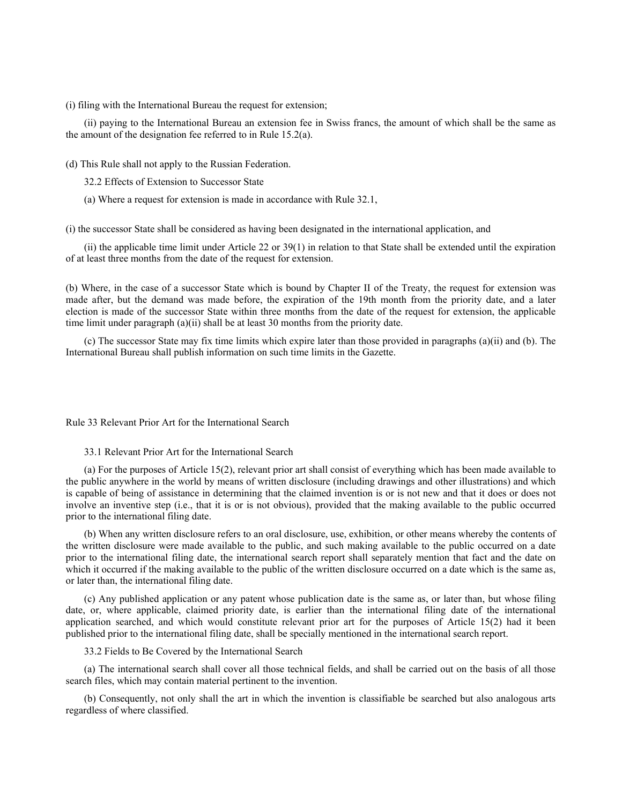(i) filing with the International Bureau the request for extension;

(ii) paying to the International Bureau an extension fee in Swiss francs, the amount of which shall be the same as the amount of the designation fee referred to in Rule 15.2(a).

(d) This Rule shall not apply to the Russian Federation.

32.2 Effects of Extension to Successor State

(a) Where a request for extension is made in accordance with Rule 32.1,

(i) the successor State shall be considered as having been designated in the international application, and

(ii) the applicable time limit under Article 22 or 39(1) in relation to that State shall be extended until the expiration of at least three months from the date of the request for extension.

(b) Where, in the case of a successor State which is bound by Chapter II of the Treaty, the request for extension was made after, but the demand was made before, the expiration of the 19th month from the priority date, and a later election is made of the successor State within three months from the date of the request for extension, the applicable time limit under paragraph (a)(ii) shall be at least 30 months from the priority date.

(c) The successor State may fix time limits which expire later than those provided in paragraphs (a)(ii) and (b). The International Bureau shall publish information on such time limits in the Gazette.

Rule 33 Relevant Prior Art for the International Search

33.1 Relevant Prior Art for the International Search

(a) For the purposes of Article 15(2), relevant prior art shall consist of everything which has been made available to the public anywhere in the world by means of written disclosure (including drawings and other illustrations) and which is capable of being of assistance in determining that the claimed invention is or is not new and that it does or does not involve an inventive step (i.e., that it is or is not obvious), provided that the making available to the public occurred prior to the international filing date.

(b) When any written disclosure refers to an oral disclosure, use, exhibition, or other means whereby the contents of the written disclosure were made available to the public, and such making available to the public occurred on a date prior to the international filing date, the international search report shall separately mention that fact and the date on which it occurred if the making available to the public of the written disclosure occurred on a date which is the same as, or later than, the international filing date.

(c) Any published application or any patent whose publication date is the same as, or later than, but whose filing date, or, where applicable, claimed priority date, is earlier than the international filing date of the international application searched, and which would constitute relevant prior art for the purposes of Article 15(2) had it been published prior to the international filing date, shall be specially mentioned in the international search report.

33.2 Fields to Be Covered by the International Search

(a) The international search shall cover all those technical fields, and shall be carried out on the basis of all those search files, which may contain material pertinent to the invention.

(b) Consequently, not only shall the art in which the invention is classifiable be searched but also analogous arts regardless of where classified.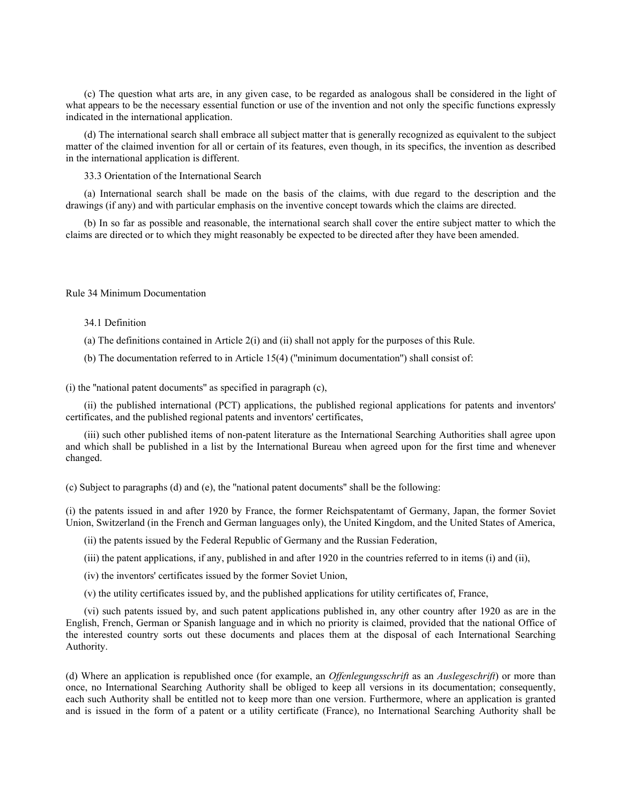(c) The question what arts are, in any given case, to be regarded as analogous shall be considered in the light of what appears to be the necessary essential function or use of the invention and not only the specific functions expressly indicated in the international application.

(d) The international search shall embrace all subject matter that is generally recognized as equivalent to the subject matter of the claimed invention for all or certain of its features, even though, in its specifics, the invention as described in the international application is different.

33.3 Orientation of the International Search

(a) International search shall be made on the basis of the claims, with due regard to the description and the drawings (if any) and with particular emphasis on the inventive concept towards which the claims are directed.

(b) In so far as possible and reasonable, the international search shall cover the entire subject matter to which the claims are directed or to which they might reasonably be expected to be directed after they have been amended.

Rule 34 Minimum Documentation

34.1 Definition

(a) The definitions contained in Article 2(i) and (ii) shall not apply for the purposes of this Rule.

(b) The documentation referred to in Article 15(4) (''minimum documentation'') shall consist of:

(i) the ''national patent documents'' as specified in paragraph (c),

(ii) the published international (PCT) applications, the published regional applications for patents and inventors' certificates, and the published regional patents and inventors' certificates,

(iii) such other published items of non-patent literature as the International Searching Authorities shall agree upon and which shall be published in a list by the International Bureau when agreed upon for the first time and whenever changed.

(c) Subject to paragraphs (d) and (e), the ''national patent documents'' shall be the following:

(i) the patents issued in and after 1920 by France, the former Reichspatentamt of Germany, Japan, the former Soviet Union, Switzerland (in the French and German languages only), the United Kingdom, and the United States of America,

(ii) the patents issued by the Federal Republic of Germany and the Russian Federation,

(iii) the patent applications, if any, published in and after 1920 in the countries referred to in items (i) and (ii),

(iv) the inventors' certificates issued by the former Soviet Union,

(v) the utility certificates issued by, and the published applications for utility certificates of, France,

(vi) such patents issued by, and such patent applications published in, any other country after 1920 as are in the English, French, German or Spanish language and in which no priority is claimed, provided that the national Office of the interested country sorts out these documents and places them at the disposal of each International Searching Authority.

(d) Where an application is republished once (for example, an *Offenlegungsschrift* as an *Auslegeschrift*) or more than once, no International Searching Authority shall be obliged to keep all versions in its documentation; consequently, each such Authority shall be entitled not to keep more than one version. Furthermore, where an application is granted and is issued in the form of a patent or a utility certificate (France), no International Searching Authority shall be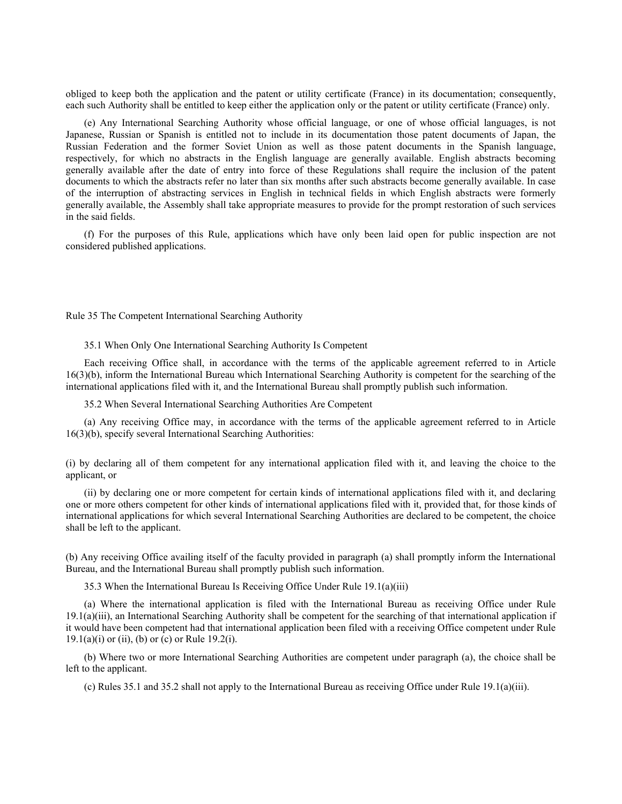obliged to keep both the application and the patent or utility certificate (France) in its documentation; consequently, each such Authority shall be entitled to keep either the application only or the patent or utility certificate (France) only.

(e) Any International Searching Authority whose official language, or one of whose official languages, is not Japanese, Russian or Spanish is entitled not to include in its documentation those patent documents of Japan, the Russian Federation and the former Soviet Union as well as those patent documents in the Spanish language, respectively, for which no abstracts in the English language are generally available. English abstracts becoming generally available after the date of entry into force of these Regulations shall require the inclusion of the patent documents to which the abstracts refer no later than six months after such abstracts become generally available. In case of the interruption of abstracting services in English in technical fields in which English abstracts were formerly generally available, the Assembly shall take appropriate measures to provide for the prompt restoration of such services in the said fields.

(f) For the purposes of this Rule, applications which have only been laid open for public inspection are not considered published applications.

Rule 35 The Competent International Searching Authority

35.1 When Only One International Searching Authority Is Competent

Each receiving Office shall, in accordance with the terms of the applicable agreement referred to in Article 16(3)(b), inform the International Bureau which International Searching Authority is competent for the searching of the international applications filed with it, and the International Bureau shall promptly publish such information.

35.2 When Several International Searching Authorities Are Competent

(a) Any receiving Office may, in accordance with the terms of the applicable agreement referred to in Article 16(3)(b), specify several International Searching Authorities:

(i) by declaring all of them competent for any international application filed with it, and leaving the choice to the applicant, or

(ii) by declaring one or more competent for certain kinds of international applications filed with it, and declaring one or more others competent for other kinds of international applications filed with it, provided that, for those kinds of international applications for which several International Searching Authorities are declared to be competent, the choice shall be left to the applicant.

(b) Any receiving Office availing itself of the faculty provided in paragraph (a) shall promptly inform the International Bureau, and the International Bureau shall promptly publish such information.

35.3 When the International Bureau Is Receiving Office Under Rule 19.1(a)(iii)

(a) Where the international application is filed with the International Bureau as receiving Office under Rule 19.1(a)(iii), an International Searching Authority shall be competent for the searching of that international application if it would have been competent had that international application been filed with a receiving Office competent under Rule  $19.1(a)(i)$  or (ii), (b) or (c) or Rule 19.2(i).

(b) Where two or more International Searching Authorities are competent under paragraph (a), the choice shall be left to the applicant.

(c) Rules 35.1 and 35.2 shall not apply to the International Bureau as receiving Office under Rule 19.1(a)(iii).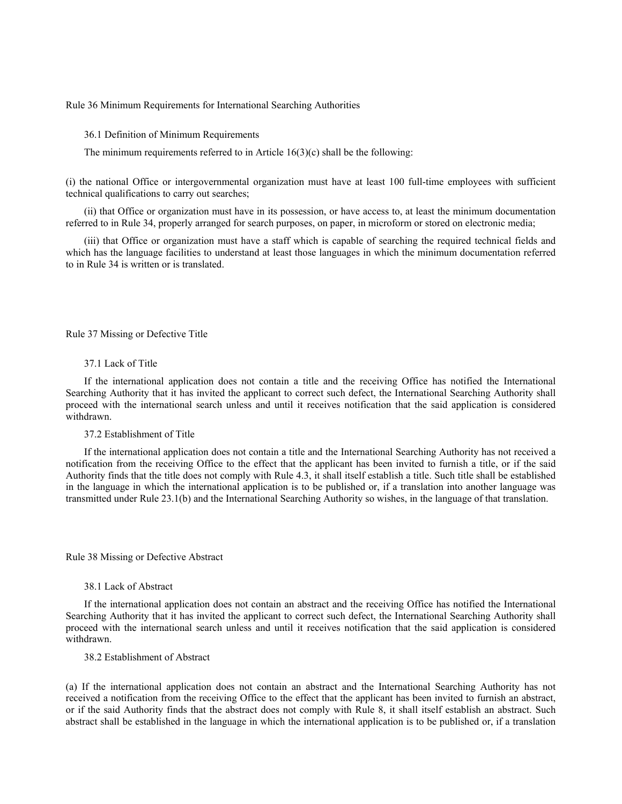Rule 36 Minimum Requirements for International Searching Authorities

36.1 Definition of Minimum Requirements

The minimum requirements referred to in Article  $16(3)(c)$  shall be the following:

(i) the national Office or intergovernmental organization must have at least 100 full-time employees with sufficient technical qualifications to carry out searches;

(ii) that Office or organization must have in its possession, or have access to, at least the minimum documentation referred to in Rule 34, properly arranged for search purposes, on paper, in microform or stored on electronic media;

(iii) that Office or organization must have a staff which is capable of searching the required technical fields and which has the language facilities to understand at least those languages in which the minimum documentation referred to in Rule 34 is written or is translated.

Rule 37 Missing or Defective Title

## 37.1 Lack of Title

If the international application does not contain a title and the receiving Office has notified the International Searching Authority that it has invited the applicant to correct such defect, the International Searching Authority shall proceed with the international search unless and until it receives notification that the said application is considered withdrawn.

## 37.2 Establishment of Title

If the international application does not contain a title and the International Searching Authority has not received a notification from the receiving Office to the effect that the applicant has been invited to furnish a title, or if the said Authority finds that the title does not comply with Rule 4.3, it shall itself establish a title. Such title shall be established in the language in which the international application is to be published or, if a translation into another language was transmitted under Rule 23.1(b) and the International Searching Authority so wishes, in the language of that translation.

Rule 38 Missing or Defective Abstract

## 38.1 Lack of Abstract

If the international application does not contain an abstract and the receiving Office has notified the International Searching Authority that it has invited the applicant to correct such defect, the International Searching Authority shall proceed with the international search unless and until it receives notification that the said application is considered withdrawn.

## 38.2 Establishment of Abstract

(a) If the international application does not contain an abstract and the International Searching Authority has not received a notification from the receiving Office to the effect that the applicant has been invited to furnish an abstract, or if the said Authority finds that the abstract does not comply with Rule 8, it shall itself establish an abstract. Such abstract shall be established in the language in which the international application is to be published or, if a translation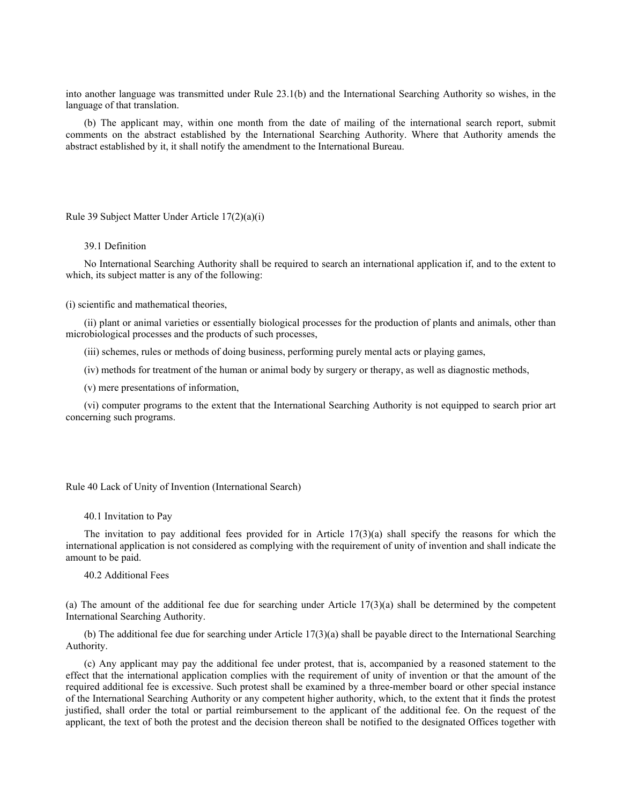into another language was transmitted under Rule 23.1(b) and the International Searching Authority so wishes, in the language of that translation.

(b) The applicant may, within one month from the date of mailing of the international search report, submit comments on the abstract established by the International Searching Authority. Where that Authority amends the abstract established by it, it shall notify the amendment to the International Bureau.

Rule 39 Subject Matter Under Article 17(2)(a)(i)

## 39.1 Definition

No International Searching Authority shall be required to search an international application if, and to the extent to which, its subject matter is any of the following:

(i) scientific and mathematical theories,

(ii) plant or animal varieties or essentially biological processes for the production of plants and animals, other than microbiological processes and the products of such processes,

(iii) schemes, rules or methods of doing business, performing purely mental acts or playing games,

(iv) methods for treatment of the human or animal body by surgery or therapy, as well as diagnostic methods,

(v) mere presentations of information,

(vi) computer programs to the extent that the International Searching Authority is not equipped to search prior art concerning such programs.

### Rule 40 Lack of Unity of Invention (International Search)

#### 40.1 Invitation to Pay

The invitation to pay additional fees provided for in Article  $17(3)(a)$  shall specify the reasons for which the international application is not considered as complying with the requirement of unity of invention and shall indicate the amount to be paid.

# 40.2 Additional Fees

(a) The amount of the additional fee due for searching under Article 17(3)(a) shall be determined by the competent International Searching Authority.

(b) The additional fee due for searching under Article  $17(3)(a)$  shall be payable direct to the International Searching Authority.

(c) Any applicant may pay the additional fee under protest, that is, accompanied by a reasoned statement to the effect that the international application complies with the requirement of unity of invention or that the amount of the required additional fee is excessive. Such protest shall be examined by a three-member board or other special instance of the International Searching Authority or any competent higher authority, which, to the extent that it finds the protest justified, shall order the total or partial reimbursement to the applicant of the additional fee. On the request of the applicant, the text of both the protest and the decision thereon shall be notified to the designated Offices together with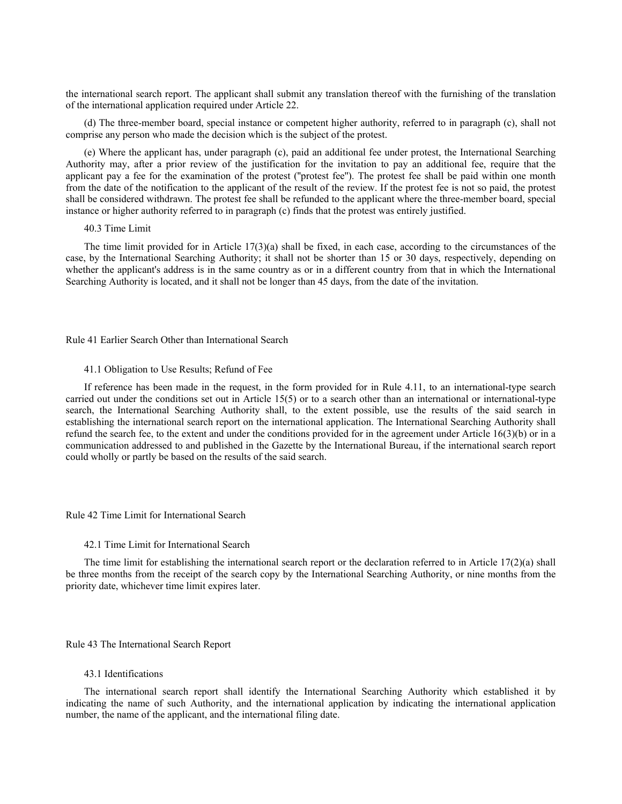the international search report. The applicant shall submit any translation thereof with the furnishing of the translation of the international application required under Article 22.

(d) The three-member board, special instance or competent higher authority, referred to in paragraph (c), shall not comprise any person who made the decision which is the subject of the protest.

(e) Where the applicant has, under paragraph (c), paid an additional fee under protest, the International Searching Authority may, after a prior review of the justification for the invitation to pay an additional fee, require that the applicant pay a fee for the examination of the protest (''protest fee''). The protest fee shall be paid within one month from the date of the notification to the applicant of the result of the review. If the protest fee is not so paid, the protest shall be considered withdrawn. The protest fee shall be refunded to the applicant where the three-member board, special instance or higher authority referred to in paragraph (c) finds that the protest was entirely justified.

# 40.3 Time Limit

The time limit provided for in Article  $17(3)(a)$  shall be fixed, in each case, according to the circumstances of the case, by the International Searching Authority; it shall not be shorter than 15 or 30 days, respectively, depending on whether the applicant's address is in the same country as or in a different country from that in which the International Searching Authority is located, and it shall not be longer than 45 days, from the date of the invitation.

Rule 41 Earlier Search Other than International Search

#### 41.1 Obligation to Use Results; Refund of Fee

If reference has been made in the request, in the form provided for in Rule 4.11, to an international-type search carried out under the conditions set out in Article 15(5) or to a search other than an international or international-type search, the International Searching Authority shall, to the extent possible, use the results of the said search in establishing the international search report on the international application. The International Searching Authority shall refund the search fee, to the extent and under the conditions provided for in the agreement under Article 16(3)(b) or in a communication addressed to and published in the Gazette by the International Bureau, if the international search report could wholly or partly be based on the results of the said search.

## Rule 42 Time Limit for International Search

#### 42.1 Time Limit for International Search

The time limit for establishing the international search report or the declaration referred to in Article 17(2)(a) shall be three months from the receipt of the search copy by the International Searching Authority, or nine months from the priority date, whichever time limit expires later.

## Rule 43 The International Search Report

#### 43.1 Identifications

The international search report shall identify the International Searching Authority which established it by indicating the name of such Authority, and the international application by indicating the international application number, the name of the applicant, and the international filing date.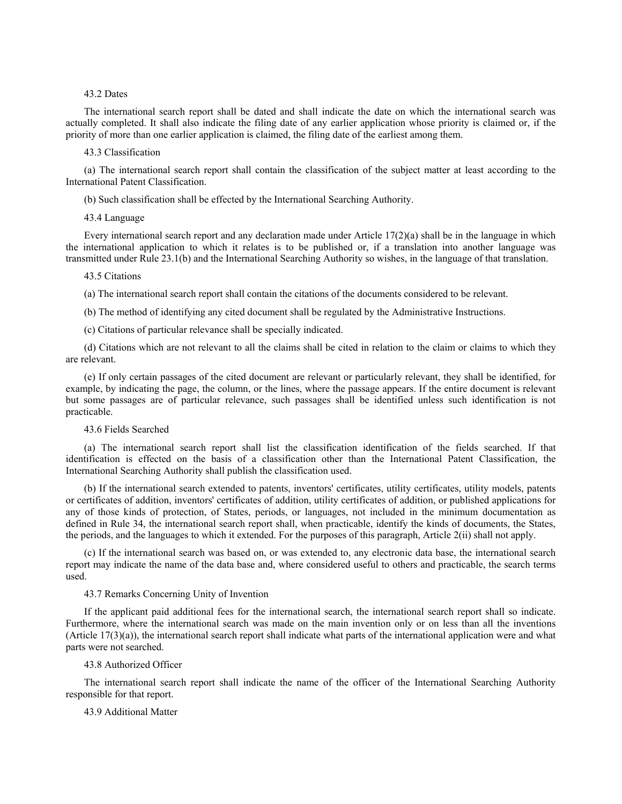## 43.2 Dates

The international search report shall be dated and shall indicate the date on which the international search was actually completed. It shall also indicate the filing date of any earlier application whose priority is claimed or, if the priority of more than one earlier application is claimed, the filing date of the earliest among them.

## 43.3 Classification

(a) The international search report shall contain the classification of the subject matter at least according to the International Patent Classification.

(b) Such classification shall be effected by the International Searching Authority.

43.4 Language

Every international search report and any declaration made under Article 17(2)(a) shall be in the language in which the international application to which it relates is to be published or, if a translation into another language was transmitted under Rule 23.1(b) and the International Searching Authority so wishes, in the language of that translation.

#### 43.5 Citations

(a) The international search report shall contain the citations of the documents considered to be relevant.

(b) The method of identifying any cited document shall be regulated by the Administrative Instructions.

(c) Citations of particular relevance shall be specially indicated.

(d) Citations which are not relevant to all the claims shall be cited in relation to the claim or claims to which they are relevant.

(e) If only certain passages of the cited document are relevant or particularly relevant, they shall be identified, for example, by indicating the page, the column, or the lines, where the passage appears. If the entire document is relevant but some passages are of particular relevance, such passages shall be identified unless such identification is not practicable.

# 43.6 Fields Searched

(a) The international search report shall list the classification identification of the fields searched. If that identification is effected on the basis of a classification other than the International Patent Classification, the International Searching Authority shall publish the classification used.

(b) If the international search extended to patents, inventors' certificates, utility certificates, utility models, patents or certificates of addition, inventors' certificates of addition, utility certificates of addition, or published applications for any of those kinds of protection, of States, periods, or languages, not included in the minimum documentation as defined in Rule 34, the international search report shall, when practicable, identify the kinds of documents, the States, the periods, and the languages to which it extended. For the purposes of this paragraph, Article 2(ii) shall not apply.

(c) If the international search was based on, or was extended to, any electronic data base, the international search report may indicate the name of the data base and, where considered useful to others and practicable, the search terms used.

### 43.7 Remarks Concerning Unity of Invention

If the applicant paid additional fees for the international search, the international search report shall so indicate. Furthermore, where the international search was made on the main invention only or on less than all the inventions (Article 17(3)(a)), the international search report shall indicate what parts of the international application were and what parts were not searched.

## 43.8 Authorized Officer

The international search report shall indicate the name of the officer of the International Searching Authority responsible for that report.

# 43.9 Additional Matter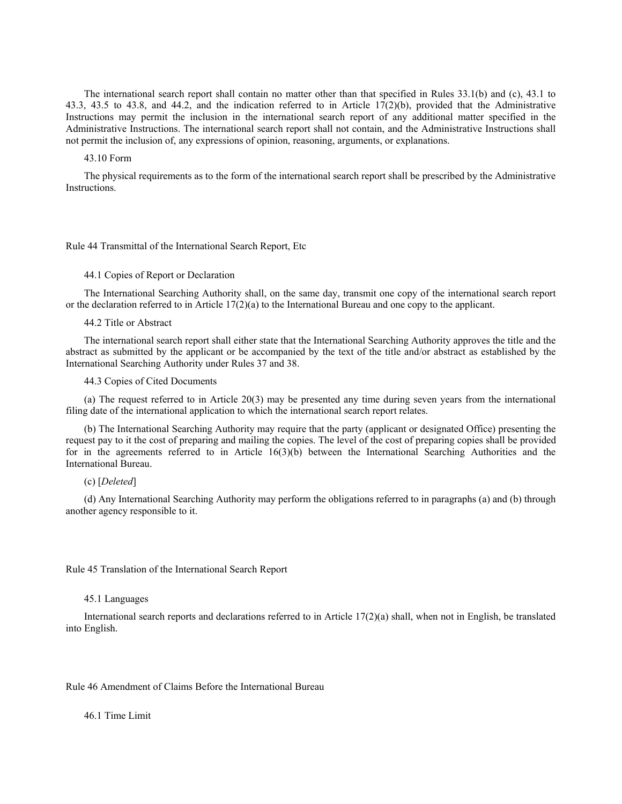The international search report shall contain no matter other than that specified in Rules 33.1(b) and (c), 43.1 to 43.3, 43.5 to 43.8, and 44.2, and the indication referred to in Article 17(2)(b), provided that the Administrative Instructions may permit the inclusion in the international search report of any additional matter specified in the Administrative Instructions. The international search report shall not contain, and the Administrative Instructions shall not permit the inclusion of, any expressions of opinion, reasoning, arguments, or explanations.

### 43.10 Form

The physical requirements as to the form of the international search report shall be prescribed by the Administrative Instructions.

#### Rule 44 Transmittal of the International Search Report, Etc

### 44.1 Copies of Report or Declaration

The International Searching Authority shall, on the same day, transmit one copy of the international search report or the declaration referred to in Article 17(2)(a) to the International Bureau and one copy to the applicant.

## 44.2 Title or Abstract

The international search report shall either state that the International Searching Authority approves the title and the abstract as submitted by the applicant or be accompanied by the text of the title and/or abstract as established by the International Searching Authority under Rules 37 and 38.

## 44.3 Copies of Cited Documents

(a) The request referred to in Article 20(3) may be presented any time during seven years from the international filing date of the international application to which the international search report relates.

(b) The International Searching Authority may require that the party (applicant or designated Office) presenting the request pay to it the cost of preparing and mailing the copies. The level of the cost of preparing copies shall be provided for in the agreements referred to in Article 16(3)(b) between the International Searching Authorities and the International Bureau.

### (c) [*Deleted*]

(d) Any International Searching Authority may perform the obligations referred to in paragraphs (a) and (b) through another agency responsible to it.

Rule 45 Translation of the International Search Report

#### 45.1 Languages

International search reports and declarations referred to in Article 17(2)(a) shall, when not in English, be translated into English.

Rule 46 Amendment of Claims Before the International Bureau

46.1 Time Limit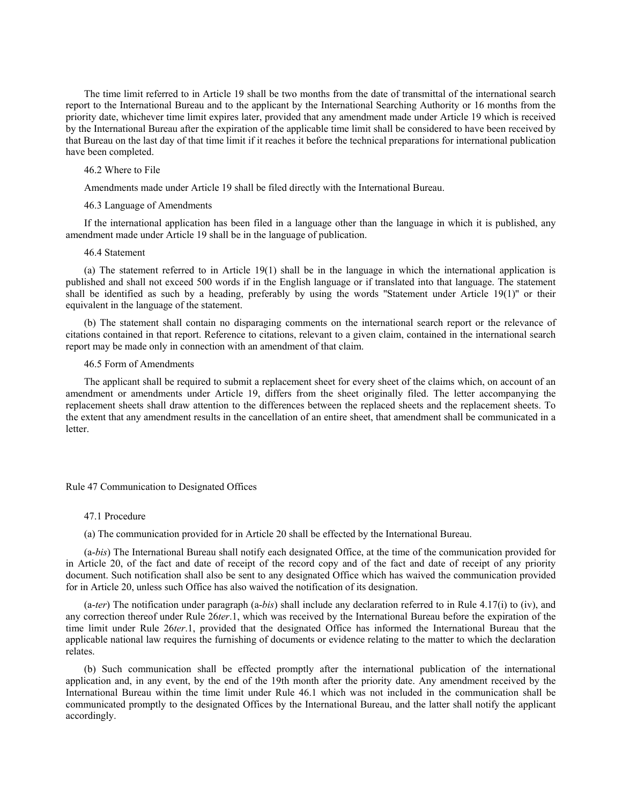The time limit referred to in Article 19 shall be two months from the date of transmittal of the international search report to the International Bureau and to the applicant by the International Searching Authority or 16 months from the priority date, whichever time limit expires later, provided that any amendment made under Article 19 which is received by the International Bureau after the expiration of the applicable time limit shall be considered to have been received by that Bureau on the last day of that time limit if it reaches it before the technical preparations for international publication have been completed.

## 46.2 Where to File

Amendments made under Article 19 shall be filed directly with the International Bureau.

## 46.3 Language of Amendments

If the international application has been filed in a language other than the language in which it is published, any amendment made under Article 19 shall be in the language of publication.

## 46.4 Statement

(a) The statement referred to in Article 19(1) shall be in the language in which the international application is published and shall not exceed 500 words if in the English language or if translated into that language. The statement shall be identified as such by a heading, preferably by using the words ''Statement under Article 19(1)'' or their equivalent in the language of the statement.

(b) The statement shall contain no disparaging comments on the international search report or the relevance of citations contained in that report. Reference to citations, relevant to a given claim, contained in the international search report may be made only in connection with an amendment of that claim.

### 46.5 Form of Amendments

The applicant shall be required to submit a replacement sheet for every sheet of the claims which, on account of an amendment or amendments under Article 19, differs from the sheet originally filed. The letter accompanying the replacement sheets shall draw attention to the differences between the replaced sheets and the replacement sheets. To the extent that any amendment results in the cancellation of an entire sheet, that amendment shall be communicated in a letter.

Rule 47 Communication to Designated Offices

## 47.1 Procedure

(a) The communication provided for in Article 20 shall be effected by the International Bureau.

(a-*bis*) The International Bureau shall notify each designated Office, at the time of the communication provided for in Article 20, of the fact and date of receipt of the record copy and of the fact and date of receipt of any priority document. Such notification shall also be sent to any designated Office which has waived the communication provided for in Article 20, unless such Office has also waived the notification of its designation.

(a-*ter*) The notification under paragraph (a-*bis*) shall include any declaration referred to in Rule 4.17(i) to (iv), and any correction thereof under Rule 26*ter*.1, which was received by the International Bureau before the expiration of the time limit under Rule 26*ter*.1, provided that the designated Office has informed the International Bureau that the applicable national law requires the furnishing of documents or evidence relating to the matter to which the declaration relates.

(b) Such communication shall be effected promptly after the international publication of the international application and, in any event, by the end of the 19th month after the priority date. Any amendment received by the International Bureau within the time limit under Rule 46.1 which was not included in the communication shall be communicated promptly to the designated Offices by the International Bureau, and the latter shall notify the applicant accordingly.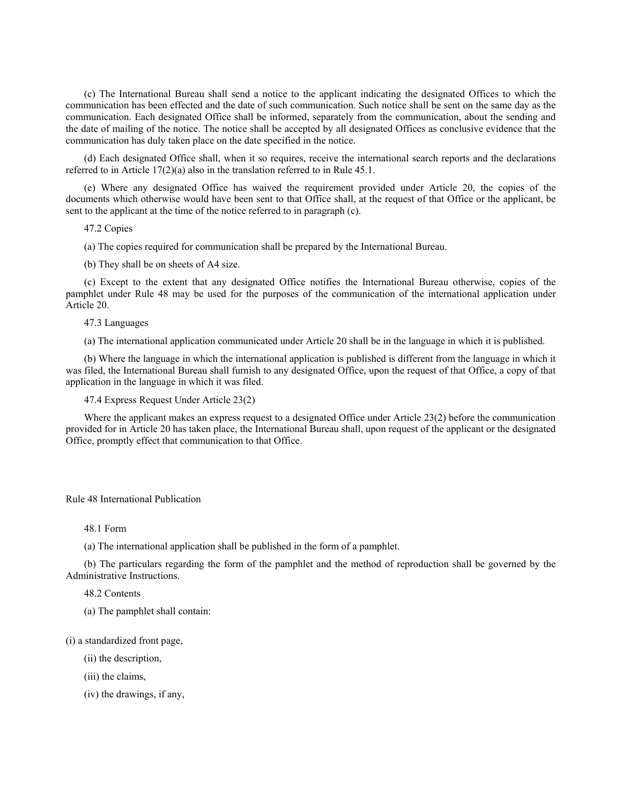(c) The International Bureau shall send a notice to the applicant indicating the designated Offices to which the communication has been effected and the date of such communication. Such notice shall be sent on the same day as the communication. Each designated Office shall be informed, separately from the communication, about the sending and the date of mailing of the notice. The notice shall be accepted by all designated Offices as conclusive evidence that the communication has duly taken place on the date specified in the notice.

(d) Each designated Office shall, when it so requires, receive the international search reports and the declarations referred to in Article 17(2)(a) also in the translation referred to in Rule 45.1.

(e) Where any designated Office has waived the requirement provided under Article 20, the copies of the documents which otherwise would have been sent to that Office shall, at the request of that Office or the applicant, be sent to the applicant at the time of the notice referred to in paragraph (c).

47.2 Copies

(a) The copies required for communication shall be prepared by the International Bureau.

(b) They shall be on sheets of A4 size.

(c) Except to the extent that any designated Office notifies the International Bureau otherwise, copies of the pamphlet under Rule 48 may be used for the purposes of the communication of the international application under Article 20.

47.3 Languages

(a) The international application communicated under Article 20 shall be in the language in which it is published.

(b) Where the language in which the international application is published is different from the language in which it was filed, the International Bureau shall furnish to any designated Office, upon the request of that Office, a copy of that application in the language in which it was filed.

47.4 Express Request Under Article 23(2)

Where the applicant makes an express request to a designated Office under Article 23(2) before the communication provided for in Article 20 has taken place, the International Bureau shall, upon request of the applicant or the designated Office, promptly effect that communication to that Office.

Rule 48 International Publication

48.1 Form

(a) The international application shall be published in the form of a pamphlet.

(b) The particulars regarding the form of the pamphlet and the method of reproduction shall be governed by the Administrative Instructions.

48.2 Contents

(a) The pamphlet shall contain:

(i) a standardized front page,

(ii) the description,

(iii) the claims,

(iv) the drawings, if any,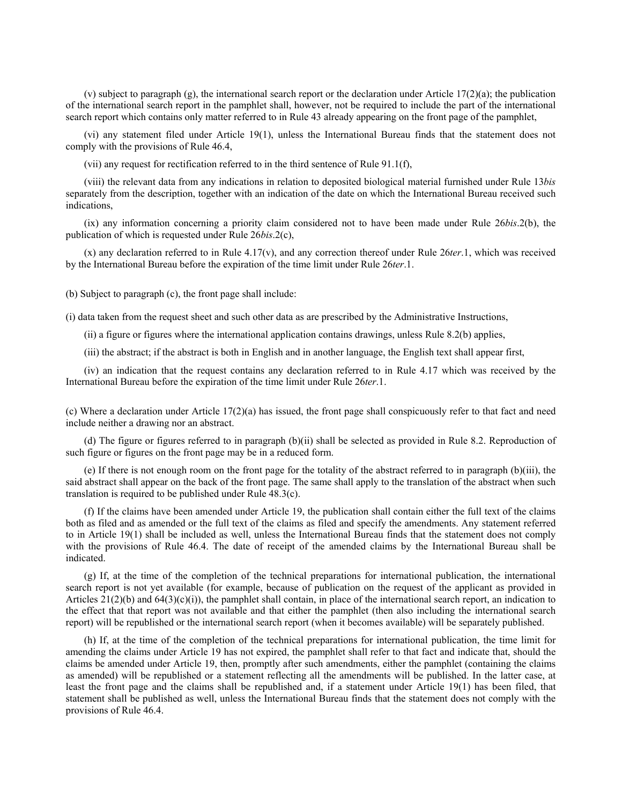(v) subject to paragraph  $(g)$ , the international search report or the declaration under Article 17(2)(a); the publication of the international search report in the pamphlet shall, however, not be required to include the part of the international search report which contains only matter referred to in Rule 43 already appearing on the front page of the pamphlet,

(vi) any statement filed under Article 19(1), unless the International Bureau finds that the statement does not comply with the provisions of Rule 46.4,

(vii) any request for rectification referred to in the third sentence of Rule 91.1(f),

(viii) the relevant data from any indications in relation to deposited biological material furnished under Rule 13*bis* separately from the description, together with an indication of the date on which the International Bureau received such indications,

(ix) any information concerning a priority claim considered not to have been made under Rule 26*bis*.2(b), the publication of which is requested under Rule 26*bis*.2(c),

(x) any declaration referred to in Rule 4.17(v), and any correction thereof under Rule 26*ter*.1, which was received by the International Bureau before the expiration of the time limit under Rule 26*ter*.1.

(b) Subject to paragraph (c), the front page shall include:

(i) data taken from the request sheet and such other data as are prescribed by the Administrative Instructions,

(ii) a figure or figures where the international application contains drawings, unless Rule 8.2(b) applies,

(iii) the abstract; if the abstract is both in English and in another language, the English text shall appear first,

(iv) an indication that the request contains any declaration referred to in Rule 4.17 which was received by the International Bureau before the expiration of the time limit under Rule 26*ter*.1.

(c) Where a declaration under Article  $17(2)(a)$  has issued, the front page shall conspicuously refer to that fact and need include neither a drawing nor an abstract.

(d) The figure or figures referred to in paragraph (b)(ii) shall be selected as provided in Rule 8.2. Reproduction of such figure or figures on the front page may be in a reduced form.

(e) If there is not enough room on the front page for the totality of the abstract referred to in paragraph (b)(iii), the said abstract shall appear on the back of the front page. The same shall apply to the translation of the abstract when such translation is required to be published under Rule 48.3(c).

(f) If the claims have been amended under Article 19, the publication shall contain either the full text of the claims both as filed and as amended or the full text of the claims as filed and specify the amendments. Any statement referred to in Article 19(1) shall be included as well, unless the International Bureau finds that the statement does not comply with the provisions of Rule 46.4. The date of receipt of the amended claims by the International Bureau shall be indicated.

(g) If, at the time of the completion of the technical preparations for international publication, the international search report is not yet available (for example, because of publication on the request of the applicant as provided in Articles  $21(2)(b)$  and  $64(3)(c)(i)$ , the pamphlet shall contain, in place of the international search report, an indication to the effect that that report was not available and that either the pamphlet (then also including the international search report) will be republished or the international search report (when it becomes available) will be separately published.

(h) If, at the time of the completion of the technical preparations for international publication, the time limit for amending the claims under Article 19 has not expired, the pamphlet shall refer to that fact and indicate that, should the claims be amended under Article 19, then, promptly after such amendments, either the pamphlet (containing the claims as amended) will be republished or a statement reflecting all the amendments will be published. In the latter case, at least the front page and the claims shall be republished and, if a statement under Article 19(1) has been filed, that statement shall be published as well, unless the International Bureau finds that the statement does not comply with the provisions of Rule 46.4.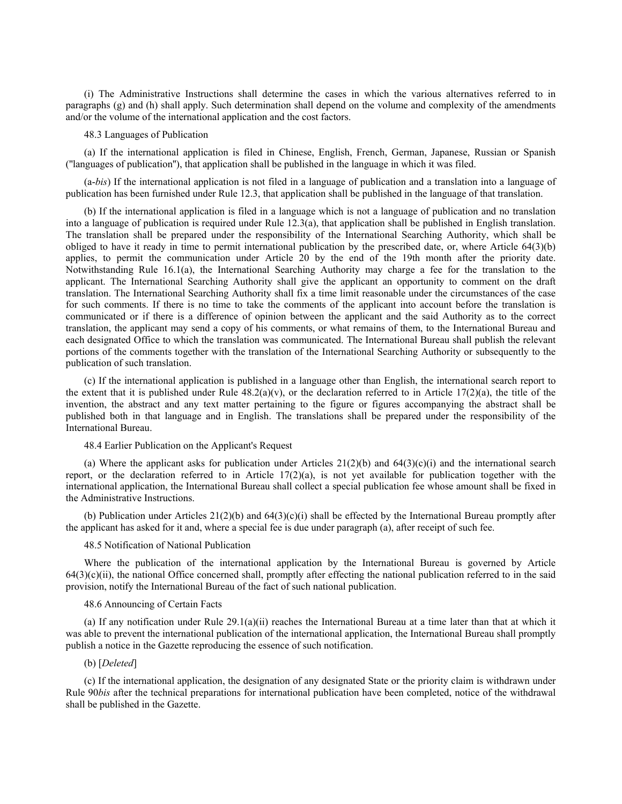(i) The Administrative Instructions shall determine the cases in which the various alternatives referred to in paragraphs (g) and (h) shall apply. Such determination shall depend on the volume and complexity of the amendments and/or the volume of the international application and the cost factors.

# 48.3 Languages of Publication

(a) If the international application is filed in Chinese, English, French, German, Japanese, Russian or Spanish (''languages of publication''), that application shall be published in the language in which it was filed.

(a-*bis*) If the international application is not filed in a language of publication and a translation into a language of publication has been furnished under Rule 12.3, that application shall be published in the language of that translation.

(b) If the international application is filed in a language which is not a language of publication and no translation into a language of publication is required under Rule 12.3(a), that application shall be published in English translation. The translation shall be prepared under the responsibility of the International Searching Authority, which shall be obliged to have it ready in time to permit international publication by the prescribed date, or, where Article 64(3)(b) applies, to permit the communication under Article 20 by the end of the 19th month after the priority date. Notwithstanding Rule 16.1(a), the International Searching Authority may charge a fee for the translation to the applicant. The International Searching Authority shall give the applicant an opportunity to comment on the draft translation. The International Searching Authority shall fix a time limit reasonable under the circumstances of the case for such comments. If there is no time to take the comments of the applicant into account before the translation is communicated or if there is a difference of opinion between the applicant and the said Authority as to the correct translation, the applicant may send a copy of his comments, or what remains of them, to the International Bureau and each designated Office to which the translation was communicated. The International Bureau shall publish the relevant portions of the comments together with the translation of the International Searching Authority or subsequently to the publication of such translation.

(c) If the international application is published in a language other than English, the international search report to the extent that it is published under Rule  $48.2(a)(v)$ , or the declaration referred to in Article 17(2)(a), the title of the invention, the abstract and any text matter pertaining to the figure or figures accompanying the abstract shall be published both in that language and in English. The translations shall be prepared under the responsibility of the International Bureau.

## 48.4 Earlier Publication on the Applicant's Request

(a) Where the applicant asks for publication under Articles  $21(2)(b)$  and  $64(3)(c)(i)$  and the international search report, or the declaration referred to in Article  $17(2)(a)$ , is not yet available for publication together with the international application, the International Bureau shall collect a special publication fee whose amount shall be fixed in the Administrative Instructions.

(b) Publication under Articles  $21(2)(b)$  and  $64(3)(c)(i)$  shall be effected by the International Bureau promptly after the applicant has asked for it and, where a special fee is due under paragraph (a), after receipt of such fee.

## 48.5 Notification of National Publication

Where the publication of the international application by the International Bureau is governed by Article  $64(3)(c)(ii)$ , the national Office concerned shall, promptly after effecting the national publication referred to in the said provision, notify the International Bureau of the fact of such national publication.

# 48.6 Announcing of Certain Facts

(a) If any notification under Rule 29.1(a)(ii) reaches the International Bureau at a time later than that at which it was able to prevent the international publication of the international application, the International Bureau shall promptly publish a notice in the Gazette reproducing the essence of such notification.

# (b) [*Deleted*]

(c) If the international application, the designation of any designated State or the priority claim is withdrawn under Rule 90*bis* after the technical preparations for international publication have been completed, notice of the withdrawal shall be published in the Gazette.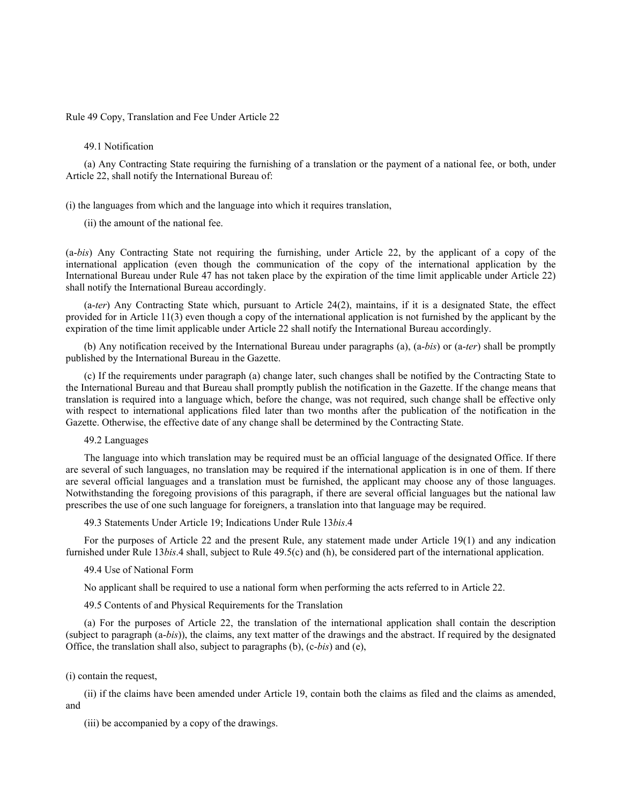Rule 49 Copy, Translation and Fee Under Article 22

## 49.1 Notification

(a) Any Contracting State requiring the furnishing of a translation or the payment of a national fee, or both, under Article 22, shall notify the International Bureau of:

(i) the languages from which and the language into which it requires translation,

(ii) the amount of the national fee.

(a-*bis*) Any Contracting State not requiring the furnishing, under Article 22, by the applicant of a copy of the international application (even though the communication of the copy of the international application by the International Bureau under Rule 47 has not taken place by the expiration of the time limit applicable under Article 22) shall notify the International Bureau accordingly.

(a-*ter*) Any Contracting State which, pursuant to Article 24(2), maintains, if it is a designated State, the effect provided for in Article 11(3) even though a copy of the international application is not furnished by the applicant by the expiration of the time limit applicable under Article 22 shall notify the International Bureau accordingly.

(b) Any notification received by the International Bureau under paragraphs (a), (a-*bis*) or (a-*ter*) shall be promptly published by the International Bureau in the Gazette.

(c) If the requirements under paragraph (a) change later, such changes shall be notified by the Contracting State to the International Bureau and that Bureau shall promptly publish the notification in the Gazette. If the change means that translation is required into a language which, before the change, was not required, such change shall be effective only with respect to international applications filed later than two months after the publication of the notification in the Gazette. Otherwise, the effective date of any change shall be determined by the Contracting State.

## 49.2 Languages

The language into which translation may be required must be an official language of the designated Office. If there are several of such languages, no translation may be required if the international application is in one of them. If there are several official languages and a translation must be furnished, the applicant may choose any of those languages. Notwithstanding the foregoing provisions of this paragraph, if there are several official languages but the national law prescribes the use of one such language for foreigners, a translation into that language may be required.

49.3 Statements Under Article 19; Indications Under Rule 13*bis*.4

For the purposes of Article 22 and the present Rule, any statement made under Article 19(1) and any indication furnished under Rule 13*bis*.4 shall, subject to Rule 49.5(c) and (h), be considered part of the international application.

### 49.4 Use of National Form

No applicant shall be required to use a national form when performing the acts referred to in Article 22.

49.5 Contents of and Physical Requirements for the Translation

(a) For the purposes of Article 22, the translation of the international application shall contain the description (subject to paragraph (a-*bis*)), the claims, any text matter of the drawings and the abstract. If required by the designated Office, the translation shall also, subject to paragraphs (b), (c-*bis*) and (e),

# (i) contain the request,

(ii) if the claims have been amended under Article 19, contain both the claims as filed and the claims as amended, and

(iii) be accompanied by a copy of the drawings.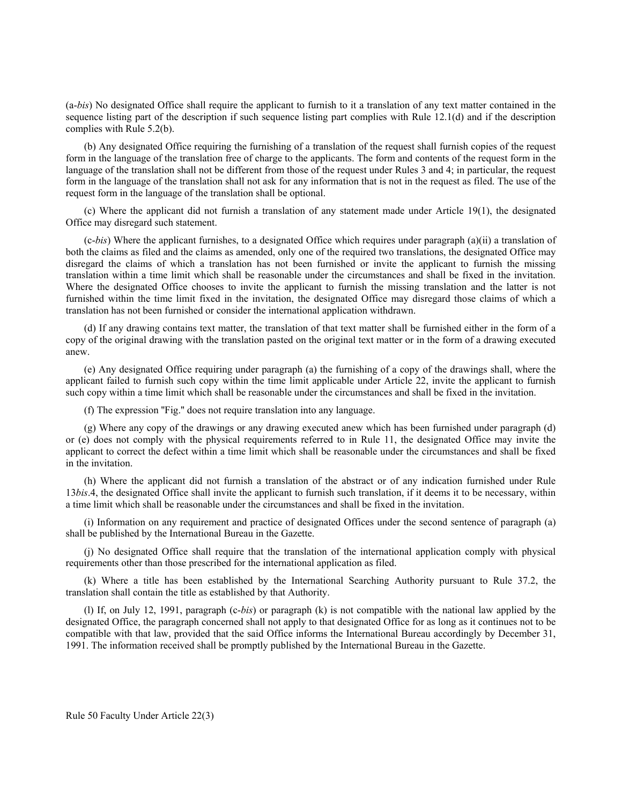(a-*bis*) No designated Office shall require the applicant to furnish to it a translation of any text matter contained in the sequence listing part of the description if such sequence listing part complies with Rule 12.1(d) and if the description complies with Rule 5.2(b).

(b) Any designated Office requiring the furnishing of a translation of the request shall furnish copies of the request form in the language of the translation free of charge to the applicants. The form and contents of the request form in the language of the translation shall not be different from those of the request under Rules 3 and 4; in particular, the request form in the language of the translation shall not ask for any information that is not in the request as filed. The use of the request form in the language of the translation shall be optional.

(c) Where the applicant did not furnish a translation of any statement made under Article 19(1), the designated Office may disregard such statement.

(c-*bis*) Where the applicant furnishes, to a designated Office which requires under paragraph (a)(ii) a translation of both the claims as filed and the claims as amended, only one of the required two translations, the designated Office may disregard the claims of which a translation has not been furnished or invite the applicant to furnish the missing translation within a time limit which shall be reasonable under the circumstances and shall be fixed in the invitation. Where the designated Office chooses to invite the applicant to furnish the missing translation and the latter is not furnished within the time limit fixed in the invitation, the designated Office may disregard those claims of which a translation has not been furnished or consider the international application withdrawn.

(d) If any drawing contains text matter, the translation of that text matter shall be furnished either in the form of a copy of the original drawing with the translation pasted on the original text matter or in the form of a drawing executed anew.

(e) Any designated Office requiring under paragraph (a) the furnishing of a copy of the drawings shall, where the applicant failed to furnish such copy within the time limit applicable under Article 22, invite the applicant to furnish such copy within a time limit which shall be reasonable under the circumstances and shall be fixed in the invitation.

(f) The expression ''Fig.'' does not require translation into any language.

(g) Where any copy of the drawings or any drawing executed anew which has been furnished under paragraph (d) or (e) does not comply with the physical requirements referred to in Rule 11, the designated Office may invite the applicant to correct the defect within a time limit which shall be reasonable under the circumstances and shall be fixed in the invitation.

(h) Where the applicant did not furnish a translation of the abstract or of any indication furnished under Rule 13*bis*.4, the designated Office shall invite the applicant to furnish such translation, if it deems it to be necessary, within a time limit which shall be reasonable under the circumstances and shall be fixed in the invitation.

(i) Information on any requirement and practice of designated Offices under the second sentence of paragraph (a) shall be published by the International Bureau in the Gazette.

(j) No designated Office shall require that the translation of the international application comply with physical requirements other than those prescribed for the international application as filed.

(k) Where a title has been established by the International Searching Authority pursuant to Rule 37.2, the translation shall contain the title as established by that Authority.

(l) If, on July 12, 1991, paragraph (c-*bis*) or paragraph (k) is not compatible with the national law applied by the designated Office, the paragraph concerned shall not apply to that designated Office for as long as it continues not to be compatible with that law, provided that the said Office informs the International Bureau accordingly by December 31, 1991. The information received shall be promptly published by the International Bureau in the Gazette.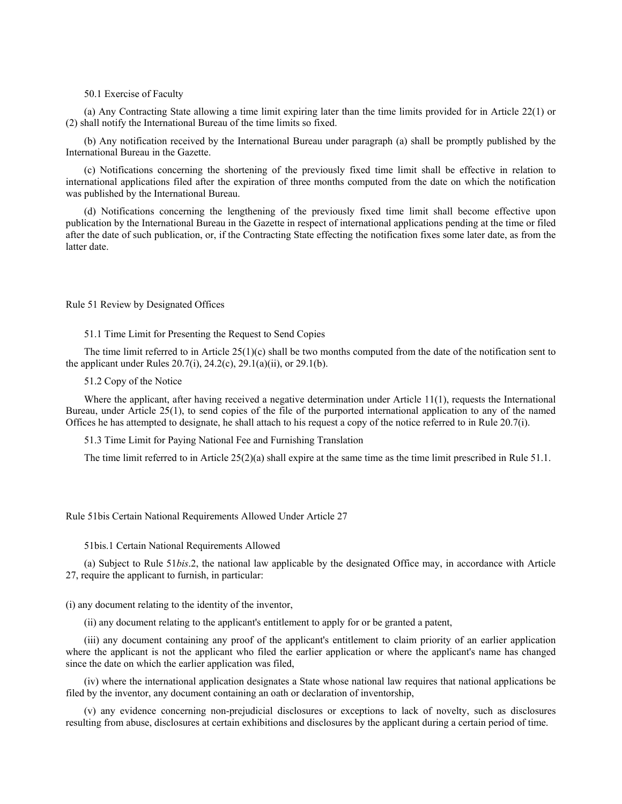## 50.1 Exercise of Faculty

(a) Any Contracting State allowing a time limit expiring later than the time limits provided for in Article 22(1) or (2) shall notify the International Bureau of the time limits so fixed.

(b) Any notification received by the International Bureau under paragraph (a) shall be promptly published by the International Bureau in the Gazette.

(c) Notifications concerning the shortening of the previously fixed time limit shall be effective in relation to international applications filed after the expiration of three months computed from the date on which the notification was published by the International Bureau.

(d) Notifications concerning the lengthening of the previously fixed time limit shall become effective upon publication by the International Bureau in the Gazette in respect of international applications pending at the time or filed after the date of such publication, or, if the Contracting State effecting the notification fixes some later date, as from the latter date.

Rule 51 Review by Designated Offices

## 51.1 Time Limit for Presenting the Request to Send Copies

The time limit referred to in Article  $25(1)(c)$  shall be two months computed from the date of the notification sent to the applicant under Rules  $20.7(i)$ ,  $24.2(c)$ ,  $29.1(a)(ii)$ , or  $29.1(b)$ .

# 51.2 Copy of the Notice

Where the applicant, after having received a negative determination under Article 11(1), requests the International Bureau, under Article 25(1), to send copies of the file of the purported international application to any of the named Offices he has attempted to designate, he shall attach to his request a copy of the notice referred to in Rule 20.7(i).

51.3 Time Limit for Paying National Fee and Furnishing Translation

The time limit referred to in Article 25(2)(a) shall expire at the same time as the time limit prescribed in Rule 51.1.

#### Rule 51bis Certain National Requirements Allowed Under Article 27

### 51bis.1 Certain National Requirements Allowed

(a) Subject to Rule 51*bis*.2, the national law applicable by the designated Office may, in accordance with Article 27, require the applicant to furnish, in particular:

(i) any document relating to the identity of the inventor,

(ii) any document relating to the applicant's entitlement to apply for or be granted a patent,

(iii) any document containing any proof of the applicant's entitlement to claim priority of an earlier application where the applicant is not the applicant who filed the earlier application or where the applicant's name has changed since the date on which the earlier application was filed,

(iv) where the international application designates a State whose national law requires that national applications be filed by the inventor, any document containing an oath or declaration of inventorship,

(v) any evidence concerning non-prejudicial disclosures or exceptions to lack of novelty, such as disclosures resulting from abuse, disclosures at certain exhibitions and disclosures by the applicant during a certain period of time.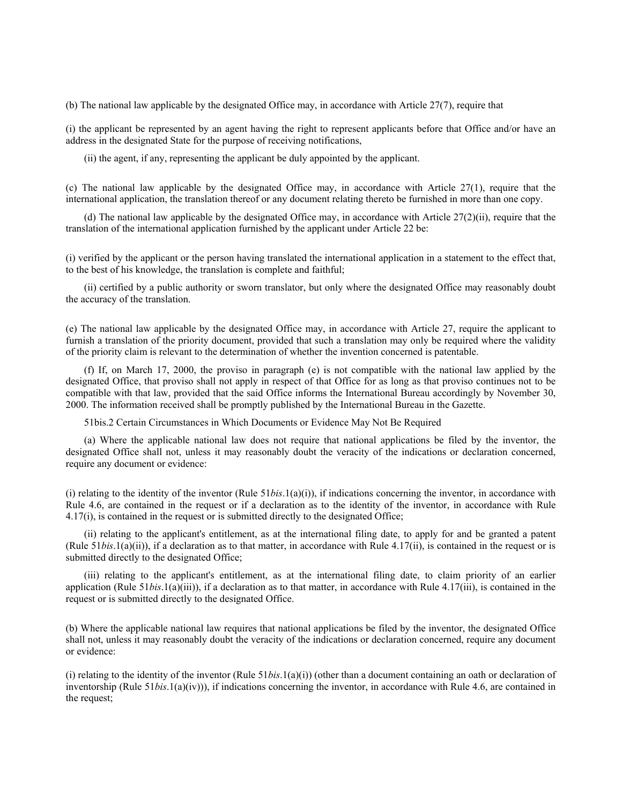(b) The national law applicable by the designated Office may, in accordance with Article 27(7), require that

(i) the applicant be represented by an agent having the right to represent applicants before that Office and/or have an address in the designated State for the purpose of receiving notifications,

(ii) the agent, if any, representing the applicant be duly appointed by the applicant.

(c) The national law applicable by the designated Office may, in accordance with Article 27(1), require that the international application, the translation thereof or any document relating thereto be furnished in more than one copy.

(d) The national law applicable by the designated Office may, in accordance with Article  $27(2)(ii)$ , require that the translation of the international application furnished by the applicant under Article 22 be:

(i) verified by the applicant or the person having translated the international application in a statement to the effect that, to the best of his knowledge, the translation is complete and faithful;

(ii) certified by a public authority or sworn translator, but only where the designated Office may reasonably doubt the accuracy of the translation.

(e) The national law applicable by the designated Office may, in accordance with Article 27, require the applicant to furnish a translation of the priority document, provided that such a translation may only be required where the validity of the priority claim is relevant to the determination of whether the invention concerned is patentable.

(f) If, on March 17, 2000, the proviso in paragraph (e) is not compatible with the national law applied by the designated Office, that proviso shall not apply in respect of that Office for as long as that proviso continues not to be compatible with that law, provided that the said Office informs the International Bureau accordingly by November 30, 2000. The information received shall be promptly published by the International Bureau in the Gazette.

51bis.2 Certain Circumstances in Which Documents or Evidence May Not Be Required

(a) Where the applicable national law does not require that national applications be filed by the inventor, the designated Office shall not, unless it may reasonably doubt the veracity of the indications or declaration concerned, require any document or evidence:

(i) relating to the identity of the inventor (Rule 51*bis*.1(a)(i)), if indications concerning the inventor, in accordance with Rule 4.6, are contained in the request or if a declaration as to the identity of the inventor, in accordance with Rule 4.17(i), is contained in the request or is submitted directly to the designated Office;

(ii) relating to the applicant's entitlement, as at the international filing date, to apply for and be granted a patent (Rule 51*bis*.1(a)(ii)), if a declaration as to that matter, in accordance with Rule 4.17(ii), is contained in the request or is submitted directly to the designated Office;

(iii) relating to the applicant's entitlement, as at the international filing date, to claim priority of an earlier application (Rule 51*bis*.1(a)(iii)), if a declaration as to that matter, in accordance with Rule 4.17(iii), is contained in the request or is submitted directly to the designated Office.

(b) Where the applicable national law requires that national applications be filed by the inventor, the designated Office shall not, unless it may reasonably doubt the veracity of the indications or declaration concerned, require any document or evidence:

(i) relating to the identity of the inventor (Rule 51*bis*.1(a)(i)) (other than a document containing an oath or declaration of inventorship (Rule 51*bis*.1(a)(iv))), if indications concerning the inventor, in accordance with Rule 4.6, are contained in the request;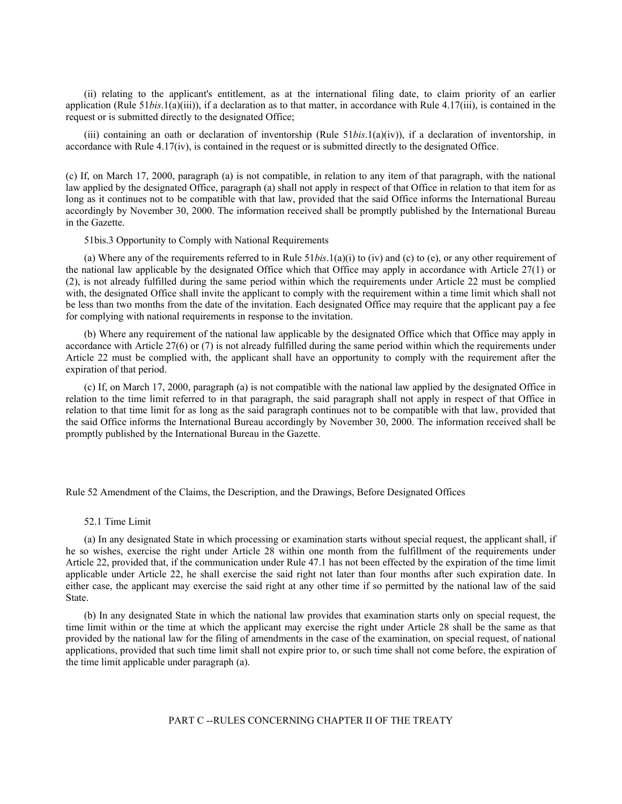(ii) relating to the applicant's entitlement, as at the international filing date, to claim priority of an earlier application (Rule 51*bis*.1(a)(iii)), if a declaration as to that matter, in accordance with Rule 4.17(iii), is contained in the request or is submitted directly to the designated Office;

(iii) containing an oath or declaration of inventorship (Rule 51*bis*.1(a)(iv)), if a declaration of inventorship, in accordance with Rule 4.17(iv), is contained in the request or is submitted directly to the designated Office.

(c) If, on March 17, 2000, paragraph (a) is not compatible, in relation to any item of that paragraph, with the national law applied by the designated Office, paragraph (a) shall not apply in respect of that Office in relation to that item for as long as it continues not to be compatible with that law, provided that the said Office informs the International Bureau accordingly by November 30, 2000. The information received shall be promptly published by the International Bureau in the Gazette.

51bis.3 Opportunity to Comply with National Requirements

(a) Where any of the requirements referred to in Rule 51*bis*.1(a)(i) to (iv) and (c) to (e), or any other requirement of the national law applicable by the designated Office which that Office may apply in accordance with Article 27(1) or (2), is not already fulfilled during the same period within which the requirements under Article 22 must be complied with, the designated Office shall invite the applicant to comply with the requirement within a time limit which shall not be less than two months from the date of the invitation. Each designated Office may require that the applicant pay a fee for complying with national requirements in response to the invitation.

(b) Where any requirement of the national law applicable by the designated Office which that Office may apply in accordance with Article 27(6) or (7) is not already fulfilled during the same period within which the requirements under Article 22 must be complied with, the applicant shall have an opportunity to comply with the requirement after the expiration of that period.

(c) If, on March 17, 2000, paragraph (a) is not compatible with the national law applied by the designated Office in relation to the time limit referred to in that paragraph, the said paragraph shall not apply in respect of that Office in relation to that time limit for as long as the said paragraph continues not to be compatible with that law, provided that the said Office informs the International Bureau accordingly by November 30, 2000. The information received shall be promptly published by the International Bureau in the Gazette.

Rule 52 Amendment of the Claims, the Description, and the Drawings, Before Designated Offices

## 52.1 Time Limit

(a) In any designated State in which processing or examination starts without special request, the applicant shall, if he so wishes, exercise the right under Article 28 within one month from the fulfillment of the requirements under Article 22, provided that, if the communication under Rule 47.1 has not been effected by the expiration of the time limit applicable under Article 22, he shall exercise the said right not later than four months after such expiration date. In either case, the applicant may exercise the said right at any other time if so permitted by the national law of the said State.

(b) In any designated State in which the national law provides that examination starts only on special request, the time limit within or the time at which the applicant may exercise the right under Article 28 shall be the same as that provided by the national law for the filing of amendments in the case of the examination, on special request, of national applications, provided that such time limit shall not expire prior to, or such time shall not come before, the expiration of the time limit applicable under paragraph (a).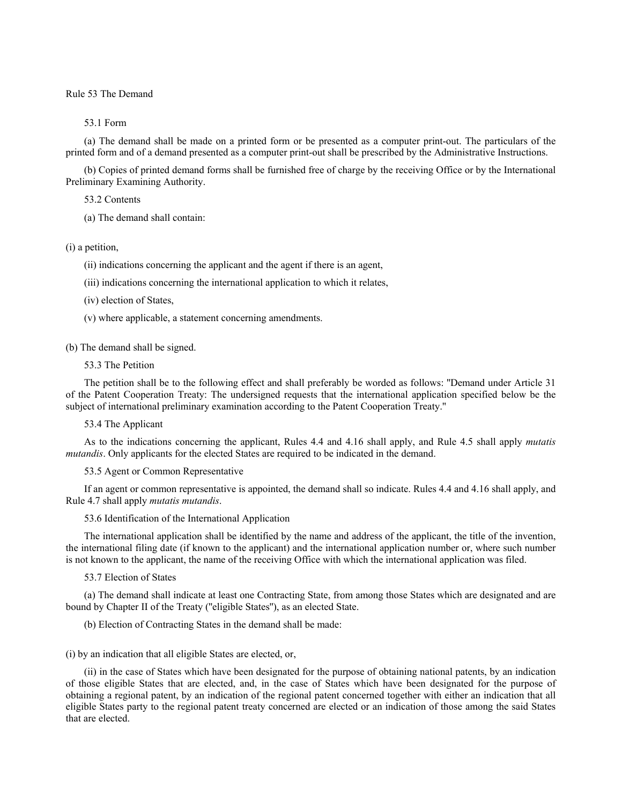## Rule 53 The Demand

## 53.1 Form

(a) The demand shall be made on a printed form or be presented as a computer print-out. The particulars of the printed form and of a demand presented as a computer print-out shall be prescribed by the Administrative Instructions.

(b) Copies of printed demand forms shall be furnished free of charge by the receiving Office or by the International Preliminary Examining Authority.

53.2 Contents

(a) The demand shall contain:

(i) a petition,

(ii) indications concerning the applicant and the agent if there is an agent,

(iii) indications concerning the international application to which it relates,

(iv) election of States,

(v) where applicable, a statement concerning amendments.

(b) The demand shall be signed.

53.3 The Petition

The petition shall be to the following effect and shall preferably be worded as follows: ''Demand under Article 31 of the Patent Cooperation Treaty: The undersigned requests that the international application specified below be the subject of international preliminary examination according to the Patent Cooperation Treaty.''

53.4 The Applicant

As to the indications concerning the applicant, Rules 4.4 and 4.16 shall apply, and Rule 4.5 shall apply *mutatis mutandis*. Only applicants for the elected States are required to be indicated in the demand.

53.5 Agent or Common Representative

If an agent or common representative is appointed, the demand shall so indicate. Rules 4.4 and 4.16 shall apply, and Rule 4.7 shall apply *mutatis mutandis*.

53.6 Identification of the International Application

The international application shall be identified by the name and address of the applicant, the title of the invention, the international filing date (if known to the applicant) and the international application number or, where such number is not known to the applicant, the name of the receiving Office with which the international application was filed.

53.7 Election of States

(a) The demand shall indicate at least one Contracting State, from among those States which are designated and are bound by Chapter II of the Treaty (''eligible States''), as an elected State.

(b) Election of Contracting States in the demand shall be made:

(i) by an indication that all eligible States are elected, or,

(ii) in the case of States which have been designated for the purpose of obtaining national patents, by an indication of those eligible States that are elected, and, in the case of States which have been designated for the purpose of obtaining a regional patent, by an indication of the regional patent concerned together with either an indication that all eligible States party to the regional patent treaty concerned are elected or an indication of those among the said States that are elected.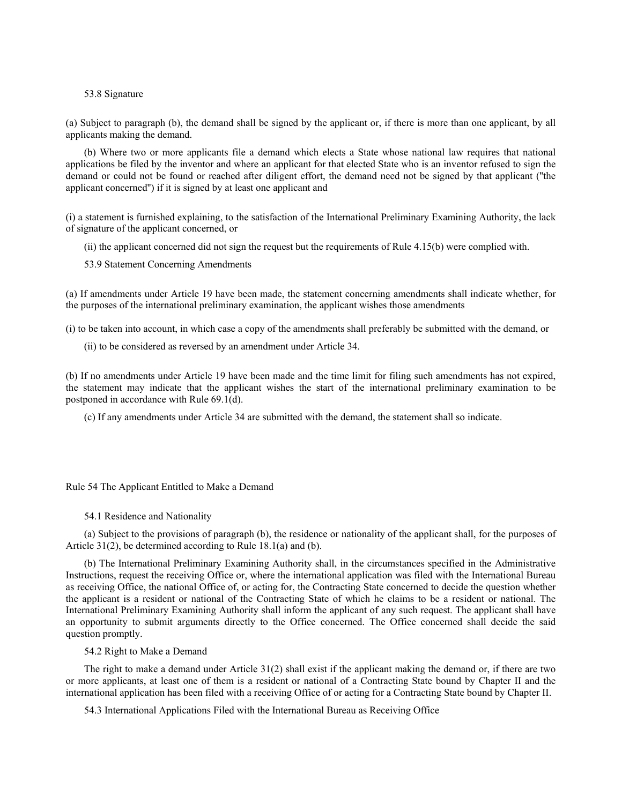## 53.8 Signature

(a) Subject to paragraph (b), the demand shall be signed by the applicant or, if there is more than one applicant, by all applicants making the demand.

(b) Where two or more applicants file a demand which elects a State whose national law requires that national applications be filed by the inventor and where an applicant for that elected State who is an inventor refused to sign the demand or could not be found or reached after diligent effort, the demand need not be signed by that applicant (''the applicant concerned'') if it is signed by at least one applicant and

(i) a statement is furnished explaining, to the satisfaction of the International Preliminary Examining Authority, the lack of signature of the applicant concerned, or

(ii) the applicant concerned did not sign the request but the requirements of Rule 4.15(b) were complied with.

53.9 Statement Concerning Amendments

(a) If amendments under Article 19 have been made, the statement concerning amendments shall indicate whether, for the purposes of the international preliminary examination, the applicant wishes those amendments

(i) to be taken into account, in which case a copy of the amendments shall preferably be submitted with the demand, or

(ii) to be considered as reversed by an amendment under Article 34.

(b) If no amendments under Article 19 have been made and the time limit for filing such amendments has not expired, the statement may indicate that the applicant wishes the start of the international preliminary examination to be postponed in accordance with Rule 69.1(d).

(c) If any amendments under Article 34 are submitted with the demand, the statement shall so indicate.

Rule 54 The Applicant Entitled to Make a Demand

54.1 Residence and Nationality

(a) Subject to the provisions of paragraph (b), the residence or nationality of the applicant shall, for the purposes of Article 31(2), be determined according to Rule 18.1(a) and (b).

(b) The International Preliminary Examining Authority shall, in the circumstances specified in the Administrative Instructions, request the receiving Office or, where the international application was filed with the International Bureau as receiving Office, the national Office of, or acting for, the Contracting State concerned to decide the question whether the applicant is a resident or national of the Contracting State of which he claims to be a resident or national. The International Preliminary Examining Authority shall inform the applicant of any such request. The applicant shall have an opportunity to submit arguments directly to the Office concerned. The Office concerned shall decide the said question promptly.

### 54.2 Right to Make a Demand

The right to make a demand under Article 31(2) shall exist if the applicant making the demand or, if there are two or more applicants, at least one of them is a resident or national of a Contracting State bound by Chapter II and the international application has been filed with a receiving Office of or acting for a Contracting State bound by Chapter II.

54.3 International Applications Filed with the International Bureau as Receiving Office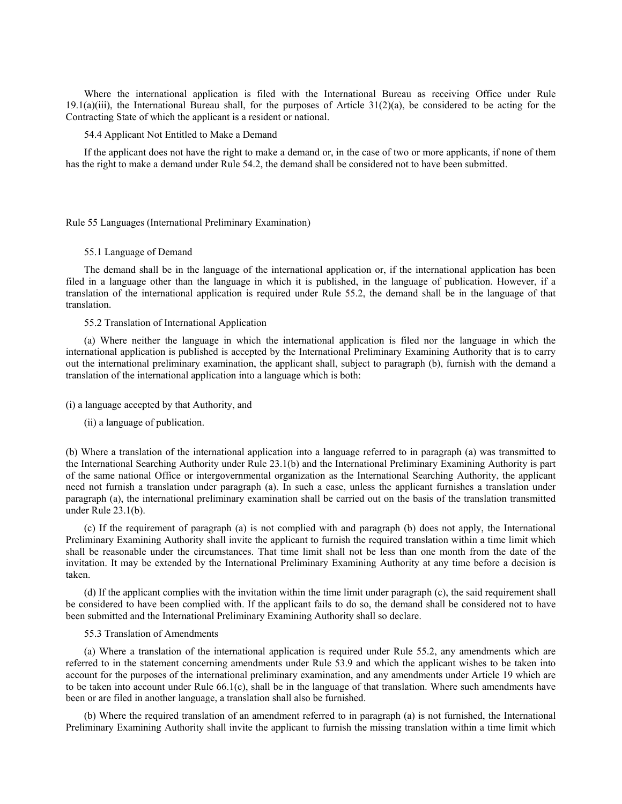Where the international application is filed with the International Bureau as receiving Office under Rule 19.1(a)(iii), the International Bureau shall, for the purposes of Article  $31(2)(a)$ , be considered to be acting for the Contracting State of which the applicant is a resident or national.

# 54.4 Applicant Not Entitled to Make a Demand

If the applicant does not have the right to make a demand or, in the case of two or more applicants, if none of them has the right to make a demand under Rule 54.2, the demand shall be considered not to have been submitted.

#### Rule 55 Languages (International Preliminary Examination)

## 55.1 Language of Demand

The demand shall be in the language of the international application or, if the international application has been filed in a language other than the language in which it is published, in the language of publication. However, if a translation of the international application is required under Rule 55.2, the demand shall be in the language of that translation.

## 55.2 Translation of International Application

(a) Where neither the language in which the international application is filed nor the language in which the international application is published is accepted by the International Preliminary Examining Authority that is to carry out the international preliminary examination, the applicant shall, subject to paragraph (b), furnish with the demand a translation of the international application into a language which is both:

#### (i) a language accepted by that Authority, and

## (ii) a language of publication.

(b) Where a translation of the international application into a language referred to in paragraph (a) was transmitted to the International Searching Authority under Rule 23.1(b) and the International Preliminary Examining Authority is part of the same national Office or intergovernmental organization as the International Searching Authority, the applicant need not furnish a translation under paragraph (a). In such a case, unless the applicant furnishes a translation under paragraph (a), the international preliminary examination shall be carried out on the basis of the translation transmitted under Rule 23.1(b).

(c) If the requirement of paragraph (a) is not complied with and paragraph (b) does not apply, the International Preliminary Examining Authority shall invite the applicant to furnish the required translation within a time limit which shall be reasonable under the circumstances. That time limit shall not be less than one month from the date of the invitation. It may be extended by the International Preliminary Examining Authority at any time before a decision is taken.

(d) If the applicant complies with the invitation within the time limit under paragraph (c), the said requirement shall be considered to have been complied with. If the applicant fails to do so, the demand shall be considered not to have been submitted and the International Preliminary Examining Authority shall so declare.

#### 55.3 Translation of Amendments

(a) Where a translation of the international application is required under Rule 55.2, any amendments which are referred to in the statement concerning amendments under Rule 53.9 and which the applicant wishes to be taken into account for the purposes of the international preliminary examination, and any amendments under Article 19 which are to be taken into account under Rule 66.1(c), shall be in the language of that translation. Where such amendments have been or are filed in another language, a translation shall also be furnished.

(b) Where the required translation of an amendment referred to in paragraph (a) is not furnished, the International Preliminary Examining Authority shall invite the applicant to furnish the missing translation within a time limit which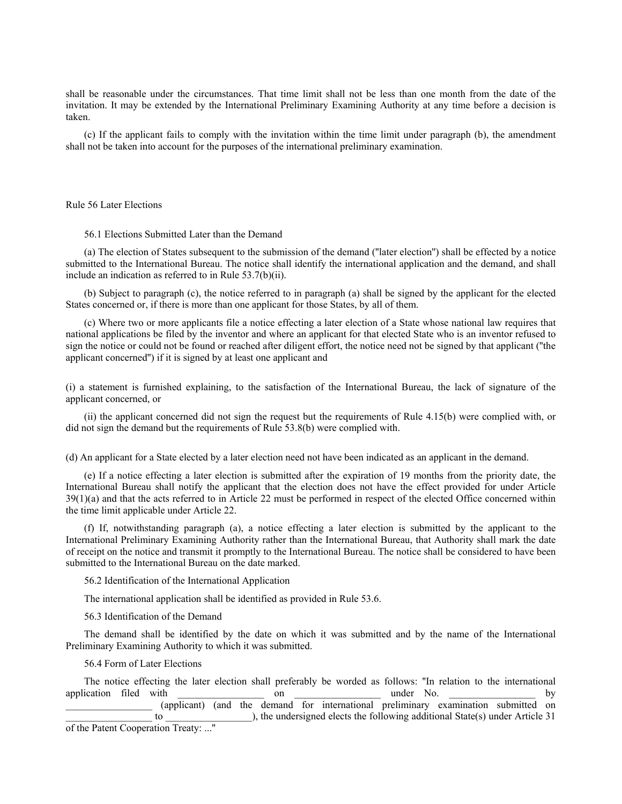shall be reasonable under the circumstances. That time limit shall not be less than one month from the date of the invitation. It may be extended by the International Preliminary Examining Authority at any time before a decision is taken.

(c) If the applicant fails to comply with the invitation within the time limit under paragraph (b), the amendment shall not be taken into account for the purposes of the international preliminary examination.

### Rule 56 Later Elections

## 56.1 Elections Submitted Later than the Demand

(a) The election of States subsequent to the submission of the demand (''later election'') shall be effected by a notice submitted to the International Bureau. The notice shall identify the international application and the demand, and shall include an indication as referred to in Rule 53.7(b)(ii).

(b) Subject to paragraph (c), the notice referred to in paragraph (a) shall be signed by the applicant for the elected States concerned or, if there is more than one applicant for those States, by all of them.

(c) Where two or more applicants file a notice effecting a later election of a State whose national law requires that national applications be filed by the inventor and where an applicant for that elected State who is an inventor refused to sign the notice or could not be found or reached after diligent effort, the notice need not be signed by that applicant (''the applicant concerned'') if it is signed by at least one applicant and

(i) a statement is furnished explaining, to the satisfaction of the International Bureau, the lack of signature of the applicant concerned, or

(ii) the applicant concerned did not sign the request but the requirements of Rule 4.15(b) were complied with, or did not sign the demand but the requirements of Rule 53.8(b) were complied with.

(d) An applicant for a State elected by a later election need not have been indicated as an applicant in the demand.

(e) If a notice effecting a later election is submitted after the expiration of 19 months from the priority date, the International Bureau shall notify the applicant that the election does not have the effect provided for under Article  $39(1)(a)$  and that the acts referred to in Article 22 must be performed in respect of the elected Office concerned within the time limit applicable under Article 22.

(f) If, notwithstanding paragraph (a), a notice effecting a later election is submitted by the applicant to the International Preliminary Examining Authority rather than the International Bureau, that Authority shall mark the date of receipt on the notice and transmit it promptly to the International Bureau. The notice shall be considered to have been submitted to the International Bureau on the date marked.

## 56.2 Identification of the International Application

The international application shall be identified as provided in Rule 53.6.

56.3 Identification of the Demand

The demand shall be identified by the date on which it was submitted and by the name of the International Preliminary Examining Authority to which it was submitted.

56.4 Form of Later Elections

The notice effecting the later election shall preferably be worded as follows: ''In relation to the international application filed with  $\Box$  on  $\Box$  under No.  $\Box$  by \_\_\_\_\_\_\_\_\_\_\_\_\_\_\_\_\_ (applicant) (and the demand for international preliminary examination submitted on  $\alpha$  to  $\alpha$ , the undersigned elects the following additional State(s) under Article 31

of the Patent Cooperation Treaty: ...''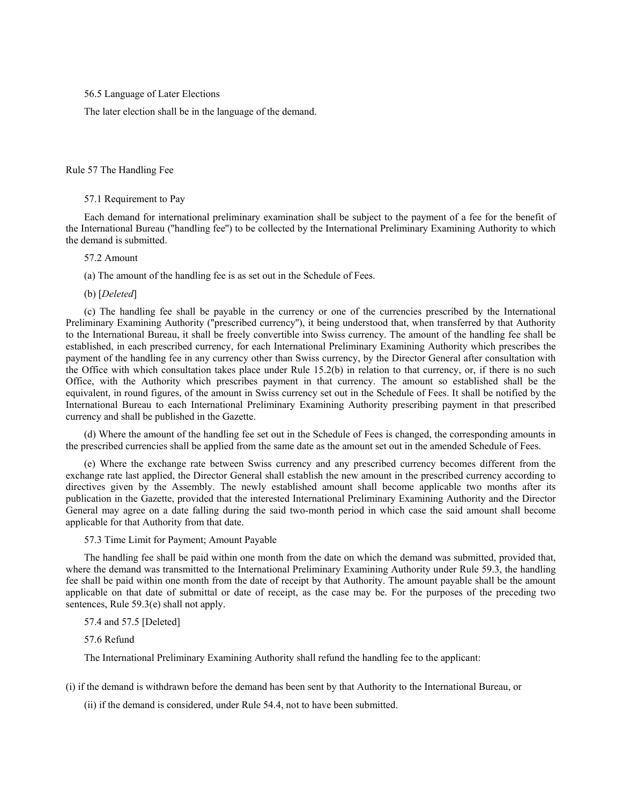## 56.5 Language of Later Elections

The later election shall be in the language of the demand.

#### Rule 57 The Handling Fee

### 57.1 Requirement to Pay

Each demand for international preliminary examination shall be subject to the payment of a fee for the benefit of the International Bureau (''handling fee'') to be collected by the International Preliminary Examining Authority to which the demand is submitted.

## 57.2 Amount

(a) The amount of the handling fee is as set out in the Schedule of Fees.

## (b) [*Deleted*]

(c) The handling fee shall be payable in the currency or one of the currencies prescribed by the International Preliminary Examining Authority (''prescribed currency''), it being understood that, when transferred by that Authority to the International Bureau, it shall be freely convertible into Swiss currency. The amount of the handling fee shall be established, in each prescribed currency, for each International Preliminary Examining Authority which prescribes the payment of the handling fee in any currency other than Swiss currency, by the Director General after consultation with the Office with which consultation takes place under Rule 15.2(b) in relation to that currency, or, if there is no such Office, with the Authority which prescribes payment in that currency. The amount so established shall be the equivalent, in round figures, of the amount in Swiss currency set out in the Schedule of Fees. It shall be notified by the International Bureau to each International Preliminary Examining Authority prescribing payment in that prescribed currency and shall be published in the Gazette.

(d) Where the amount of the handling fee set out in the Schedule of Fees is changed, the corresponding amounts in the prescribed currencies shall be applied from the same date as the amount set out in the amended Schedule of Fees.

(e) Where the exchange rate between Swiss currency and any prescribed currency becomes different from the exchange rate last applied, the Director General shall establish the new amount in the prescribed currency according to directives given by the Assembly. The newly established amount shall become applicable two months after its publication in the Gazette, provided that the interested International Preliminary Examining Authority and the Director General may agree on a date falling during the said two-month period in which case the said amount shall become applicable for that Authority from that date.

### 57.3 Time Limit for Payment; Amount Payable

The handling fee shall be paid within one month from the date on which the demand was submitted, provided that, where the demand was transmitted to the International Preliminary Examining Authority under Rule 59.3, the handling fee shall be paid within one month from the date of receipt by that Authority. The amount payable shall be the amount applicable on that date of submittal or date of receipt, as the case may be. For the purposes of the preceding two sentences, Rule 59.3(e) shall not apply.

## 57.4 and 57.5 [Deleted]

57.6 Refund

The International Preliminary Examining Authority shall refund the handling fee to the applicant:

(i) if the demand is withdrawn before the demand has been sent by that Authority to the International Bureau, or

(ii) if the demand is considered, under Rule 54.4, not to have been submitted.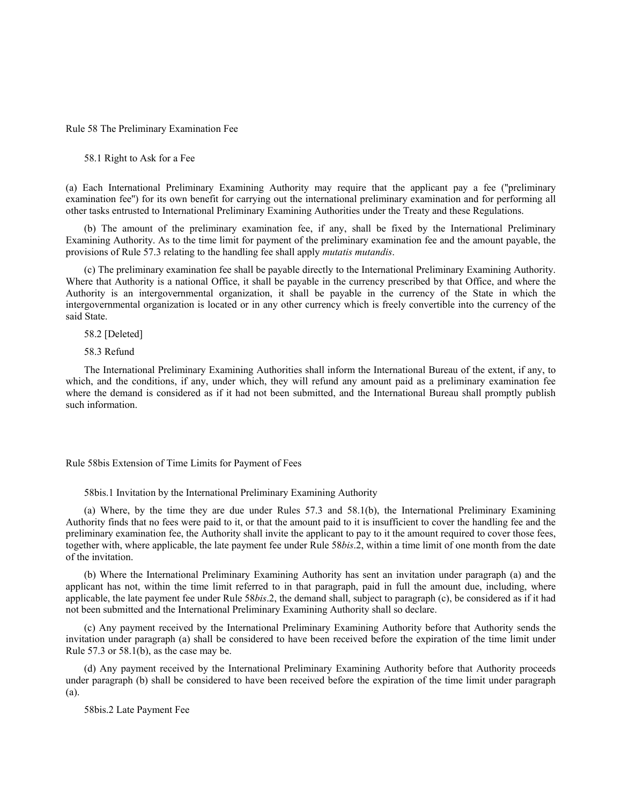Rule 58 The Preliminary Examination Fee

58.1 Right to Ask for a Fee

(a) Each International Preliminary Examining Authority may require that the applicant pay a fee (''preliminary examination fee'') for its own benefit for carrying out the international preliminary examination and for performing all other tasks entrusted to International Preliminary Examining Authorities under the Treaty and these Regulations.

(b) The amount of the preliminary examination fee, if any, shall be fixed by the International Preliminary Examining Authority. As to the time limit for payment of the preliminary examination fee and the amount payable, the provisions of Rule 57.3 relating to the handling fee shall apply *mutatis mutandis*.

(c) The preliminary examination fee shall be payable directly to the International Preliminary Examining Authority. Where that Authority is a national Office, it shall be payable in the currency prescribed by that Office, and where the Authority is an intergovernmental organization, it shall be payable in the currency of the State in which the intergovernmental organization is located or in any other currency which is freely convertible into the currency of the said State.

58.2 [Deleted]

58.3 Refund

The International Preliminary Examining Authorities shall inform the International Bureau of the extent, if any, to which, and the conditions, if any, under which, they will refund any amount paid as a preliminary examination fee where the demand is considered as if it had not been submitted, and the International Bureau shall promptly publish such information.

Rule 58bis Extension of Time Limits for Payment of Fees

58bis.1 Invitation by the International Preliminary Examining Authority

(a) Where, by the time they are due under Rules 57.3 and 58.1(b), the International Preliminary Examining Authority finds that no fees were paid to it, or that the amount paid to it is insufficient to cover the handling fee and the preliminary examination fee, the Authority shall invite the applicant to pay to it the amount required to cover those fees, together with, where applicable, the late payment fee under Rule 58*bis*.2, within a time limit of one month from the date of the invitation.

(b) Where the International Preliminary Examining Authority has sent an invitation under paragraph (a) and the applicant has not, within the time limit referred to in that paragraph, paid in full the amount due, including, where applicable, the late payment fee under Rule 58*bis*.2, the demand shall, subject to paragraph (c), be considered as if it had not been submitted and the International Preliminary Examining Authority shall so declare.

(c) Any payment received by the International Preliminary Examining Authority before that Authority sends the invitation under paragraph (a) shall be considered to have been received before the expiration of the time limit under Rule  $57.3$  or  $58.1(b)$ , as the case may be.

(d) Any payment received by the International Preliminary Examining Authority before that Authority proceeds under paragraph (b) shall be considered to have been received before the expiration of the time limit under paragraph (a).

58bis.2 Late Payment Fee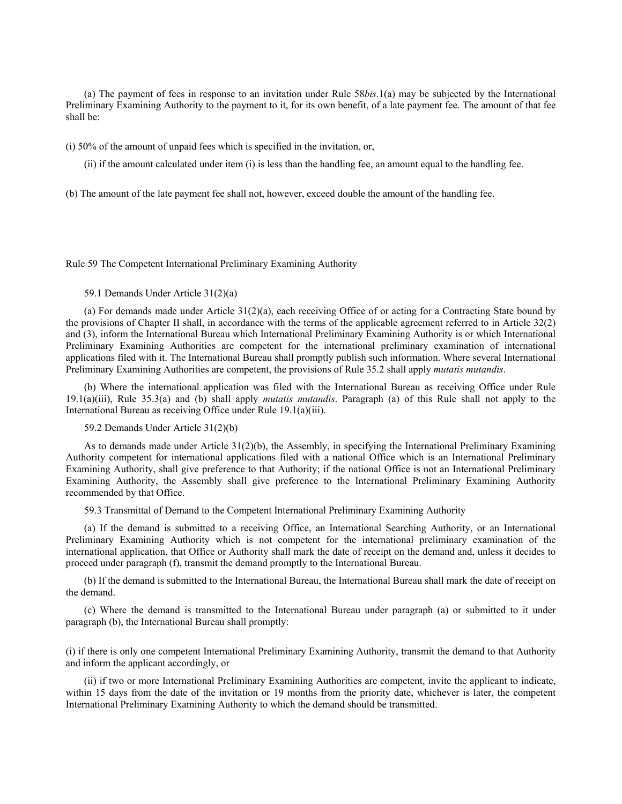(a) The payment of fees in response to an invitation under Rule 58*bis*.1(a) may be subjected by the International Preliminary Examining Authority to the payment to it, for its own benefit, of a late payment fee. The amount of that fee shall be:

(i) 50% of the amount of unpaid fees which is specified in the invitation, or,

(ii) if the amount calculated under item (i) is less than the handling fee, an amount equal to the handling fee.

(b) The amount of the late payment fee shall not, however, exceed double the amount of the handling fee.

Rule 59 The Competent International Preliminary Examining Authority

## 59.1 Demands Under Article 31(2)(a)

(a) For demands made under Article 31(2)(a), each receiving Office of or acting for a Contracting State bound by the provisions of Chapter II shall, in accordance with the terms of the applicable agreement referred to in Article 32(2) and (3), inform the International Bureau which International Preliminary Examining Authority is or which International Preliminary Examining Authorities are competent for the international preliminary examination of international applications filed with it. The International Bureau shall promptly publish such information. Where several International Preliminary Examining Authorities are competent, the provisions of Rule 35.2 shall apply *mutatis mutandis*.

(b) Where the international application was filed with the International Bureau as receiving Office under Rule 19.1(a)(iii), Rule 35.3(a) and (b) shall apply *mutatis mutandis*. Paragraph (a) of this Rule shall not apply to the International Bureau as receiving Office under Rule 19.1(a)(iii).

#### 59.2 Demands Under Article 31(2)(b)

As to demands made under Article 31(2)(b), the Assembly, in specifying the International Preliminary Examining Authority competent for international applications filed with a national Office which is an International Preliminary Examining Authority, shall give preference to that Authority; if the national Office is not an International Preliminary Examining Authority, the Assembly shall give preference to the International Preliminary Examining Authority recommended by that Office.

59.3 Transmittal of Demand to the Competent International Preliminary Examining Authority

(a) If the demand is submitted to a receiving Office, an International Searching Authority, or an International Preliminary Examining Authority which is not competent for the international preliminary examination of the international application, that Office or Authority shall mark the date of receipt on the demand and, unless it decides to proceed under paragraph (f), transmit the demand promptly to the International Bureau.

(b) If the demand is submitted to the International Bureau, the International Bureau shall mark the date of receipt on the demand.

(c) Where the demand is transmitted to the International Bureau under paragraph (a) or submitted to it under paragraph (b), the International Bureau shall promptly:

(i) if there is only one competent International Preliminary Examining Authority, transmit the demand to that Authority and inform the applicant accordingly, or

(ii) if two or more International Preliminary Examining Authorities are competent, invite the applicant to indicate, within 15 days from the date of the invitation or 19 months from the priority date, whichever is later, the competent International Preliminary Examining Authority to which the demand should be transmitted.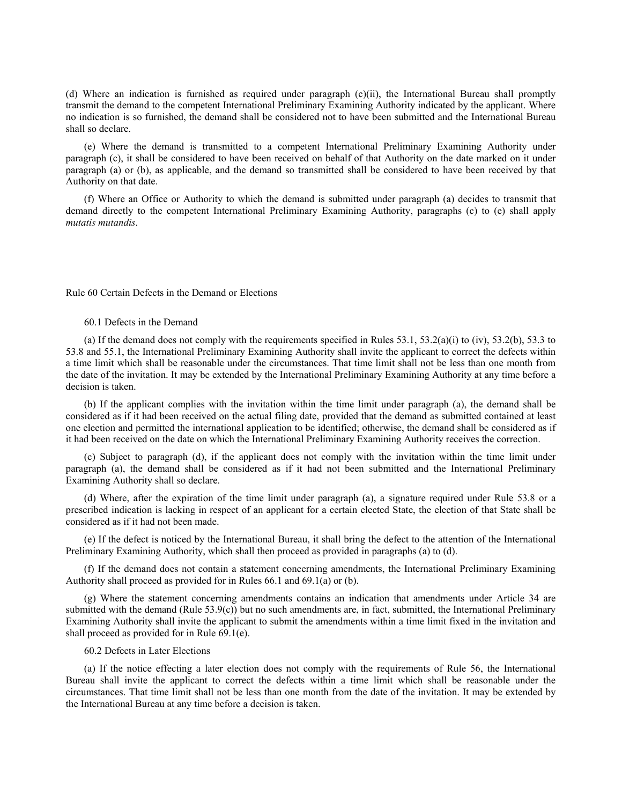(d) Where an indication is furnished as required under paragraph (c)(ii), the International Bureau shall promptly transmit the demand to the competent International Preliminary Examining Authority indicated by the applicant. Where no indication is so furnished, the demand shall be considered not to have been submitted and the International Bureau shall so declare.

(e) Where the demand is transmitted to a competent International Preliminary Examining Authority under paragraph (c), it shall be considered to have been received on behalf of that Authority on the date marked on it under paragraph (a) or (b), as applicable, and the demand so transmitted shall be considered to have been received by that Authority on that date.

(f) Where an Office or Authority to which the demand is submitted under paragraph (a) decides to transmit that demand directly to the competent International Preliminary Examining Authority, paragraphs (c) to (e) shall apply *mutatis mutandis*.

### Rule 60 Certain Defects in the Demand or Elections

### 60.1 Defects in the Demand

(a) If the demand does not comply with the requirements specified in Rules  $53.1$ ,  $53.2(a)(i)$  to (iv),  $53.2(b)$ ,  $53.3$  to 53.8 and 55.1, the International Preliminary Examining Authority shall invite the applicant to correct the defects within a time limit which shall be reasonable under the circumstances. That time limit shall not be less than one month from the date of the invitation. It may be extended by the International Preliminary Examining Authority at any time before a decision is taken.

(b) If the applicant complies with the invitation within the time limit under paragraph (a), the demand shall be considered as if it had been received on the actual filing date, provided that the demand as submitted contained at least one election and permitted the international application to be identified; otherwise, the demand shall be considered as if it had been received on the date on which the International Preliminary Examining Authority receives the correction.

(c) Subject to paragraph (d), if the applicant does not comply with the invitation within the time limit under paragraph (a), the demand shall be considered as if it had not been submitted and the International Preliminary Examining Authority shall so declare.

(d) Where, after the expiration of the time limit under paragraph (a), a signature required under Rule 53.8 or a prescribed indication is lacking in respect of an applicant for a certain elected State, the election of that State shall be considered as if it had not been made.

(e) If the defect is noticed by the International Bureau, it shall bring the defect to the attention of the International Preliminary Examining Authority, which shall then proceed as provided in paragraphs (a) to (d).

(f) If the demand does not contain a statement concerning amendments, the International Preliminary Examining Authority shall proceed as provided for in Rules 66.1 and 69.1(a) or (b).

(g) Where the statement concerning amendments contains an indication that amendments under Article 34 are submitted with the demand (Rule  $53.9(c)$ ) but no such amendments are, in fact, submitted, the International Preliminary Examining Authority shall invite the applicant to submit the amendments within a time limit fixed in the invitation and shall proceed as provided for in Rule 69.1(e).

### 60.2 Defects in Later Elections

(a) If the notice effecting a later election does not comply with the requirements of Rule 56, the International Bureau shall invite the applicant to correct the defects within a time limit which shall be reasonable under the circumstances. That time limit shall not be less than one month from the date of the invitation. It may be extended by the International Bureau at any time before a decision is taken.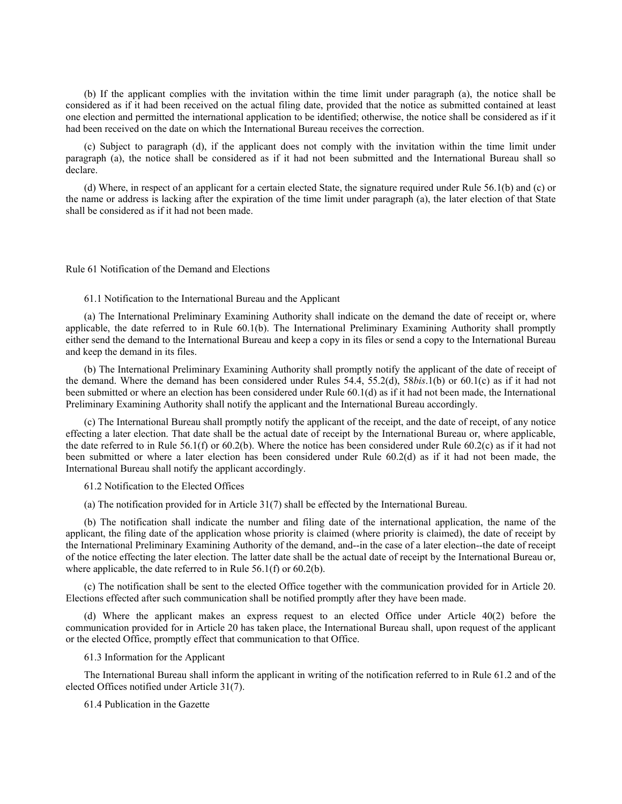(b) If the applicant complies with the invitation within the time limit under paragraph (a), the notice shall be considered as if it had been received on the actual filing date, provided that the notice as submitted contained at least one election and permitted the international application to be identified; otherwise, the notice shall be considered as if it had been received on the date on which the International Bureau receives the correction.

(c) Subject to paragraph (d), if the applicant does not comply with the invitation within the time limit under paragraph (a), the notice shall be considered as if it had not been submitted and the International Bureau shall so declare.

(d) Where, in respect of an applicant for a certain elected State, the signature required under Rule 56.1(b) and (c) or the name or address is lacking after the expiration of the time limit under paragraph (a), the later election of that State shall be considered as if it had not been made.

Rule 61 Notification of the Demand and Elections

#### 61.1 Notification to the International Bureau and the Applicant

(a) The International Preliminary Examining Authority shall indicate on the demand the date of receipt or, where applicable, the date referred to in Rule 60.1(b). The International Preliminary Examining Authority shall promptly either send the demand to the International Bureau and keep a copy in its files or send a copy to the International Bureau and keep the demand in its files.

(b) The International Preliminary Examining Authority shall promptly notify the applicant of the date of receipt of the demand. Where the demand has been considered under Rules 54.4, 55.2(d), 58*bis*.1(b) or 60.1(c) as if it had not been submitted or where an election has been considered under Rule 60.1(d) as if it had not been made, the International Preliminary Examining Authority shall notify the applicant and the International Bureau accordingly.

(c) The International Bureau shall promptly notify the applicant of the receipt, and the date of receipt, of any notice effecting a later election. That date shall be the actual date of receipt by the International Bureau or, where applicable, the date referred to in Rule 56.1(f) or 60.2(b). Where the notice has been considered under Rule 60.2(c) as if it had not been submitted or where a later election has been considered under Rule 60.2(d) as if it had not been made, the International Bureau shall notify the applicant accordingly.

61.2 Notification to the Elected Offices

(a) The notification provided for in Article 31(7) shall be effected by the International Bureau.

(b) The notification shall indicate the number and filing date of the international application, the name of the applicant, the filing date of the application whose priority is claimed (where priority is claimed), the date of receipt by the International Preliminary Examining Authority of the demand, and--in the case of a later election--the date of receipt of the notice effecting the later election. The latter date shall be the actual date of receipt by the International Bureau or, where applicable, the date referred to in Rule 56.1(f) or 60.2(b).

(c) The notification shall be sent to the elected Office together with the communication provided for in Article 20. Elections effected after such communication shall be notified promptly after they have been made.

(d) Where the applicant makes an express request to an elected Office under Article 40(2) before the communication provided for in Article 20 has taken place, the International Bureau shall, upon request of the applicant or the elected Office, promptly effect that communication to that Office.

61.3 Information for the Applicant

The International Bureau shall inform the applicant in writing of the notification referred to in Rule 61.2 and of the elected Offices notified under Article 31(7).

61.4 Publication in the Gazette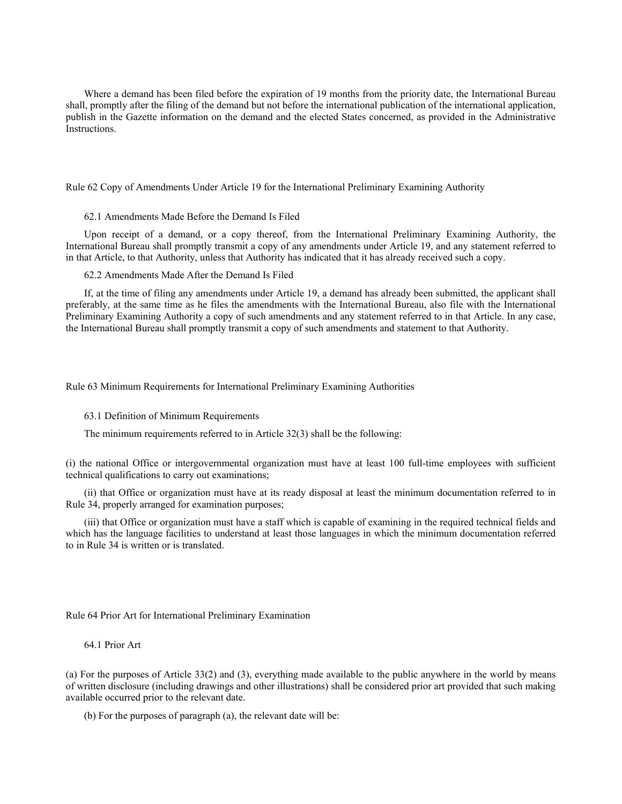Where a demand has been filed before the expiration of 19 months from the priority date, the International Bureau shall, promptly after the filing of the demand but not before the international publication of the international application, publish in the Gazette information on the demand and the elected States concerned, as provided in the Administrative Instructions.

Rule 62 Copy of Amendments Under Article 19 for the International Preliminary Examining Authority

62.1 Amendments Made Before the Demand Is Filed

Upon receipt of a demand, or a copy thereof, from the International Preliminary Examining Authority, the International Bureau shall promptly transmit a copy of any amendments under Article 19, and any statement referred to in that Article, to that Authority, unless that Authority has indicated that it has already received such a copy.

62.2 Amendments Made After the Demand Is Filed

If, at the time of filing any amendments under Article 19, a demand has already been submitted, the applicant shall preferably, at the same time as he files the amendments with the International Bureau, also file with the International Preliminary Examining Authority a copy of such amendments and any statement referred to in that Article. In any case, the International Bureau shall promptly transmit a copy of such amendments and statement to that Authority.

Rule 63 Minimum Requirements for International Preliminary Examining Authorities

63.1 Definition of Minimum Requirements

The minimum requirements referred to in Article 32(3) shall be the following:

(i) the national Office or intergovernmental organization must have at least 100 full-time employees with sufficient technical qualifications to carry out examinations;

(ii) that Office or organization must have at its ready disposal at least the minimum documentation referred to in Rule 34, properly arranged for examination purposes;

(iii) that Office or organization must have a staff which is capable of examining in the required technical fields and which has the language facilities to understand at least those languages in which the minimum documentation referred to in Rule 34 is written or is translated.

Rule 64 Prior Art for International Preliminary Examination

64.1 Prior Art

(a) For the purposes of Article 33(2) and (3), everything made available to the public anywhere in the world by means of written disclosure (including drawings and other illustrations) shall be considered prior art provided that such making available occurred prior to the relevant date.

(b) For the purposes of paragraph (a), the relevant date will be: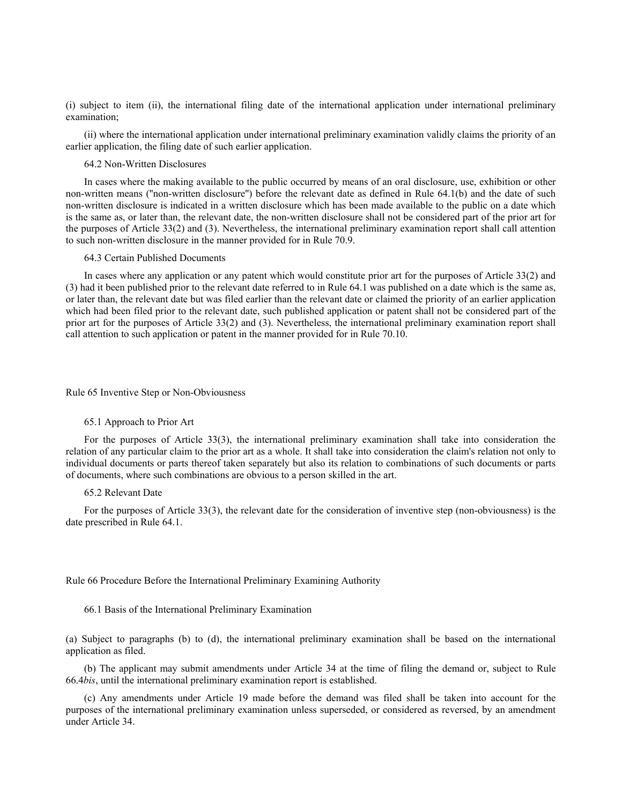(i) subject to item (ii), the international filing date of the international application under international preliminary examination;

(ii) where the international application under international preliminary examination validly claims the priority of an earlier application, the filing date of such earlier application.

## 64.2 Non-Written Disclosures

In cases where the making available to the public occurred by means of an oral disclosure, use, exhibition or other non-written means (''non-written disclosure'') before the relevant date as defined in Rule 64.1(b) and the date of such non-written disclosure is indicated in a written disclosure which has been made available to the public on a date which is the same as, or later than, the relevant date, the non-written disclosure shall not be considered part of the prior art for the purposes of Article 33(2) and (3). Nevertheless, the international preliminary examination report shall call attention to such non-written disclosure in the manner provided for in Rule 70.9.

## 64.3 Certain Published Documents

In cases where any application or any patent which would constitute prior art for the purposes of Article 33(2) and (3) had it been published prior to the relevant date referred to in Rule 64.1 was published on a date which is the same as, or later than, the relevant date but was filed earlier than the relevant date or claimed the priority of an earlier application which had been filed prior to the relevant date, such published application or patent shall not be considered part of the prior art for the purposes of Article 33(2) and (3). Nevertheless, the international preliminary examination report shall call attention to such application or patent in the manner provided for in Rule 70.10.

Rule 65 Inventive Step or Non-Obviousness

#### 65.1 Approach to Prior Art

For the purposes of Article 33(3), the international preliminary examination shall take into consideration the relation of any particular claim to the prior art as a whole. It shall take into consideration the claim's relation not only to individual documents or parts thereof taken separately but also its relation to combinations of such documents or parts of documents, where such combinations are obvious to a person skilled in the art.

## 65.2 Relevant Date

For the purposes of Article 33(3), the relevant date for the consideration of inventive step (non-obviousness) is the date prescribed in Rule 64.1.

## Rule 66 Procedure Before the International Preliminary Examining Authority

## 66.1 Basis of the International Preliminary Examination

(a) Subject to paragraphs (b) to (d), the international preliminary examination shall be based on the international application as filed.

(b) The applicant may submit amendments under Article 34 at the time of filing the demand or, subject to Rule 66.4*bis*, until the international preliminary examination report is established.

(c) Any amendments under Article 19 made before the demand was filed shall be taken into account for the purposes of the international preliminary examination unless superseded, or considered as reversed, by an amendment under Article 34.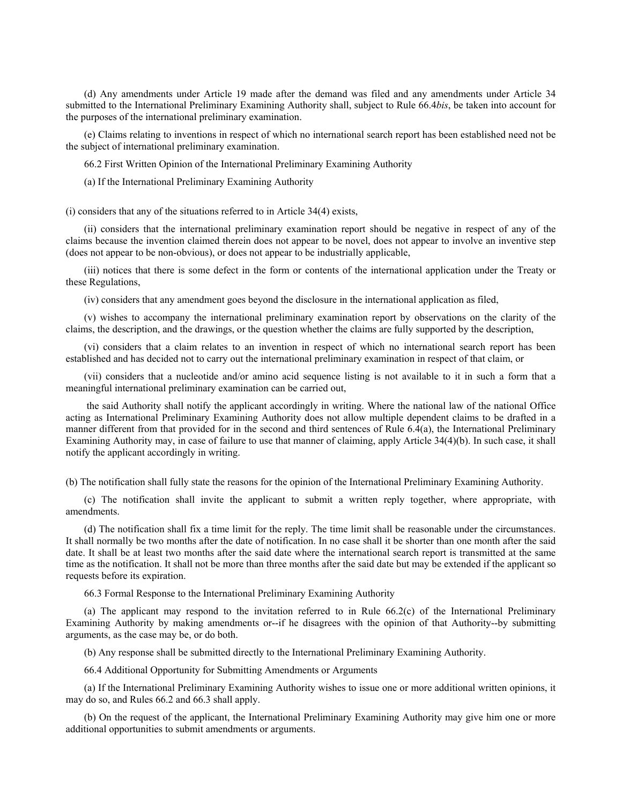(d) Any amendments under Article 19 made after the demand was filed and any amendments under Article 34 submitted to the International Preliminary Examining Authority shall, subject to Rule 66.4*bis*, be taken into account for the purposes of the international preliminary examination.

(e) Claims relating to inventions in respect of which no international search report has been established need not be the subject of international preliminary examination.

66.2 First Written Opinion of the International Preliminary Examining Authority

(a) If the International Preliminary Examining Authority

(i) considers that any of the situations referred to in Article 34(4) exists,

(ii) considers that the international preliminary examination report should be negative in respect of any of the claims because the invention claimed therein does not appear to be novel, does not appear to involve an inventive step (does not appear to be non-obvious), or does not appear to be industrially applicable,

(iii) notices that there is some defect in the form or contents of the international application under the Treaty or these Regulations,

(iv) considers that any amendment goes beyond the disclosure in the international application as filed,

(v) wishes to accompany the international preliminary examination report by observations on the clarity of the claims, the description, and the drawings, or the question whether the claims are fully supported by the description,

(vi) considers that a claim relates to an invention in respect of which no international search report has been established and has decided not to carry out the international preliminary examination in respect of that claim, or

(vii) considers that a nucleotide and/or amino acid sequence listing is not available to it in such a form that a meaningful international preliminary examination can be carried out,

 the said Authority shall notify the applicant accordingly in writing. Where the national law of the national Office acting as International Preliminary Examining Authority does not allow multiple dependent claims to be drafted in a manner different from that provided for in the second and third sentences of Rule 6.4(a), the International Preliminary Examining Authority may, in case of failure to use that manner of claiming, apply Article 34(4)(b). In such case, it shall notify the applicant accordingly in writing.

(b) The notification shall fully state the reasons for the opinion of the International Preliminary Examining Authority.

(c) The notification shall invite the applicant to submit a written reply together, where appropriate, with amendments.

(d) The notification shall fix a time limit for the reply. The time limit shall be reasonable under the circumstances. It shall normally be two months after the date of notification. In no case shall it be shorter than one month after the said date. It shall be at least two months after the said date where the international search report is transmitted at the same time as the notification. It shall not be more than three months after the said date but may be extended if the applicant so requests before its expiration.

66.3 Formal Response to the International Preliminary Examining Authority

(a) The applicant may respond to the invitation referred to in Rule 66.2(c) of the International Preliminary Examining Authority by making amendments or--if he disagrees with the opinion of that Authority--by submitting arguments, as the case may be, or do both.

(b) Any response shall be submitted directly to the International Preliminary Examining Authority.

66.4 Additional Opportunity for Submitting Amendments or Arguments

(a) If the International Preliminary Examining Authority wishes to issue one or more additional written opinions, it may do so, and Rules 66.2 and 66.3 shall apply.

(b) On the request of the applicant, the International Preliminary Examining Authority may give him one or more additional opportunities to submit amendments or arguments.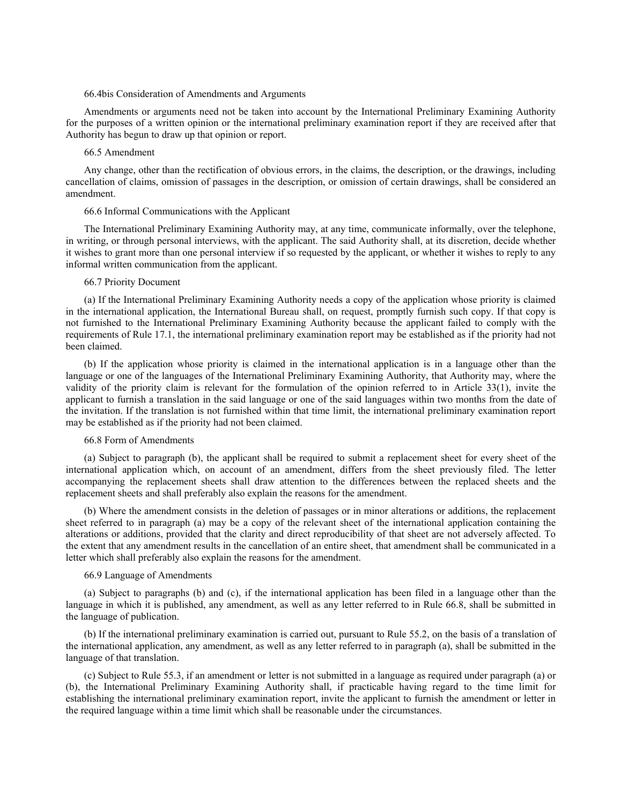### 66.4bis Consideration of Amendments and Arguments

Amendments or arguments need not be taken into account by the International Preliminary Examining Authority for the purposes of a written opinion or the international preliminary examination report if they are received after that Authority has begun to draw up that opinion or report.

### 66.5 Amendment

Any change, other than the rectification of obvious errors, in the claims, the description, or the drawings, including cancellation of claims, omission of passages in the description, or omission of certain drawings, shall be considered an amendment.

#### 66.6 Informal Communications with the Applicant

The International Preliminary Examining Authority may, at any time, communicate informally, over the telephone, in writing, or through personal interviews, with the applicant. The said Authority shall, at its discretion, decide whether it wishes to grant more than one personal interview if so requested by the applicant, or whether it wishes to reply to any informal written communication from the applicant.

## 66.7 Priority Document

(a) If the International Preliminary Examining Authority needs a copy of the application whose priority is claimed in the international application, the International Bureau shall, on request, promptly furnish such copy. If that copy is not furnished to the International Preliminary Examining Authority because the applicant failed to comply with the requirements of Rule 17.1, the international preliminary examination report may be established as if the priority had not been claimed.

(b) If the application whose priority is claimed in the international application is in a language other than the language or one of the languages of the International Preliminary Examining Authority, that Authority may, where the validity of the priority claim is relevant for the formulation of the opinion referred to in Article 33(1), invite the applicant to furnish a translation in the said language or one of the said languages within two months from the date of the invitation. If the translation is not furnished within that time limit, the international preliminary examination report may be established as if the priority had not been claimed.

# 66.8 Form of Amendments

(a) Subject to paragraph (b), the applicant shall be required to submit a replacement sheet for every sheet of the international application which, on account of an amendment, differs from the sheet previously filed. The letter accompanying the replacement sheets shall draw attention to the differences between the replaced sheets and the replacement sheets and shall preferably also explain the reasons for the amendment.

(b) Where the amendment consists in the deletion of passages or in minor alterations or additions, the replacement sheet referred to in paragraph (a) may be a copy of the relevant sheet of the international application containing the alterations or additions, provided that the clarity and direct reproducibility of that sheet are not adversely affected. To the extent that any amendment results in the cancellation of an entire sheet, that amendment shall be communicated in a letter which shall preferably also explain the reasons for the amendment.

## 66.9 Language of Amendments

(a) Subject to paragraphs (b) and (c), if the international application has been filed in a language other than the language in which it is published, any amendment, as well as any letter referred to in Rule 66.8, shall be submitted in the language of publication.

(b) If the international preliminary examination is carried out, pursuant to Rule 55.2, on the basis of a translation of the international application, any amendment, as well as any letter referred to in paragraph (a), shall be submitted in the language of that translation.

(c) Subject to Rule 55.3, if an amendment or letter is not submitted in a language as required under paragraph (a) or (b), the International Preliminary Examining Authority shall, if practicable having regard to the time limit for establishing the international preliminary examination report, invite the applicant to furnish the amendment or letter in the required language within a time limit which shall be reasonable under the circumstances.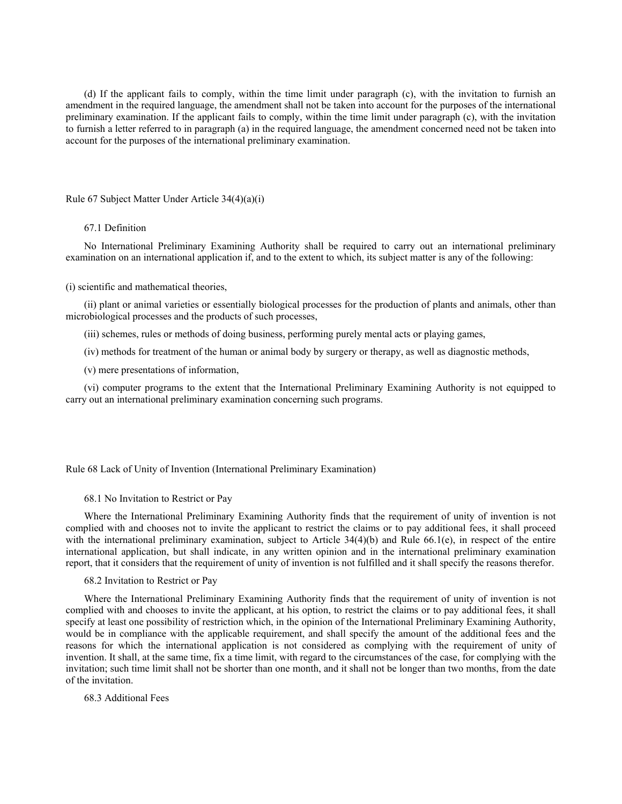(d) If the applicant fails to comply, within the time limit under paragraph (c), with the invitation to furnish an amendment in the required language, the amendment shall not be taken into account for the purposes of the international preliminary examination. If the applicant fails to comply, within the time limit under paragraph (c), with the invitation to furnish a letter referred to in paragraph (a) in the required language, the amendment concerned need not be taken into account for the purposes of the international preliminary examination.

Rule 67 Subject Matter Under Article 34(4)(a)(i)

# 67.1 Definition

No International Preliminary Examining Authority shall be required to carry out an international preliminary examination on an international application if, and to the extent to which, its subject matter is any of the following:

(i) scientific and mathematical theories,

(ii) plant or animal varieties or essentially biological processes for the production of plants and animals, other than microbiological processes and the products of such processes,

(iii) schemes, rules or methods of doing business, performing purely mental acts or playing games,

(iv) methods for treatment of the human or animal body by surgery or therapy, as well as diagnostic methods,

(v) mere presentations of information,

(vi) computer programs to the extent that the International Preliminary Examining Authority is not equipped to carry out an international preliminary examination concerning such programs.

Rule 68 Lack of Unity of Invention (International Preliminary Examination)

### 68.1 No Invitation to Restrict or Pay

Where the International Preliminary Examining Authority finds that the requirement of unity of invention is not complied with and chooses not to invite the applicant to restrict the claims or to pay additional fees, it shall proceed with the international preliminary examination, subject to Article  $34(4)(b)$  and Rule  $66.1(e)$ , in respect of the entire international application, but shall indicate, in any written opinion and in the international preliminary examination report, that it considers that the requirement of unity of invention is not fulfilled and it shall specify the reasons therefor.

## 68.2 Invitation to Restrict or Pay

Where the International Preliminary Examining Authority finds that the requirement of unity of invention is not complied with and chooses to invite the applicant, at his option, to restrict the claims or to pay additional fees, it shall specify at least one possibility of restriction which, in the opinion of the International Preliminary Examining Authority, would be in compliance with the applicable requirement, and shall specify the amount of the additional fees and the reasons for which the international application is not considered as complying with the requirement of unity of invention. It shall, at the same time, fix a time limit, with regard to the circumstances of the case, for complying with the invitation; such time limit shall not be shorter than one month, and it shall not be longer than two months, from the date of the invitation.

68.3 Additional Fees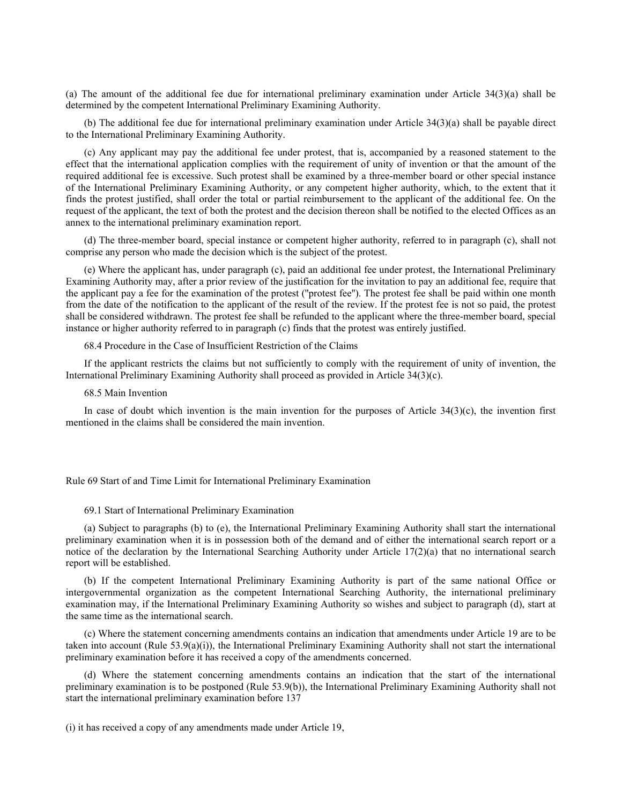(a) The amount of the additional fee due for international preliminary examination under Article 34(3)(a) shall be determined by the competent International Preliminary Examining Authority.

(b) The additional fee due for international preliminary examination under Article 34(3)(a) shall be payable direct to the International Preliminary Examining Authority.

(c) Any applicant may pay the additional fee under protest, that is, accompanied by a reasoned statement to the effect that the international application complies with the requirement of unity of invention or that the amount of the required additional fee is excessive. Such protest shall be examined by a three-member board or other special instance of the International Preliminary Examining Authority, or any competent higher authority, which, to the extent that it finds the protest justified, shall order the total or partial reimbursement to the applicant of the additional fee. On the request of the applicant, the text of both the protest and the decision thereon shall be notified to the elected Offices as an annex to the international preliminary examination report.

(d) The three-member board, special instance or competent higher authority, referred to in paragraph (c), shall not comprise any person who made the decision which is the subject of the protest.

(e) Where the applicant has, under paragraph (c), paid an additional fee under protest, the International Preliminary Examining Authority may, after a prior review of the justification for the invitation to pay an additional fee, require that the applicant pay a fee for the examination of the protest (''protest fee''). The protest fee shall be paid within one month from the date of the notification to the applicant of the result of the review. If the protest fee is not so paid, the protest shall be considered withdrawn. The protest fee shall be refunded to the applicant where the three-member board, special instance or higher authority referred to in paragraph (c) finds that the protest was entirely justified.

68.4 Procedure in the Case of Insufficient Restriction of the Claims

If the applicant restricts the claims but not sufficiently to comply with the requirement of unity of invention, the International Preliminary Examining Authority shall proceed as provided in Article 34(3)(c).

68.5 Main Invention

In case of doubt which invention is the main invention for the purposes of Article  $34(3)(c)$ , the invention first mentioned in the claims shall be considered the main invention.

Rule 69 Start of and Time Limit for International Preliminary Examination

#### 69.1 Start of International Preliminary Examination

(a) Subject to paragraphs (b) to (e), the International Preliminary Examining Authority shall start the international preliminary examination when it is in possession both of the demand and of either the international search report or a notice of the declaration by the International Searching Authority under Article 17(2)(a) that no international search report will be established.

(b) If the competent International Preliminary Examining Authority is part of the same national Office or intergovernmental organization as the competent International Searching Authority, the international preliminary examination may, if the International Preliminary Examining Authority so wishes and subject to paragraph (d), start at the same time as the international search.

(c) Where the statement concerning amendments contains an indication that amendments under Article 19 are to be taken into account (Rule 53.9(a)(i)), the International Preliminary Examining Authority shall not start the international preliminary examination before it has received a copy of the amendments concerned.

(d) Where the statement concerning amendments contains an indication that the start of the international preliminary examination is to be postponed (Rule 53.9(b)), the International Preliminary Examining Authority shall not start the international preliminary examination before 137

(i) it has received a copy of any amendments made under Article 19,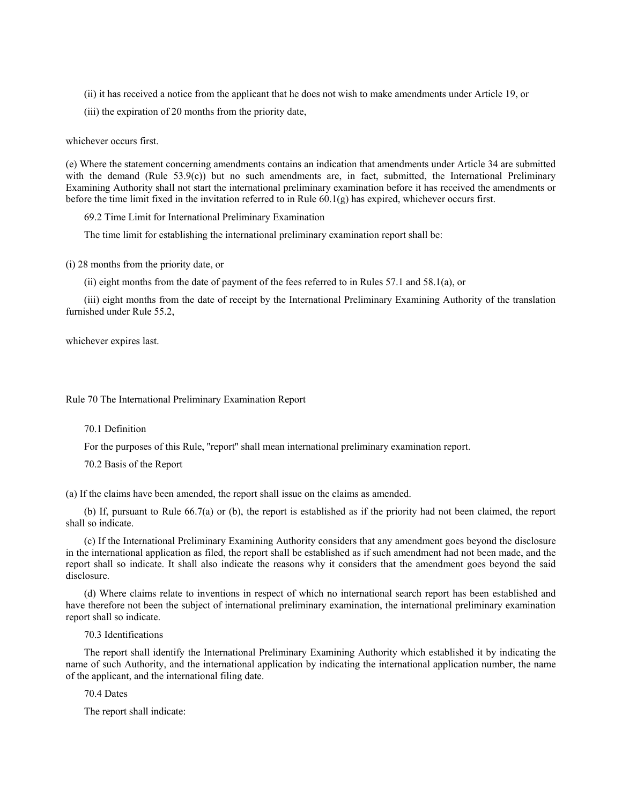- (ii) it has received a notice from the applicant that he does not wish to make amendments under Article 19, or
- (iii) the expiration of 20 months from the priority date,

whichever occurs first.

(e) Where the statement concerning amendments contains an indication that amendments under Article 34 are submitted with the demand (Rule 53.9(c)) but no such amendments are, in fact, submitted, the International Preliminary Examining Authority shall not start the international preliminary examination before it has received the amendments or before the time limit fixed in the invitation referred to in Rule 60.1(g) has expired, whichever occurs first.

69.2 Time Limit for International Preliminary Examination

The time limit for establishing the international preliminary examination report shall be:

(i) 28 months from the priority date, or

(ii) eight months from the date of payment of the fees referred to in Rules 57.1 and 58.1(a), or

(iii) eight months from the date of receipt by the International Preliminary Examining Authority of the translation furnished under Rule 55.2,

whichever expires last.

Rule 70 The International Preliminary Examination Report

70.1 Definition

For the purposes of this Rule, ''report'' shall mean international preliminary examination report.

70.2 Basis of the Report

(a) If the claims have been amended, the report shall issue on the claims as amended.

(b) If, pursuant to Rule 66.7(a) or (b), the report is established as if the priority had not been claimed, the report shall so indicate.

(c) If the International Preliminary Examining Authority considers that any amendment goes beyond the disclosure in the international application as filed, the report shall be established as if such amendment had not been made, and the report shall so indicate. It shall also indicate the reasons why it considers that the amendment goes beyond the said disclosure.

(d) Where claims relate to inventions in respect of which no international search report has been established and have therefore not been the subject of international preliminary examination, the international preliminary examination report shall so indicate.

70.3 Identifications

The report shall identify the International Preliminary Examining Authority which established it by indicating the name of such Authority, and the international application by indicating the international application number, the name of the applicant, and the international filing date.

70.4 Dates

The report shall indicate: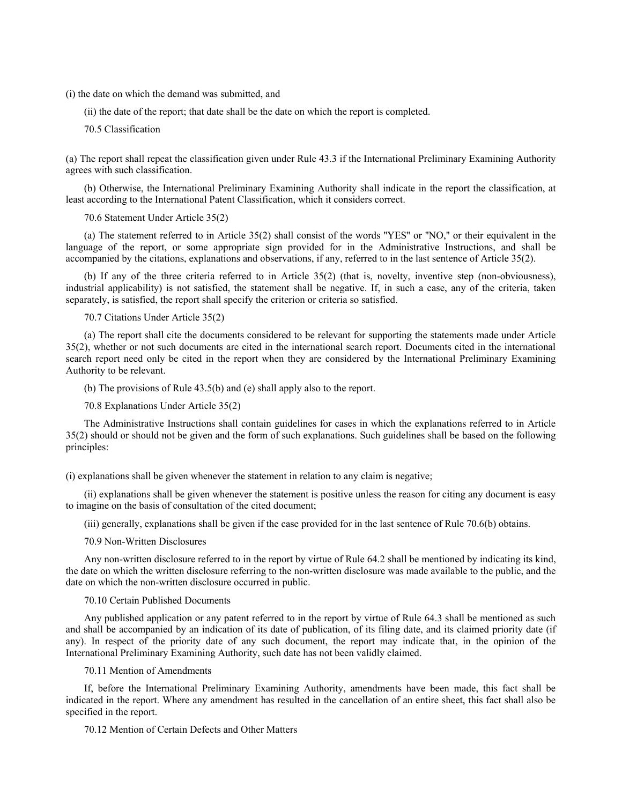(i) the date on which the demand was submitted, and

(ii) the date of the report; that date shall be the date on which the report is completed.

70.5 Classification

(a) The report shall repeat the classification given under Rule 43.3 if the International Preliminary Examining Authority agrees with such classification.

(b) Otherwise, the International Preliminary Examining Authority shall indicate in the report the classification, at least according to the International Patent Classification, which it considers correct.

70.6 Statement Under Article 35(2)

(a) The statement referred to in Article 35(2) shall consist of the words ''YES'' or ''NO,'' or their equivalent in the language of the report, or some appropriate sign provided for in the Administrative Instructions, and shall be accompanied by the citations, explanations and observations, if any, referred to in the last sentence of Article 35(2).

(b) If any of the three criteria referred to in Article 35(2) (that is, novelty, inventive step (non-obviousness), industrial applicability) is not satisfied, the statement shall be negative. If, in such a case, any of the criteria, taken separately, is satisfied, the report shall specify the criterion or criteria so satisfied.

70.7 Citations Under Article 35(2)

(a) The report shall cite the documents considered to be relevant for supporting the statements made under Article 35(2), whether or not such documents are cited in the international search report. Documents cited in the international search report need only be cited in the report when they are considered by the International Preliminary Examining Authority to be relevant.

(b) The provisions of Rule 43.5(b) and (e) shall apply also to the report.

70.8 Explanations Under Article 35(2)

The Administrative Instructions shall contain guidelines for cases in which the explanations referred to in Article 35(2) should or should not be given and the form of such explanations. Such guidelines shall be based on the following principles:

(i) explanations shall be given whenever the statement in relation to any claim is negative;

(ii) explanations shall be given whenever the statement is positive unless the reason for citing any document is easy to imagine on the basis of consultation of the cited document;

(iii) generally, explanations shall be given if the case provided for in the last sentence of Rule 70.6(b) obtains.

70.9 Non-Written Disclosures

Any non-written disclosure referred to in the report by virtue of Rule 64.2 shall be mentioned by indicating its kind, the date on which the written disclosure referring to the non-written disclosure was made available to the public, and the date on which the non-written disclosure occurred in public.

70.10 Certain Published Documents

Any published application or any patent referred to in the report by virtue of Rule 64.3 shall be mentioned as such and shall be accompanied by an indication of its date of publication, of its filing date, and its claimed priority date (if any). In respect of the priority date of any such document, the report may indicate that, in the opinion of the International Preliminary Examining Authority, such date has not been validly claimed.

70.11 Mention of Amendments

If, before the International Preliminary Examining Authority, amendments have been made, this fact shall be indicated in the report. Where any amendment has resulted in the cancellation of an entire sheet, this fact shall also be specified in the report.

70.12 Mention of Certain Defects and Other Matters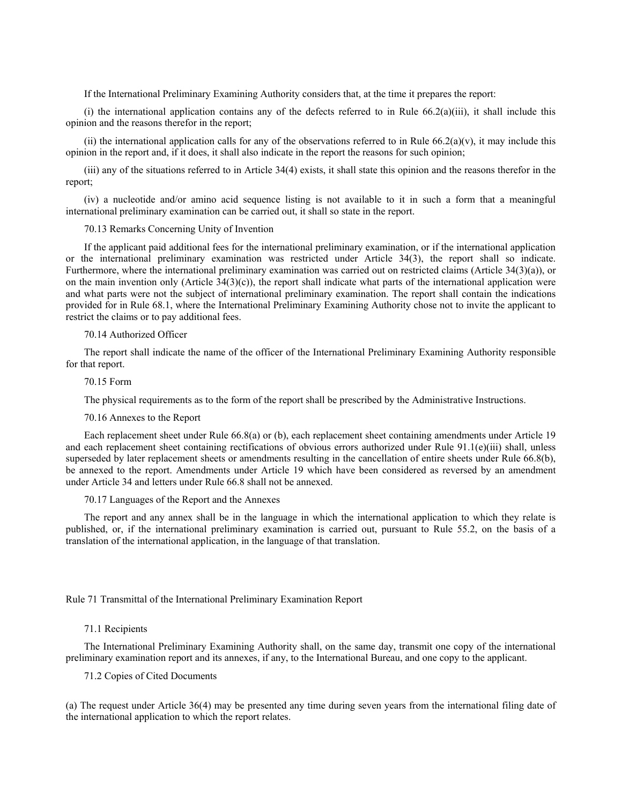If the International Preliminary Examining Authority considers that, at the time it prepares the report:

(i) the international application contains any of the defects referred to in Rule  $66.2(a)(iii)$ , it shall include this opinion and the reasons therefor in the report;

(ii) the international application calls for any of the observations referred to in Rule  $66.2(a)(v)$ , it may include this opinion in the report and, if it does, it shall also indicate in the report the reasons for such opinion;

(iii) any of the situations referred to in Article 34(4) exists, it shall state this opinion and the reasons therefor in the report;

(iv) a nucleotide and/or amino acid sequence listing is not available to it in such a form that a meaningful international preliminary examination can be carried out, it shall so state in the report.

## 70.13 Remarks Concerning Unity of Invention

If the applicant paid additional fees for the international preliminary examination, or if the international application or the international preliminary examination was restricted under Article 34(3), the report shall so indicate. Furthermore, where the international preliminary examination was carried out on restricted claims (Article 34(3)(a)), or on the main invention only (Article  $34(3)(c)$ ), the report shall indicate what parts of the international application were and what parts were not the subject of international preliminary examination. The report shall contain the indications provided for in Rule 68.1, where the International Preliminary Examining Authority chose not to invite the applicant to restrict the claims or to pay additional fees.

# 70.14 Authorized Officer

The report shall indicate the name of the officer of the International Preliminary Examining Authority responsible for that report.

#### 70.15 Form

The physical requirements as to the form of the report shall be prescribed by the Administrative Instructions.

## 70.16 Annexes to the Report

Each replacement sheet under Rule 66.8(a) or (b), each replacement sheet containing amendments under Article 19 and each replacement sheet containing rectifications of obvious errors authorized under Rule 91.1(e)(iii) shall, unless superseded by later replacement sheets or amendments resulting in the cancellation of entire sheets under Rule 66.8(b), be annexed to the report. Amendments under Article 19 which have been considered as reversed by an amendment under Article 34 and letters under Rule 66.8 shall not be annexed.

### 70.17 Languages of the Report and the Annexes

The report and any annex shall be in the language in which the international application to which they relate is published, or, if the international preliminary examination is carried out, pursuant to Rule 55.2, on the basis of a translation of the international application, in the language of that translation.

### Rule 71 Transmittal of the International Preliminary Examination Report

## 71.1 Recipients

The International Preliminary Examining Authority shall, on the same day, transmit one copy of the international preliminary examination report and its annexes, if any, to the International Bureau, and one copy to the applicant.

# 71.2 Copies of Cited Documents

(a) The request under Article 36(4) may be presented any time during seven years from the international filing date of the international application to which the report relates.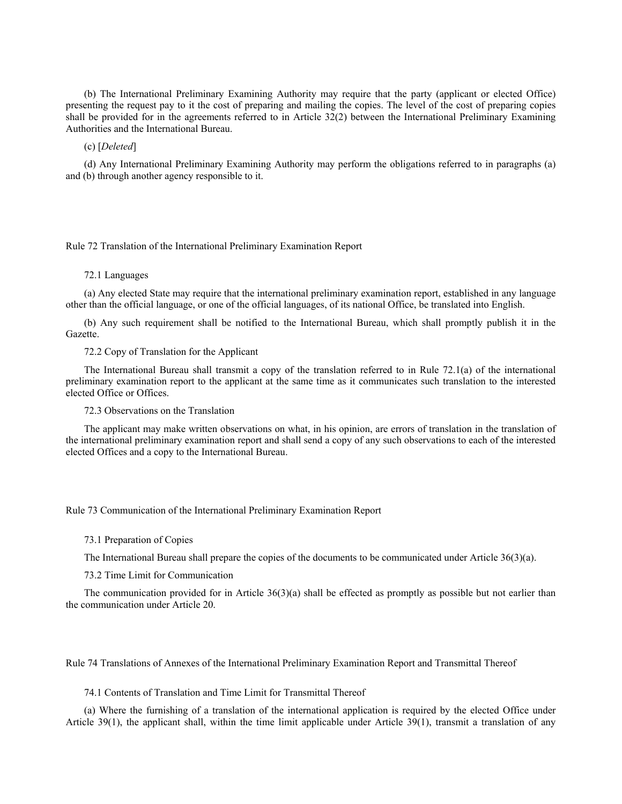(b) The International Preliminary Examining Authority may require that the party (applicant or elected Office) presenting the request pay to it the cost of preparing and mailing the copies. The level of the cost of preparing copies shall be provided for in the agreements referred to in Article 32(2) between the International Preliminary Examining Authorities and the International Bureau.

## (c) [*Deleted*]

(d) Any International Preliminary Examining Authority may perform the obligations referred to in paragraphs (a) and (b) through another agency responsible to it.

#### Rule 72 Translation of the International Preliminary Examination Report

### 72.1 Languages

(a) Any elected State may require that the international preliminary examination report, established in any language other than the official language, or one of the official languages, of its national Office, be translated into English.

(b) Any such requirement shall be notified to the International Bureau, which shall promptly publish it in the Gazette.

# 72.2 Copy of Translation for the Applicant

The International Bureau shall transmit a copy of the translation referred to in Rule 72.1(a) of the international preliminary examination report to the applicant at the same time as it communicates such translation to the interested elected Office or Offices.

72.3 Observations on the Translation

The applicant may make written observations on what, in his opinion, are errors of translation in the translation of the international preliminary examination report and shall send a copy of any such observations to each of the interested elected Offices and a copy to the International Bureau.

Rule 73 Communication of the International Preliminary Examination Report

73.1 Preparation of Copies

The International Bureau shall prepare the copies of the documents to be communicated under Article 36(3)(a).

73.2 Time Limit for Communication

The communication provided for in Article  $36(3)(a)$  shall be effected as promptly as possible but not earlier than the communication under Article 20.

Rule 74 Translations of Annexes of the International Preliminary Examination Report and Transmittal Thereof

74.1 Contents of Translation and Time Limit for Transmittal Thereof

(a) Where the furnishing of a translation of the international application is required by the elected Office under Article 39(1), the applicant shall, within the time limit applicable under Article 39(1), transmit a translation of any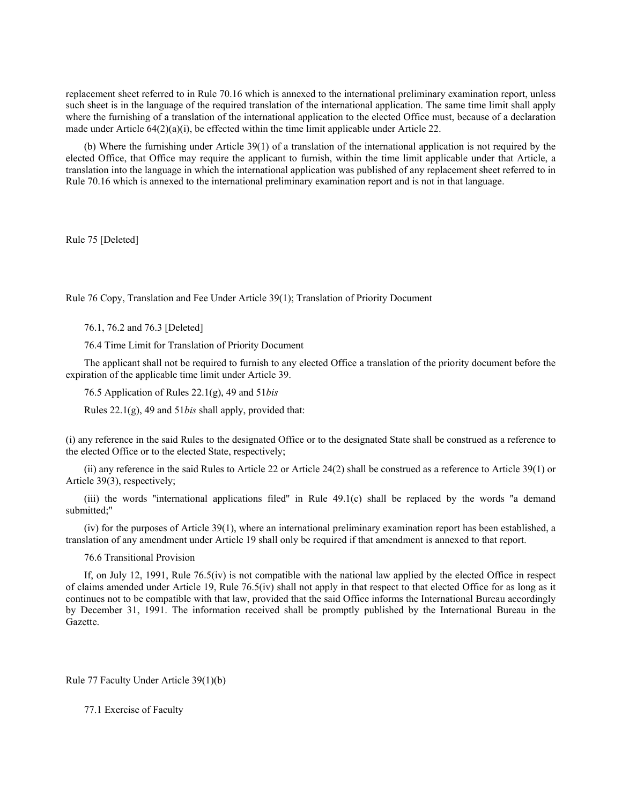replacement sheet referred to in Rule 70.16 which is annexed to the international preliminary examination report, unless such sheet is in the language of the required translation of the international application. The same time limit shall apply where the furnishing of a translation of the international application to the elected Office must, because of a declaration made under Article 64(2)(a)(i), be effected within the time limit applicable under Article 22.

(b) Where the furnishing under Article 39(1) of a translation of the international application is not required by the elected Office, that Office may require the applicant to furnish, within the time limit applicable under that Article, a translation into the language in which the international application was published of any replacement sheet referred to in Rule 70.16 which is annexed to the international preliminary examination report and is not in that language.

Rule 75 [Deleted]

Rule 76 Copy, Translation and Fee Under Article 39(1); Translation of Priority Document

76.1, 76.2 and 76.3 [Deleted]

76.4 Time Limit for Translation of Priority Document

The applicant shall not be required to furnish to any elected Office a translation of the priority document before the expiration of the applicable time limit under Article 39.

76.5 Application of Rules 22.1(g), 49 and 51*bis*

Rules 22.1(g), 49 and 51*bis* shall apply, provided that:

(i) any reference in the said Rules to the designated Office or to the designated State shall be construed as a reference to the elected Office or to the elected State, respectively;

(ii) any reference in the said Rules to Article 22 or Article 24(2) shall be construed as a reference to Article 39(1) or Article 39(3), respectively;

(iii) the words ''international applications filed'' in Rule 49.1(c) shall be replaced by the words ''a demand submitted;''

(iv) for the purposes of Article 39(1), where an international preliminary examination report has been established, a translation of any amendment under Article 19 shall only be required if that amendment is annexed to that report.

76.6 Transitional Provision

If, on July 12, 1991, Rule 76.5(iv) is not compatible with the national law applied by the elected Office in respect of claims amended under Article 19, Rule 76.5(iv) shall not apply in that respect to that elected Office for as long as it continues not to be compatible with that law, provided that the said Office informs the International Bureau accordingly by December 31, 1991. The information received shall be promptly published by the International Bureau in the Gazette.

Rule 77 Faculty Under Article 39(1)(b)

77.1 Exercise of Faculty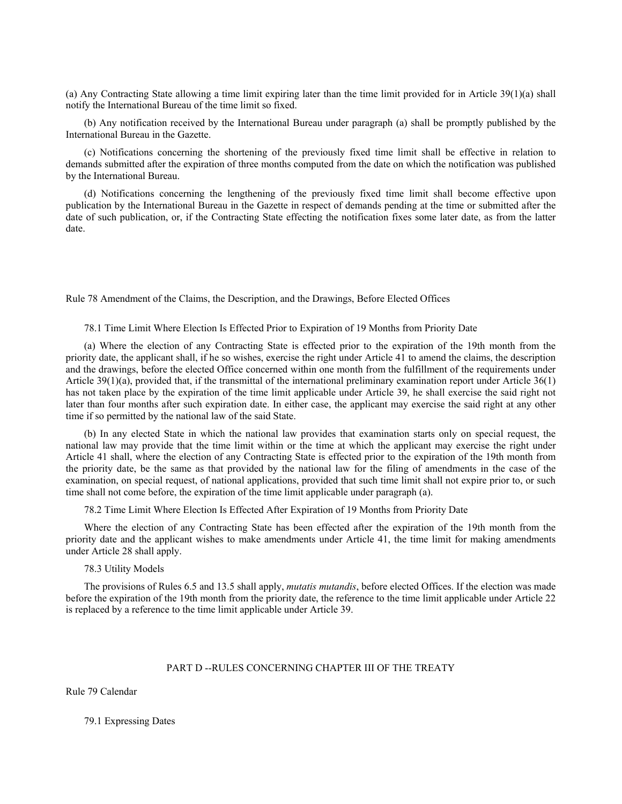(a) Any Contracting State allowing a time limit expiring later than the time limit provided for in Article 39(1)(a) shall notify the International Bureau of the time limit so fixed.

(b) Any notification received by the International Bureau under paragraph (a) shall be promptly published by the International Bureau in the Gazette.

(c) Notifications concerning the shortening of the previously fixed time limit shall be effective in relation to demands submitted after the expiration of three months computed from the date on which the notification was published by the International Bureau.

(d) Notifications concerning the lengthening of the previously fixed time limit shall become effective upon publication by the International Bureau in the Gazette in respect of demands pending at the time or submitted after the date of such publication, or, if the Contracting State effecting the notification fixes some later date, as from the latter date.

Rule 78 Amendment of the Claims, the Description, and the Drawings, Before Elected Offices

78.1 Time Limit Where Election Is Effected Prior to Expiration of 19 Months from Priority Date

(a) Where the election of any Contracting State is effected prior to the expiration of the 19th month from the priority date, the applicant shall, if he so wishes, exercise the right under Article 41 to amend the claims, the description and the drawings, before the elected Office concerned within one month from the fulfillment of the requirements under Article  $39(1)(a)$ , provided that, if the transmittal of the international preliminary examination report under Article  $36(1)$ has not taken place by the expiration of the time limit applicable under Article 39, he shall exercise the said right not later than four months after such expiration date. In either case, the applicant may exercise the said right at any other time if so permitted by the national law of the said State.

(b) In any elected State in which the national law provides that examination starts only on special request, the national law may provide that the time limit within or the time at which the applicant may exercise the right under Article 41 shall, where the election of any Contracting State is effected prior to the expiration of the 19th month from the priority date, be the same as that provided by the national law for the filing of amendments in the case of the examination, on special request, of national applications, provided that such time limit shall not expire prior to, or such time shall not come before, the expiration of the time limit applicable under paragraph (a).

78.2 Time Limit Where Election Is Effected After Expiration of 19 Months from Priority Date

Where the election of any Contracting State has been effected after the expiration of the 19th month from the priority date and the applicant wishes to make amendments under Article 41, the time limit for making amendments under Article 28 shall apply.

# 78.3 Utility Models

The provisions of Rules 6.5 and 13.5 shall apply, *mutatis mutandis*, before elected Offices. If the election was made before the expiration of the 19th month from the priority date, the reference to the time limit applicable under Article 22 is replaced by a reference to the time limit applicable under Article 39.

#### PART D --RULES CONCERNING CHAPTER III OF THE TREATY

Rule 79 Calendar

## 79.1 Expressing Dates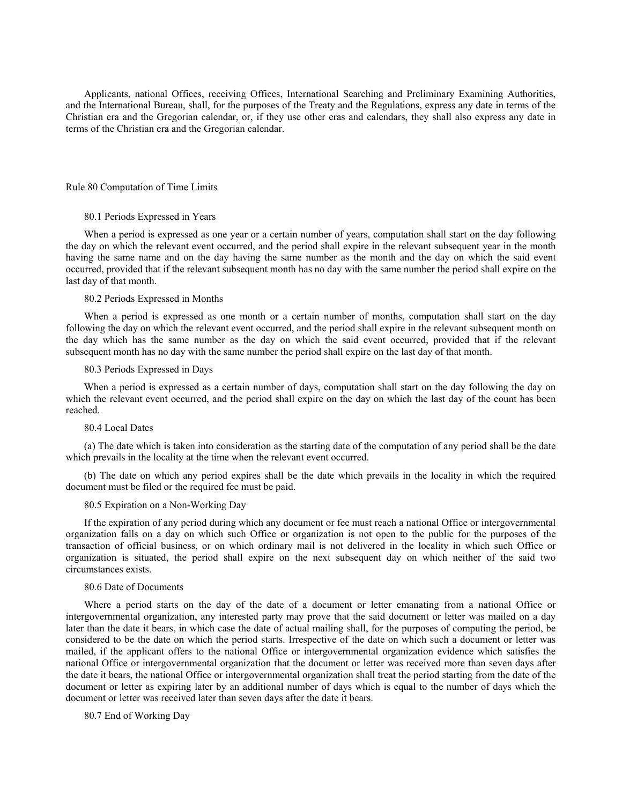Applicants, national Offices, receiving Offices, International Searching and Preliminary Examining Authorities, and the International Bureau, shall, for the purposes of the Treaty and the Regulations, express any date in terms of the Christian era and the Gregorian calendar, or, if they use other eras and calendars, they shall also express any date in terms of the Christian era and the Gregorian calendar.

## Rule 80 Computation of Time Limits

# 80.1 Periods Expressed in Years

When a period is expressed as one year or a certain number of years, computation shall start on the day following the day on which the relevant event occurred, and the period shall expire in the relevant subsequent year in the month having the same name and on the day having the same number as the month and the day on which the said event occurred, provided that if the relevant subsequent month has no day with the same number the period shall expire on the last day of that month.

## 80.2 Periods Expressed in Months

When a period is expressed as one month or a certain number of months, computation shall start on the day following the day on which the relevant event occurred, and the period shall expire in the relevant subsequent month on the day which has the same number as the day on which the said event occurred, provided that if the relevant subsequent month has no day with the same number the period shall expire on the last day of that month.

# 80.3 Periods Expressed in Days

When a period is expressed as a certain number of days, computation shall start on the day following the day on which the relevant event occurred, and the period shall expire on the day on which the last day of the count has been reached.

### 80.4 Local Dates

(a) The date which is taken into consideration as the starting date of the computation of any period shall be the date which prevails in the locality at the time when the relevant event occurred.

(b) The date on which any period expires shall be the date which prevails in the locality in which the required document must be filed or the required fee must be paid.

## 80.5 Expiration on a Non-Working Day

If the expiration of any period during which any document or fee must reach a national Office or intergovernmental organization falls on a day on which such Office or organization is not open to the public for the purposes of the transaction of official business, or on which ordinary mail is not delivered in the locality in which such Office or organization is situated, the period shall expire on the next subsequent day on which neither of the said two circumstances exists.

## 80.6 Date of Documents

Where a period starts on the day of the date of a document or letter emanating from a national Office or intergovernmental organization, any interested party may prove that the said document or letter was mailed on a day later than the date it bears, in which case the date of actual mailing shall, for the purposes of computing the period, be considered to be the date on which the period starts. Irrespective of the date on which such a document or letter was mailed, if the applicant offers to the national Office or intergovernmental organization evidence which satisfies the national Office or intergovernmental organization that the document or letter was received more than seven days after the date it bears, the national Office or intergovernmental organization shall treat the period starting from the date of the document or letter as expiring later by an additional number of days which is equal to the number of days which the document or letter was received later than seven days after the date it bears.

# 80.7 End of Working Day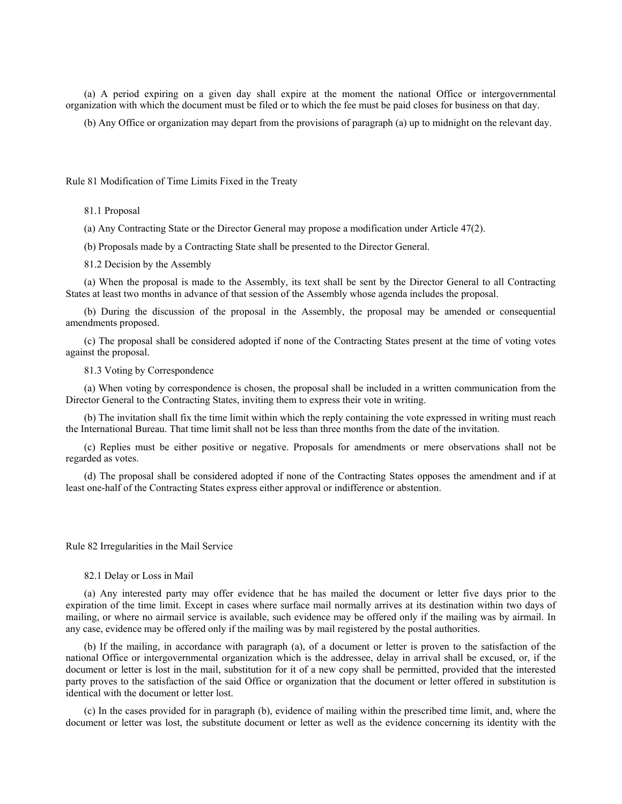(a) A period expiring on a given day shall expire at the moment the national Office or intergovernmental organization with which the document must be filed or to which the fee must be paid closes for business on that day.

(b) Any Office or organization may depart from the provisions of paragraph (a) up to midnight on the relevant day.

Rule 81 Modification of Time Limits Fixed in the Treaty

81.1 Proposal

(a) Any Contracting State or the Director General may propose a modification under Article 47(2).

(b) Proposals made by a Contracting State shall be presented to the Director General.

81.2 Decision by the Assembly

(a) When the proposal is made to the Assembly, its text shall be sent by the Director General to all Contracting States at least two months in advance of that session of the Assembly whose agenda includes the proposal.

(b) During the discussion of the proposal in the Assembly, the proposal may be amended or consequential amendments proposed.

(c) The proposal shall be considered adopted if none of the Contracting States present at the time of voting votes against the proposal.

81.3 Voting by Correspondence

(a) When voting by correspondence is chosen, the proposal shall be included in a written communication from the Director General to the Contracting States, inviting them to express their vote in writing.

(b) The invitation shall fix the time limit within which the reply containing the vote expressed in writing must reach the International Bureau. That time limit shall not be less than three months from the date of the invitation.

(c) Replies must be either positive or negative. Proposals for amendments or mere observations shall not be regarded as votes.

(d) The proposal shall be considered adopted if none of the Contracting States opposes the amendment and if at least one-half of the Contracting States express either approval or indifference or abstention.

Rule 82 Irregularities in the Mail Service

82.1 Delay or Loss in Mail

(a) Any interested party may offer evidence that he has mailed the document or letter five days prior to the expiration of the time limit. Except in cases where surface mail normally arrives at its destination within two days of mailing, or where no airmail service is available, such evidence may be offered only if the mailing was by airmail. In any case, evidence may be offered only if the mailing was by mail registered by the postal authorities.

(b) If the mailing, in accordance with paragraph (a), of a document or letter is proven to the satisfaction of the national Office or intergovernmental organization which is the addressee, delay in arrival shall be excused, or, if the document or letter is lost in the mail, substitution for it of a new copy shall be permitted, provided that the interested party proves to the satisfaction of the said Office or organization that the document or letter offered in substitution is identical with the document or letter lost.

(c) In the cases provided for in paragraph (b), evidence of mailing within the prescribed time limit, and, where the document or letter was lost, the substitute document or letter as well as the evidence concerning its identity with the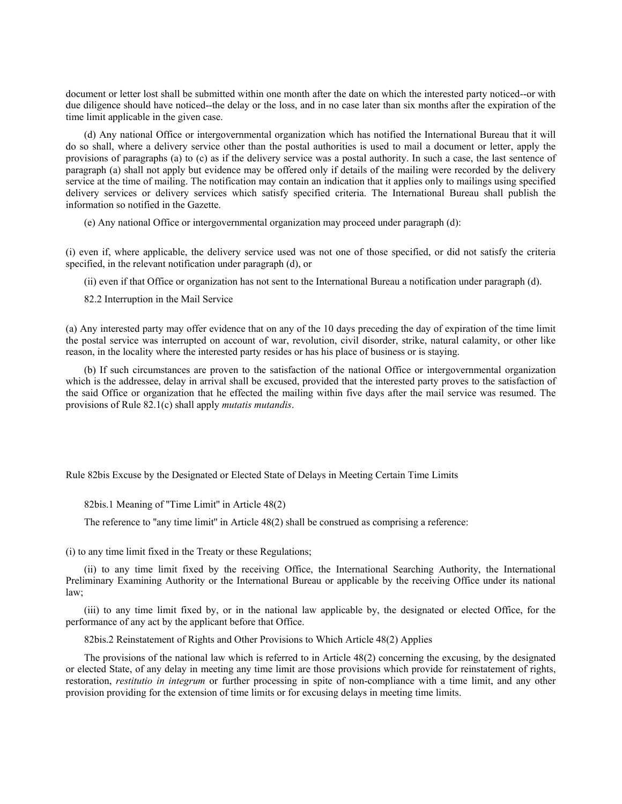document or letter lost shall be submitted within one month after the date on which the interested party noticed--or with due diligence should have noticed--the delay or the loss, and in no case later than six months after the expiration of the time limit applicable in the given case.

(d) Any national Office or intergovernmental organization which has notified the International Bureau that it will do so shall, where a delivery service other than the postal authorities is used to mail a document or letter, apply the provisions of paragraphs (a) to (c) as if the delivery service was a postal authority. In such a case, the last sentence of paragraph (a) shall not apply but evidence may be offered only if details of the mailing were recorded by the delivery service at the time of mailing. The notification may contain an indication that it applies only to mailings using specified delivery services or delivery services which satisfy specified criteria. The International Bureau shall publish the information so notified in the Gazette.

(e) Any national Office or intergovernmental organization may proceed under paragraph (d):

(i) even if, where applicable, the delivery service used was not one of those specified, or did not satisfy the criteria specified, in the relevant notification under paragraph (d), or

(ii) even if that Office or organization has not sent to the International Bureau a notification under paragraph (d).

82.2 Interruption in the Mail Service

(a) Any interested party may offer evidence that on any of the 10 days preceding the day of expiration of the time limit the postal service was interrupted on account of war, revolution, civil disorder, strike, natural calamity, or other like reason, in the locality where the interested party resides or has his place of business or is staying.

(b) If such circumstances are proven to the satisfaction of the national Office or intergovernmental organization which is the addressee, delay in arrival shall be excused, provided that the interested party proves to the satisfaction of the said Office or organization that he effected the mailing within five days after the mail service was resumed. The provisions of Rule 82.1(c) shall apply *mutatis mutandis*.

Rule 82bis Excuse by the Designated or Elected State of Delays in Meeting Certain Time Limits

82bis.1 Meaning of ''Time Limit'' in Article 48(2)

The reference to "any time limit" in Article 48(2) shall be construed as comprising a reference:

(i) to any time limit fixed in the Treaty or these Regulations;

(ii) to any time limit fixed by the receiving Office, the International Searching Authority, the International Preliminary Examining Authority or the International Bureau or applicable by the receiving Office under its national law;

(iii) to any time limit fixed by, or in the national law applicable by, the designated or elected Office, for the performance of any act by the applicant before that Office.

82bis.2 Reinstatement of Rights and Other Provisions to Which Article 48(2) Applies

The provisions of the national law which is referred to in Article 48(2) concerning the excusing, by the designated or elected State, of any delay in meeting any time limit are those provisions which provide for reinstatement of rights, restoration, *restitutio in integrum* or further processing in spite of non-compliance with a time limit, and any other provision providing for the extension of time limits or for excusing delays in meeting time limits.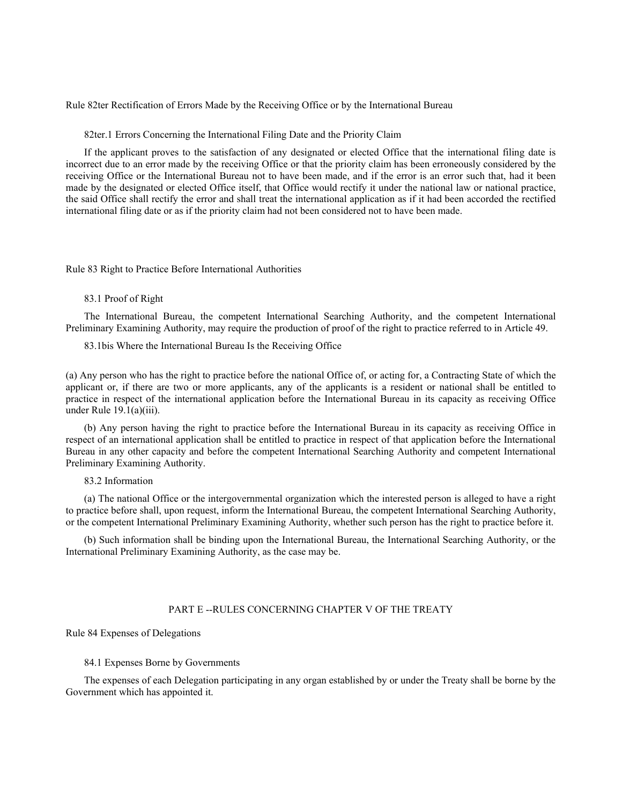Rule 82ter Rectification of Errors Made by the Receiving Office or by the International Bureau

82ter.1 Errors Concerning the International Filing Date and the Priority Claim

If the applicant proves to the satisfaction of any designated or elected Office that the international filing date is incorrect due to an error made by the receiving Office or that the priority claim has been erroneously considered by the receiving Office or the International Bureau not to have been made, and if the error is an error such that, had it been made by the designated or elected Office itself, that Office would rectify it under the national law or national practice, the said Office shall rectify the error and shall treat the international application as if it had been accorded the rectified international filing date or as if the priority claim had not been considered not to have been made.

Rule 83 Right to Practice Before International Authorities

### 83.1 Proof of Right

The International Bureau, the competent International Searching Authority, and the competent International Preliminary Examining Authority, may require the production of proof of the right to practice referred to in Article 49.

83.1bis Where the International Bureau Is the Receiving Office

(a) Any person who has the right to practice before the national Office of, or acting for, a Contracting State of which the applicant or, if there are two or more applicants, any of the applicants is a resident or national shall be entitled to practice in respect of the international application before the International Bureau in its capacity as receiving Office under Rule 19.1(a)(iii).

(b) Any person having the right to practice before the International Bureau in its capacity as receiving Office in respect of an international application shall be entitled to practice in respect of that application before the International Bureau in any other capacity and before the competent International Searching Authority and competent International Preliminary Examining Authority.

# 83.2 Information

(a) The national Office or the intergovernmental organization which the interested person is alleged to have a right to practice before shall, upon request, inform the International Bureau, the competent International Searching Authority, or the competent International Preliminary Examining Authority, whether such person has the right to practice before it.

(b) Such information shall be binding upon the International Bureau, the International Searching Authority, or the International Preliminary Examining Authority, as the case may be.

# PART E --RULES CONCERNING CHAPTER V OF THE TREATY

Rule 84 Expenses of Delegations

## 84.1 Expenses Borne by Governments

The expenses of each Delegation participating in any organ established by or under the Treaty shall be borne by the Government which has appointed it.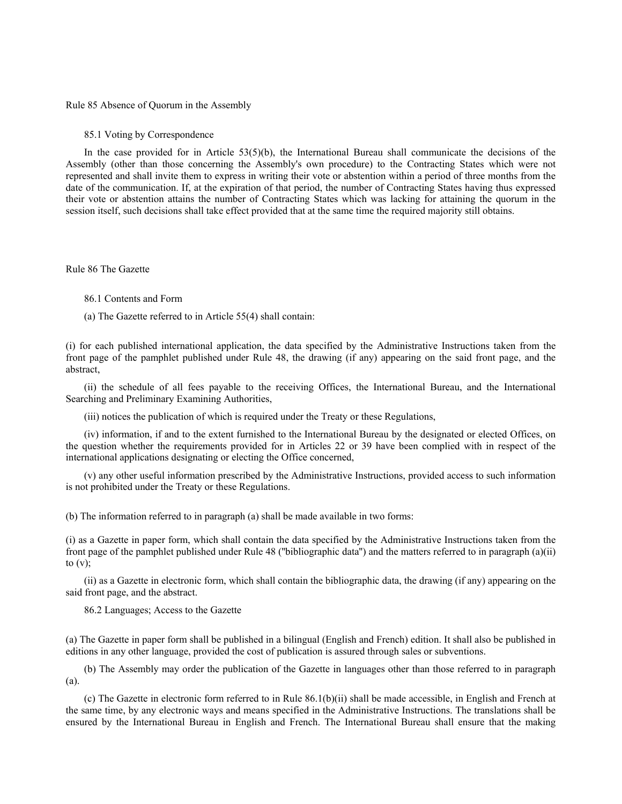# Rule 85 Absence of Quorum in the Assembly

# 85.1 Voting by Correspondence

In the case provided for in Article 53(5)(b), the International Bureau shall communicate the decisions of the Assembly (other than those concerning the Assembly's own procedure) to the Contracting States which were not represented and shall invite them to express in writing their vote or abstention within a period of three months from the date of the communication. If, at the expiration of that period, the number of Contracting States having thus expressed their vote or abstention attains the number of Contracting States which was lacking for attaining the quorum in the session itself, such decisions shall take effect provided that at the same time the required majority still obtains.

Rule 86 The Gazette

86.1 Contents and Form

(a) The Gazette referred to in Article 55(4) shall contain:

(i) for each published international application, the data specified by the Administrative Instructions taken from the front page of the pamphlet published under Rule 48, the drawing (if any) appearing on the said front page, and the abstract,

(ii) the schedule of all fees payable to the receiving Offices, the International Bureau, and the International Searching and Preliminary Examining Authorities,

(iii) notices the publication of which is required under the Treaty or these Regulations,

(iv) information, if and to the extent furnished to the International Bureau by the designated or elected Offices, on the question whether the requirements provided for in Articles 22 or 39 have been complied with in respect of the international applications designating or electing the Office concerned,

(v) any other useful information prescribed by the Administrative Instructions, provided access to such information is not prohibited under the Treaty or these Regulations.

(b) The information referred to in paragraph (a) shall be made available in two forms:

(i) as a Gazette in paper form, which shall contain the data specified by the Administrative Instructions taken from the front page of the pamphlet published under Rule 48 (''bibliographic data'') and the matters referred to in paragraph (a)(ii) to  $(v)$ ;

(ii) as a Gazette in electronic form, which shall contain the bibliographic data, the drawing (if any) appearing on the said front page, and the abstract.

86.2 Languages; Access to the Gazette

(a) The Gazette in paper form shall be published in a bilingual (English and French) edition. It shall also be published in editions in any other language, provided the cost of publication is assured through sales or subventions.

(b) The Assembly may order the publication of the Gazette in languages other than those referred to in paragraph (a).

(c) The Gazette in electronic form referred to in Rule 86.1(b)(ii) shall be made accessible, in English and French at the same time, by any electronic ways and means specified in the Administrative Instructions. The translations shall be ensured by the International Bureau in English and French. The International Bureau shall ensure that the making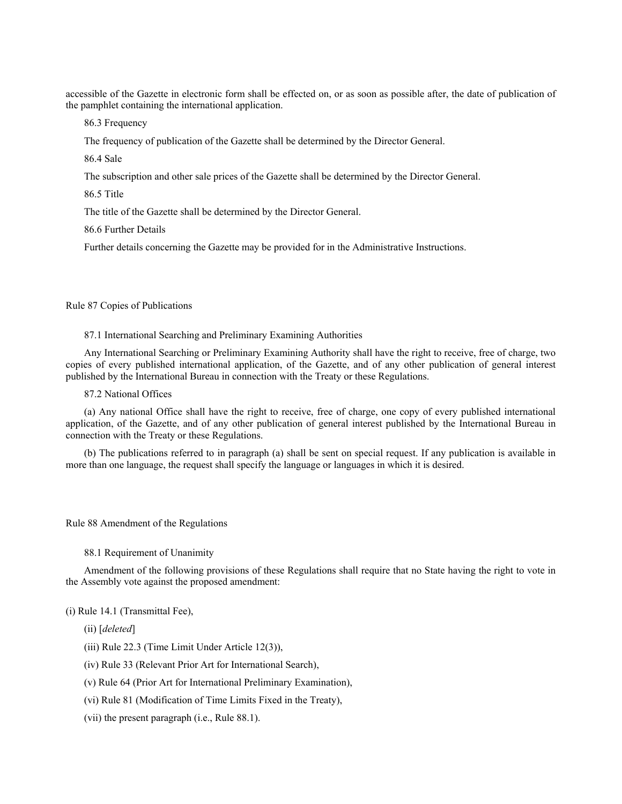accessible of the Gazette in electronic form shall be effected on, or as soon as possible after, the date of publication of the pamphlet containing the international application.

86.3 Frequency

The frequency of publication of the Gazette shall be determined by the Director General.

86.4 Sale

The subscription and other sale prices of the Gazette shall be determined by the Director General.

86.5 Title

The title of the Gazette shall be determined by the Director General.

86.6 Further Details

Further details concerning the Gazette may be provided for in the Administrative Instructions.

Rule 87 Copies of Publications

87.1 International Searching and Preliminary Examining Authorities

Any International Searching or Preliminary Examining Authority shall have the right to receive, free of charge, two copies of every published international application, of the Gazette, and of any other publication of general interest published by the International Bureau in connection with the Treaty or these Regulations.

87.2 National Offices

(a) Any national Office shall have the right to receive, free of charge, one copy of every published international application, of the Gazette, and of any other publication of general interest published by the International Bureau in connection with the Treaty or these Regulations.

(b) The publications referred to in paragraph (a) shall be sent on special request. If any publication is available in more than one language, the request shall specify the language or languages in which it is desired.

Rule 88 Amendment of the Regulations

88.1 Requirement of Unanimity

Amendment of the following provisions of these Regulations shall require that no State having the right to vote in the Assembly vote against the proposed amendment:

(i) Rule 14.1 (Transmittal Fee),

(ii) [*deleted*]

(iii) Rule 22.3 (Time Limit Under Article 12(3)),

(iv) Rule 33 (Relevant Prior Art for International Search),

(v) Rule 64 (Prior Art for International Preliminary Examination),

(vi) Rule 81 (Modification of Time Limits Fixed in the Treaty),

(vii) the present paragraph (i.e., Rule 88.1).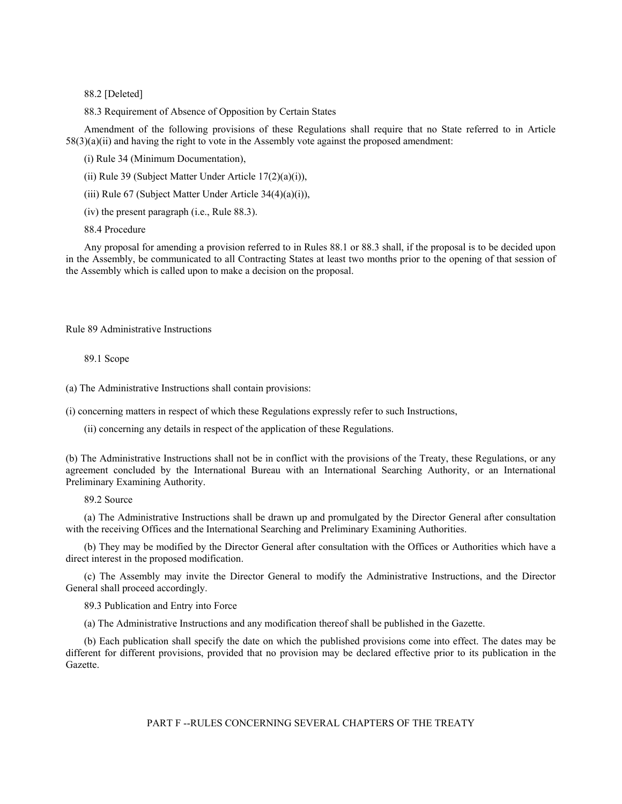88.2 [Deleted]

88.3 Requirement of Absence of Opposition by Certain States

Amendment of the following provisions of these Regulations shall require that no State referred to in Article  $58(3)(a)(ii)$  and having the right to vote in the Assembly vote against the proposed amendment:

(i) Rule 34 (Minimum Documentation),

(ii) Rule 39 (Subject Matter Under Article  $17(2)(a)(i)$ ),

(iii) Rule 67 (Subject Matter Under Article 34(4)(a)(i)),

(iv) the present paragraph (i.e., Rule 88.3).

88.4 Procedure

Any proposal for amending a provision referred to in Rules 88.1 or 88.3 shall, if the proposal is to be decided upon in the Assembly, be communicated to all Contracting States at least two months prior to the opening of that session of the Assembly which is called upon to make a decision on the proposal.

Rule 89 Administrative Instructions

89.1 Scope

(a) The Administrative Instructions shall contain provisions:

(i) concerning matters in respect of which these Regulations expressly refer to such Instructions,

(ii) concerning any details in respect of the application of these Regulations.

(b) The Administrative Instructions shall not be in conflict with the provisions of the Treaty, these Regulations, or any agreement concluded by the International Bureau with an International Searching Authority, or an International Preliminary Examining Authority.

89.2 Source

(a) The Administrative Instructions shall be drawn up and promulgated by the Director General after consultation with the receiving Offices and the International Searching and Preliminary Examining Authorities.

(b) They may be modified by the Director General after consultation with the Offices or Authorities which have a direct interest in the proposed modification.

(c) The Assembly may invite the Director General to modify the Administrative Instructions, and the Director General shall proceed accordingly.

89.3 Publication and Entry into Force

(a) The Administrative Instructions and any modification thereof shall be published in the Gazette.

(b) Each publication shall specify the date on which the published provisions come into effect. The dates may be different for different provisions, provided that no provision may be declared effective prior to its publication in the Gazette.

PART F --RULES CONCERNING SEVERAL CHAPTERS OF THE TREATY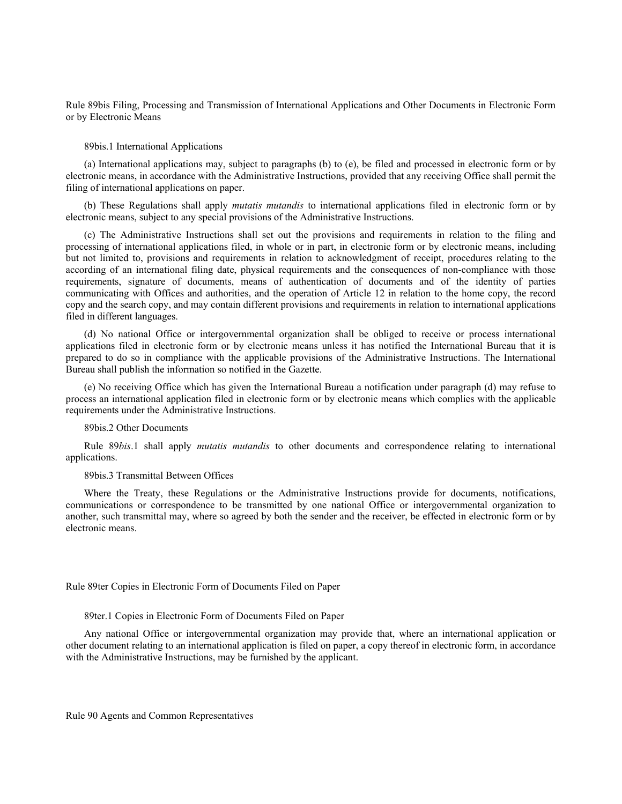Rule 89bis Filing, Processing and Transmission of International Applications and Other Documents in Electronic Form or by Electronic Means

## 89bis.1 International Applications

(a) International applications may, subject to paragraphs (b) to (e), be filed and processed in electronic form or by electronic means, in accordance with the Administrative Instructions, provided that any receiving Office shall permit the filing of international applications on paper.

(b) These Regulations shall apply *mutatis mutandis* to international applications filed in electronic form or by electronic means, subject to any special provisions of the Administrative Instructions.

(c) The Administrative Instructions shall set out the provisions and requirements in relation to the filing and processing of international applications filed, in whole or in part, in electronic form or by electronic means, including but not limited to, provisions and requirements in relation to acknowledgment of receipt, procedures relating to the according of an international filing date, physical requirements and the consequences of non-compliance with those requirements, signature of documents, means of authentication of documents and of the identity of parties communicating with Offices and authorities, and the operation of Article 12 in relation to the home copy, the record copy and the search copy, and may contain different provisions and requirements in relation to international applications filed in different languages.

(d) No national Office or intergovernmental organization shall be obliged to receive or process international applications filed in electronic form or by electronic means unless it has notified the International Bureau that it is prepared to do so in compliance with the applicable provisions of the Administrative Instructions. The International Bureau shall publish the information so notified in the Gazette.

(e) No receiving Office which has given the International Bureau a notification under paragraph (d) may refuse to process an international application filed in electronic form or by electronic means which complies with the applicable requirements under the Administrative Instructions.

## 89bis.2 Other Documents

Rule 89*bis*.1 shall apply *mutatis mutandis* to other documents and correspondence relating to international applications.

## 89bis.3 Transmittal Between Offices

Where the Treaty, these Regulations or the Administrative Instructions provide for documents, notifications, communications or correspondence to be transmitted by one national Office or intergovernmental organization to another, such transmittal may, where so agreed by both the sender and the receiver, be effected in electronic form or by electronic means.

Rule 89ter Copies in Electronic Form of Documents Filed on Paper

89ter.1 Copies in Electronic Form of Documents Filed on Paper

Any national Office or intergovernmental organization may provide that, where an international application or other document relating to an international application is filed on paper, a copy thereof in electronic form, in accordance with the Administrative Instructions, may be furnished by the applicant.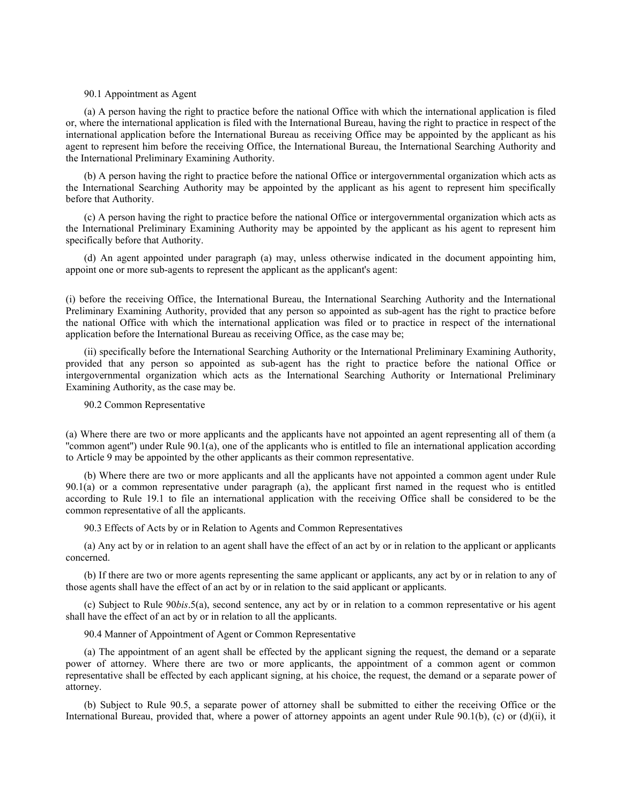## 90.1 Appointment as Agent

(a) A person having the right to practice before the national Office with which the international application is filed or, where the international application is filed with the International Bureau, having the right to practice in respect of the international application before the International Bureau as receiving Office may be appointed by the applicant as his agent to represent him before the receiving Office, the International Bureau, the International Searching Authority and the International Preliminary Examining Authority.

(b) A person having the right to practice before the national Office or intergovernmental organization which acts as the International Searching Authority may be appointed by the applicant as his agent to represent him specifically before that Authority.

(c) A person having the right to practice before the national Office or intergovernmental organization which acts as the International Preliminary Examining Authority may be appointed by the applicant as his agent to represent him specifically before that Authority.

(d) An agent appointed under paragraph (a) may, unless otherwise indicated in the document appointing him, appoint one or more sub-agents to represent the applicant as the applicant's agent:

(i) before the receiving Office, the International Bureau, the International Searching Authority and the International Preliminary Examining Authority, provided that any person so appointed as sub-agent has the right to practice before the national Office with which the international application was filed or to practice in respect of the international application before the International Bureau as receiving Office, as the case may be;

(ii) specifically before the International Searching Authority or the International Preliminary Examining Authority, provided that any person so appointed as sub-agent has the right to practice before the national Office or intergovernmental organization which acts as the International Searching Authority or International Preliminary Examining Authority, as the case may be.

90.2 Common Representative

(a) Where there are two or more applicants and the applicants have not appointed an agent representing all of them (a ''common agent'') under Rule 90.1(a), one of the applicants who is entitled to file an international application according to Article 9 may be appointed by the other applicants as their common representative.

(b) Where there are two or more applicants and all the applicants have not appointed a common agent under Rule 90.1(a) or a common representative under paragraph (a), the applicant first named in the request who is entitled according to Rule 19.1 to file an international application with the receiving Office shall be considered to be the common representative of all the applicants.

90.3 Effects of Acts by or in Relation to Agents and Common Representatives

(a) Any act by or in relation to an agent shall have the effect of an act by or in relation to the applicant or applicants concerned.

(b) If there are two or more agents representing the same applicant or applicants, any act by or in relation to any of those agents shall have the effect of an act by or in relation to the said applicant or applicants.

(c) Subject to Rule 90*bis*.5(a), second sentence, any act by or in relation to a common representative or his agent shall have the effect of an act by or in relation to all the applicants.

90.4 Manner of Appointment of Agent or Common Representative

(a) The appointment of an agent shall be effected by the applicant signing the request, the demand or a separate power of attorney. Where there are two or more applicants, the appointment of a common agent or common representative shall be effected by each applicant signing, at his choice, the request, the demand or a separate power of attorney.

(b) Subject to Rule 90.5, a separate power of attorney shall be submitted to either the receiving Office or the International Bureau, provided that, where a power of attorney appoints an agent under Rule 90.1(b), (c) or (d)(ii), it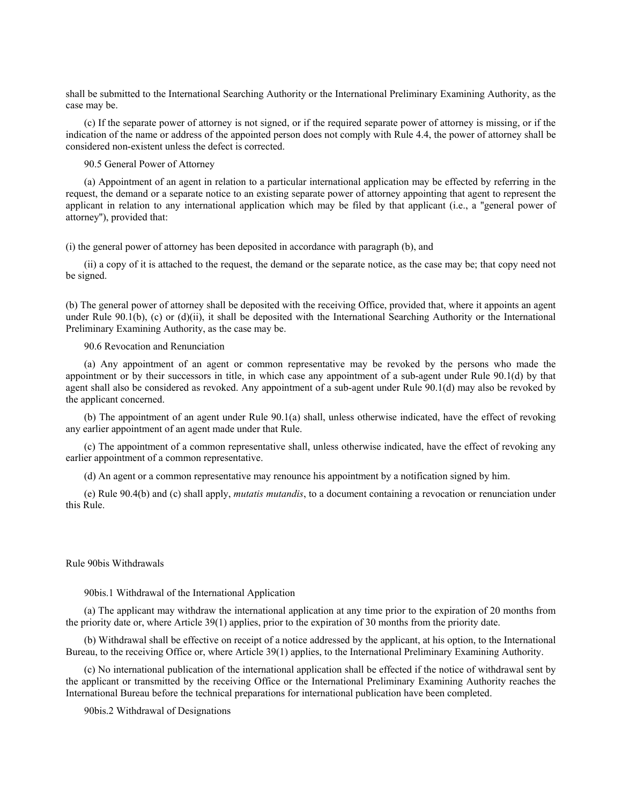shall be submitted to the International Searching Authority or the International Preliminary Examining Authority, as the case may be.

(c) If the separate power of attorney is not signed, or if the required separate power of attorney is missing, or if the indication of the name or address of the appointed person does not comply with Rule 4.4, the power of attorney shall be considered non-existent unless the defect is corrected.

90.5 General Power of Attorney

(a) Appointment of an agent in relation to a particular international application may be effected by referring in the request, the demand or a separate notice to an existing separate power of attorney appointing that agent to represent the applicant in relation to any international application which may be filed by that applicant (i.e., a "general power of attorney''), provided that:

(i) the general power of attorney has been deposited in accordance with paragraph (b), and

(ii) a copy of it is attached to the request, the demand or the separate notice, as the case may be; that copy need not be signed.

(b) The general power of attorney shall be deposited with the receiving Office, provided that, where it appoints an agent under Rule 90.1(b), (c) or (d)(ii), it shall be deposited with the International Searching Authority or the International Preliminary Examining Authority, as the case may be.

90.6 Revocation and Renunciation

(a) Any appointment of an agent or common representative may be revoked by the persons who made the appointment or by their successors in title, in which case any appointment of a sub-agent under Rule 90.1(d) by that agent shall also be considered as revoked. Any appointment of a sub-agent under Rule 90.1(d) may also be revoked by the applicant concerned.

(b) The appointment of an agent under Rule 90.1(a) shall, unless otherwise indicated, have the effect of revoking any earlier appointment of an agent made under that Rule.

(c) The appointment of a common representative shall, unless otherwise indicated, have the effect of revoking any earlier appointment of a common representative.

(d) An agent or a common representative may renounce his appointment by a notification signed by him.

(e) Rule 90.4(b) and (c) shall apply, *mutatis mutandis*, to a document containing a revocation or renunciation under this Rule.

# Rule 90bis Withdrawals

90bis.1 Withdrawal of the International Application

(a) The applicant may withdraw the international application at any time prior to the expiration of 20 months from the priority date or, where Article 39(1) applies, prior to the expiration of 30 months from the priority date.

(b) Withdrawal shall be effective on receipt of a notice addressed by the applicant, at his option, to the International Bureau, to the receiving Office or, where Article 39(1) applies, to the International Preliminary Examining Authority.

(c) No international publication of the international application shall be effected if the notice of withdrawal sent by the applicant or transmitted by the receiving Office or the International Preliminary Examining Authority reaches the International Bureau before the technical preparations for international publication have been completed.

90bis.2 Withdrawal of Designations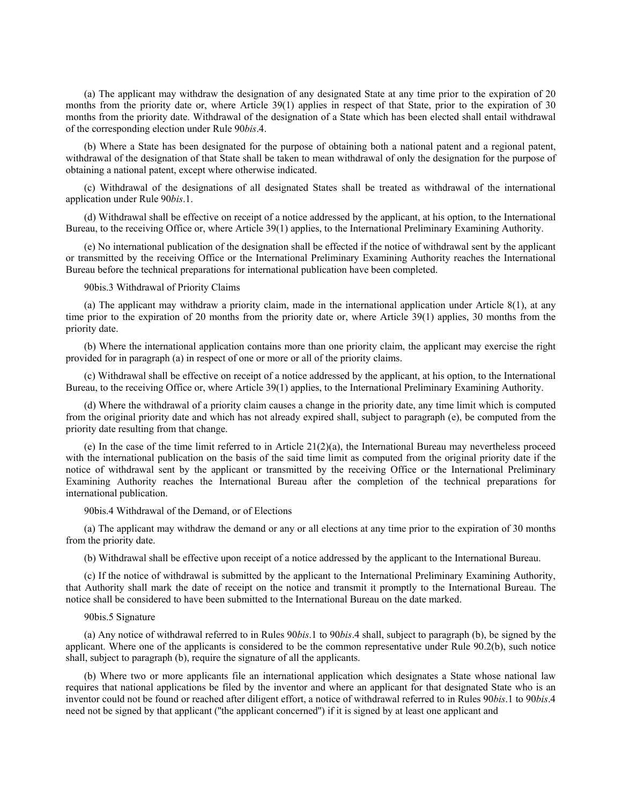(a) The applicant may withdraw the designation of any designated State at any time prior to the expiration of 20 months from the priority date or, where Article 39(1) applies in respect of that State, prior to the expiration of 30 months from the priority date. Withdrawal of the designation of a State which has been elected shall entail withdrawal of the corresponding election under Rule 90*bis*.4.

(b) Where a State has been designated for the purpose of obtaining both a national patent and a regional patent, withdrawal of the designation of that State shall be taken to mean withdrawal of only the designation for the purpose of obtaining a national patent, except where otherwise indicated.

(c) Withdrawal of the designations of all designated States shall be treated as withdrawal of the international application under Rule 90*bis*.1.

(d) Withdrawal shall be effective on receipt of a notice addressed by the applicant, at his option, to the International Bureau, to the receiving Office or, where Article 39(1) applies, to the International Preliminary Examining Authority.

(e) No international publication of the designation shall be effected if the notice of withdrawal sent by the applicant or transmitted by the receiving Office or the International Preliminary Examining Authority reaches the International Bureau before the technical preparations for international publication have been completed.

# 90bis.3 Withdrawal of Priority Claims

(a) The applicant may withdraw a priority claim, made in the international application under Article 8(1), at any time prior to the expiration of 20 months from the priority date or, where Article 39(1) applies, 30 months from the priority date.

(b) Where the international application contains more than one priority claim, the applicant may exercise the right provided for in paragraph (a) in respect of one or more or all of the priority claims.

(c) Withdrawal shall be effective on receipt of a notice addressed by the applicant, at his option, to the International Bureau, to the receiving Office or, where Article 39(1) applies, to the International Preliminary Examining Authority.

(d) Where the withdrawal of a priority claim causes a change in the priority date, any time limit which is computed from the original priority date and which has not already expired shall, subject to paragraph (e), be computed from the priority date resulting from that change.

(e) In the case of the time limit referred to in Article 21(2)(a), the International Bureau may nevertheless proceed with the international publication on the basis of the said time limit as computed from the original priority date if the notice of withdrawal sent by the applicant or transmitted by the receiving Office or the International Preliminary Examining Authority reaches the International Bureau after the completion of the technical preparations for international publication.

### 90bis.4 Withdrawal of the Demand, or of Elections

(a) The applicant may withdraw the demand or any or all elections at any time prior to the expiration of 30 months from the priority date.

(b) Withdrawal shall be effective upon receipt of a notice addressed by the applicant to the International Bureau.

(c) If the notice of withdrawal is submitted by the applicant to the International Preliminary Examining Authority, that Authority shall mark the date of receipt on the notice and transmit it promptly to the International Bureau. The notice shall be considered to have been submitted to the International Bureau on the date marked.

#### 90bis.5 Signature

(a) Any notice of withdrawal referred to in Rules 90*bis*.1 to 90*bis*.4 shall, subject to paragraph (b), be signed by the applicant. Where one of the applicants is considered to be the common representative under Rule 90.2(b), such notice shall, subject to paragraph (b), require the signature of all the applicants.

(b) Where two or more applicants file an international application which designates a State whose national law requires that national applications be filed by the inventor and where an applicant for that designated State who is an inventor could not be found or reached after diligent effort, a notice of withdrawal referred to in Rules 90*bis*.1 to 90*bis*.4 need not be signed by that applicant (''the applicant concerned'') if it is signed by at least one applicant and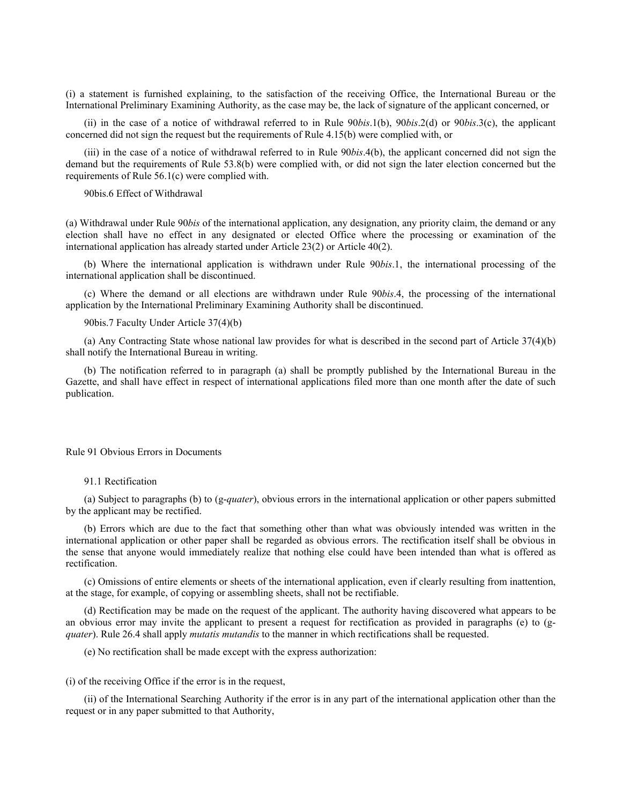(i) a statement is furnished explaining, to the satisfaction of the receiving Office, the International Bureau or the International Preliminary Examining Authority, as the case may be, the lack of signature of the applicant concerned, or

(ii) in the case of a notice of withdrawal referred to in Rule 90*bis*.1(b), 90*bis*.2(d) or 90*bis*.3(c), the applicant concerned did not sign the request but the requirements of Rule 4.15(b) were complied with, or

(iii) in the case of a notice of withdrawal referred to in Rule 90*bis*.4(b), the applicant concerned did not sign the demand but the requirements of Rule 53.8(b) were complied with, or did not sign the later election concerned but the requirements of Rule 56.1(c) were complied with.

90bis.6 Effect of Withdrawal

(a) Withdrawal under Rule 90*bis* of the international application, any designation, any priority claim, the demand or any election shall have no effect in any designated or elected Office where the processing or examination of the international application has already started under Article 23(2) or Article 40(2).

(b) Where the international application is withdrawn under Rule 90*bis*.1, the international processing of the international application shall be discontinued.

(c) Where the demand or all elections are withdrawn under Rule 90*bis*.4, the processing of the international application by the International Preliminary Examining Authority shall be discontinued.

# 90bis.7 Faculty Under Article 37(4)(b)

(a) Any Contracting State whose national law provides for what is described in the second part of Article 37(4)(b) shall notify the International Bureau in writing.

(b) The notification referred to in paragraph (a) shall be promptly published by the International Bureau in the Gazette, and shall have effect in respect of international applications filed more than one month after the date of such publication.

# Rule 91 Obvious Errors in Documents

#### 91.1 Rectification

(a) Subject to paragraphs (b) to (g-*quater*), obvious errors in the international application or other papers submitted by the applicant may be rectified.

(b) Errors which are due to the fact that something other than what was obviously intended was written in the international application or other paper shall be regarded as obvious errors. The rectification itself shall be obvious in the sense that anyone would immediately realize that nothing else could have been intended than what is offered as rectification.

(c) Omissions of entire elements or sheets of the international application, even if clearly resulting from inattention, at the stage, for example, of copying or assembling sheets, shall not be rectifiable.

(d) Rectification may be made on the request of the applicant. The authority having discovered what appears to be an obvious error may invite the applicant to present a request for rectification as provided in paragraphs (e) to (g*quater*). Rule 26.4 shall apply *mutatis mutandis* to the manner in which rectifications shall be requested.

(e) No rectification shall be made except with the express authorization:

(i) of the receiving Office if the error is in the request,

(ii) of the International Searching Authority if the error is in any part of the international application other than the request or in any paper submitted to that Authority,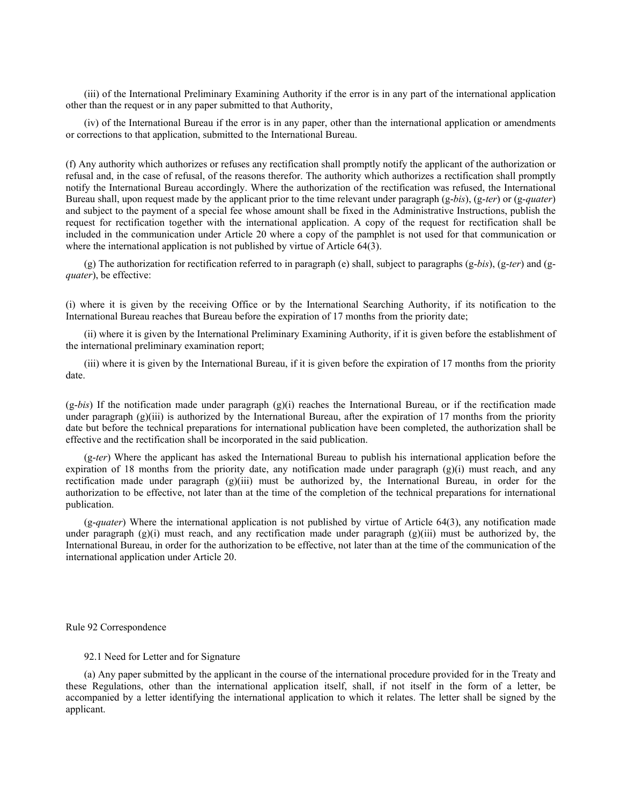(iii) of the International Preliminary Examining Authority if the error is in any part of the international application other than the request or in any paper submitted to that Authority,

(iv) of the International Bureau if the error is in any paper, other than the international application or amendments or corrections to that application, submitted to the International Bureau.

(f) Any authority which authorizes or refuses any rectification shall promptly notify the applicant of the authorization or refusal and, in the case of refusal, of the reasons therefor. The authority which authorizes a rectification shall promptly notify the International Bureau accordingly. Where the authorization of the rectification was refused, the International Bureau shall, upon request made by the applicant prior to the time relevant under paragraph (g-*bis*), (g-*ter*) or (g-*quater*) and subject to the payment of a special fee whose amount shall be fixed in the Administrative Instructions, publish the request for rectification together with the international application. A copy of the request for rectification shall be included in the communication under Article 20 where a copy of the pamphlet is not used for that communication or where the international application is not published by virtue of Article 64(3).

(g) The authorization for rectification referred to in paragraph (e) shall, subject to paragraphs (g-*bis*), (g-*ter*) and (g*quater*), be effective:

(i) where it is given by the receiving Office or by the International Searching Authority, if its notification to the International Bureau reaches that Bureau before the expiration of 17 months from the priority date;

(ii) where it is given by the International Preliminary Examining Authority, if it is given before the establishment of the international preliminary examination report;

(iii) where it is given by the International Bureau, if it is given before the expiration of 17 months from the priority date.

 $(g-bis)$  If the notification made under paragraph  $(g)(i)$  reaches the International Bureau, or if the rectification made under paragraph  $(g)(iii)$  is authorized by the International Bureau, after the expiration of 17 months from the priority date but before the technical preparations for international publication have been completed, the authorization shall be effective and the rectification shall be incorporated in the said publication.

(g-*ter*) Where the applicant has asked the International Bureau to publish his international application before the expiration of 18 months from the priority date, any notification made under paragraph  $(g)(i)$  must reach, and any rectification made under paragraph (g)(iii) must be authorized by, the International Bureau, in order for the authorization to be effective, not later than at the time of the completion of the technical preparations for international publication.

(g-*quater*) Where the international application is not published by virtue of Article 64(3), any notification made under paragraph (g)(i) must reach, and any rectification made under paragraph (g)(iii) must be authorized by, the International Bureau, in order for the authorization to be effective, not later than at the time of the communication of the international application under Article 20.

### Rule 92 Correspondence

### 92.1 Need for Letter and for Signature

(a) Any paper submitted by the applicant in the course of the international procedure provided for in the Treaty and these Regulations, other than the international application itself, shall, if not itself in the form of a letter, be accompanied by a letter identifying the international application to which it relates. The letter shall be signed by the applicant.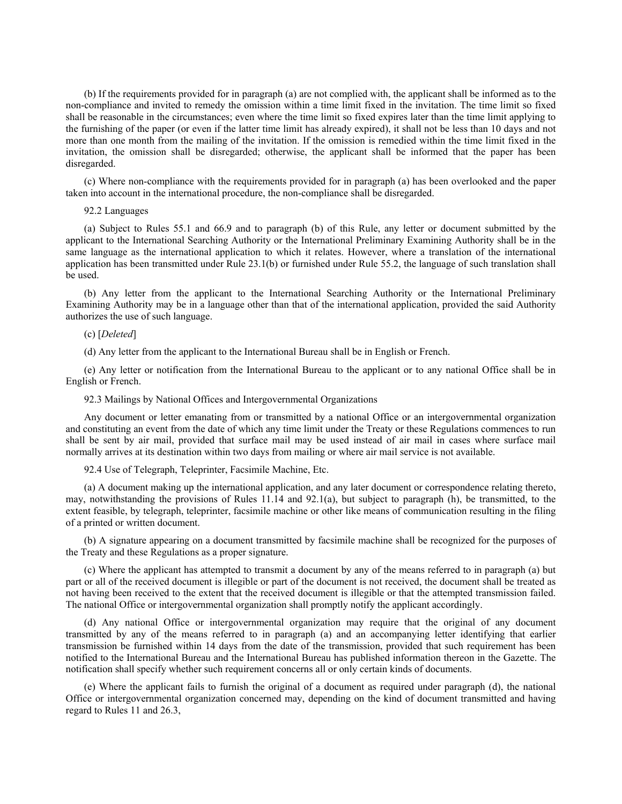(b) If the requirements provided for in paragraph (a) are not complied with, the applicant shall be informed as to the non-compliance and invited to remedy the omission within a time limit fixed in the invitation. The time limit so fixed shall be reasonable in the circumstances; even where the time limit so fixed expires later than the time limit applying to the furnishing of the paper (or even if the latter time limit has already expired), it shall not be less than 10 days and not more than one month from the mailing of the invitation. If the omission is remedied within the time limit fixed in the invitation, the omission shall be disregarded; otherwise, the applicant shall be informed that the paper has been disregarded.

(c) Where non-compliance with the requirements provided for in paragraph (a) has been overlooked and the paper taken into account in the international procedure, the non-compliance shall be disregarded.

## 92.2 Languages

(a) Subject to Rules 55.1 and 66.9 and to paragraph (b) of this Rule, any letter or document submitted by the applicant to the International Searching Authority or the International Preliminary Examining Authority shall be in the same language as the international application to which it relates. However, where a translation of the international application has been transmitted under Rule 23.1(b) or furnished under Rule 55.2, the language of such translation shall be used.

(b) Any letter from the applicant to the International Searching Authority or the International Preliminary Examining Authority may be in a language other than that of the international application, provided the said Authority authorizes the use of such language.

# (c) [*Deleted*]

(d) Any letter from the applicant to the International Bureau shall be in English or French.

(e) Any letter or notification from the International Bureau to the applicant or to any national Office shall be in English or French.

92.3 Mailings by National Offices and Intergovernmental Organizations

Any document or letter emanating from or transmitted by a national Office or an intergovernmental organization and constituting an event from the date of which any time limit under the Treaty or these Regulations commences to run shall be sent by air mail, provided that surface mail may be used instead of air mail in cases where surface mail normally arrives at its destination within two days from mailing or where air mail service is not available.

92.4 Use of Telegraph, Teleprinter, Facsimile Machine, Etc.

(a) A document making up the international application, and any later document or correspondence relating thereto, may, notwithstanding the provisions of Rules 11.14 and 92.1(a), but subject to paragraph (h), be transmitted, to the extent feasible, by telegraph, teleprinter, facsimile machine or other like means of communication resulting in the filing of a printed or written document.

(b) A signature appearing on a document transmitted by facsimile machine shall be recognized for the purposes of the Treaty and these Regulations as a proper signature.

(c) Where the applicant has attempted to transmit a document by any of the means referred to in paragraph (a) but part or all of the received document is illegible or part of the document is not received, the document shall be treated as not having been received to the extent that the received document is illegible or that the attempted transmission failed. The national Office or intergovernmental organization shall promptly notify the applicant accordingly.

(d) Any national Office or intergovernmental organization may require that the original of any document transmitted by any of the means referred to in paragraph (a) and an accompanying letter identifying that earlier transmission be furnished within 14 days from the date of the transmission, provided that such requirement has been notified to the International Bureau and the International Bureau has published information thereon in the Gazette. The notification shall specify whether such requirement concerns all or only certain kinds of documents.

(e) Where the applicant fails to furnish the original of a document as required under paragraph (d), the national Office or intergovernmental organization concerned may, depending on the kind of document transmitted and having regard to Rules 11 and 26.3,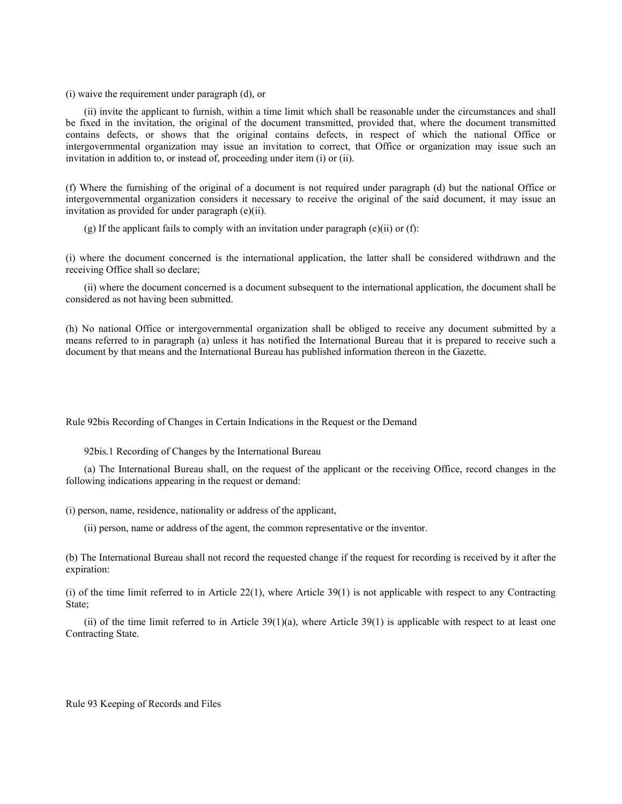(i) waive the requirement under paragraph (d), or

(ii) invite the applicant to furnish, within a time limit which shall be reasonable under the circumstances and shall be fixed in the invitation, the original of the document transmitted, provided that, where the document transmitted contains defects, or shows that the original contains defects, in respect of which the national Office or intergovernmental organization may issue an invitation to correct, that Office or organization may issue such an invitation in addition to, or instead of, proceeding under item (i) or (ii).

(f) Where the furnishing of the original of a document is not required under paragraph (d) but the national Office or intergovernmental organization considers it necessary to receive the original of the said document, it may issue an invitation as provided for under paragraph (e)(ii).

(g) If the applicant fails to comply with an invitation under paragraph  $(e)(ii)$  or  $(f)$ :

(i) where the document concerned is the international application, the latter shall be considered withdrawn and the receiving Office shall so declare;

(ii) where the document concerned is a document subsequent to the international application, the document shall be considered as not having been submitted.

(h) No national Office or intergovernmental organization shall be obliged to receive any document submitted by a means referred to in paragraph (a) unless it has notified the International Bureau that it is prepared to receive such a document by that means and the International Bureau has published information thereon in the Gazette.

Rule 92bis Recording of Changes in Certain Indications in the Request or the Demand

92bis.1 Recording of Changes by the International Bureau

(a) The International Bureau shall, on the request of the applicant or the receiving Office, record changes in the following indications appearing in the request or demand:

(i) person, name, residence, nationality or address of the applicant,

(ii) person, name or address of the agent, the common representative or the inventor.

(b) The International Bureau shall not record the requested change if the request for recording is received by it after the expiration:

(i) of the time limit referred to in Article  $22(1)$ , where Article 39(1) is not applicable with respect to any Contracting State;

(ii) of the time limit referred to in Article  $39(1)(a)$ , where Article  $39(1)$  is applicable with respect to at least one Contracting State.

Rule 93 Keeping of Records and Files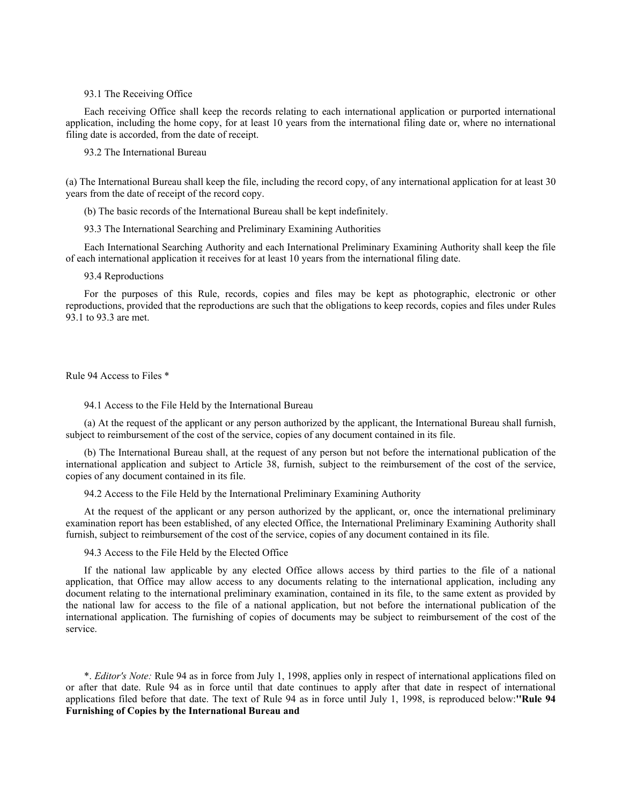## 93.1 The Receiving Office

Each receiving Office shall keep the records relating to each international application or purported international application, including the home copy, for at least 10 years from the international filing date or, where no international filing date is accorded, from the date of receipt.

93.2 The International Bureau

(a) The International Bureau shall keep the file, including the record copy, of any international application for at least 30 years from the date of receipt of the record copy.

(b) The basic records of the International Bureau shall be kept indefinitely.

93.3 The International Searching and Preliminary Examining Authorities

Each International Searching Authority and each International Preliminary Examining Authority shall keep the file of each international application it receives for at least 10 years from the international filing date.

93.4 Reproductions

For the purposes of this Rule, records, copies and files may be kept as photographic, electronic or other reproductions, provided that the reproductions are such that the obligations to keep records, copies and files under Rules 93.1 to 93.3 are met.

Rule 94 Access to Files \*

94.1 Access to the File Held by the International Bureau

(a) At the request of the applicant or any person authorized by the applicant, the International Bureau shall furnish, subject to reimbursement of the cost of the service, copies of any document contained in its file.

(b) The International Bureau shall, at the request of any person but not before the international publication of the international application and subject to Article 38, furnish, subject to the reimbursement of the cost of the service, copies of any document contained in its file.

94.2 Access to the File Held by the International Preliminary Examining Authority

At the request of the applicant or any person authorized by the applicant, or, once the international preliminary examination report has been established, of any elected Office, the International Preliminary Examining Authority shall furnish, subject to reimbursement of the cost of the service, copies of any document contained in its file.

94.3 Access to the File Held by the Elected Office

If the national law applicable by any elected Office allows access by third parties to the file of a national application, that Office may allow access to any documents relating to the international application, including any document relating to the international preliminary examination, contained in its file, to the same extent as provided by the national law for access to the file of a national application, but not before the international publication of the international application. The furnishing of copies of documents may be subject to reimbursement of the cost of the service.

\*. *Editor's Note:* Rule 94 as in force from July 1, 1998, applies only in respect of international applications filed on or after that date. Rule 94 as in force until that date continues to apply after that date in respect of international applications filed before that date. The text of Rule 94 as in force until July 1, 1998, is reproduced below:**''Rule 94 Furnishing of Copies by the International Bureau and**